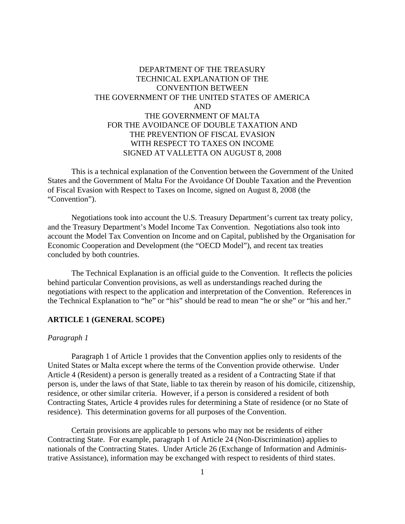# DEPARTMENT OF THE TREASURY TECHNICAL EXPLANATION OF THE CONVENTION BETWEEN THE GOVERNMENT OF THE UNITED STATES OF AMERICA AND THE GOVERNMENT OF MALTA FOR THE AVOIDANCE OF DOUBLE TAXATION AND THE PREVENTION OF FISCAL EVASION WITH RESPECT TO TAXES ON INCOME SIGNED AT VALLETTA ON AUGUST 8, 2008

This is a technical explanation of the Convention between the Government of the United States and the Government of Malta For the Avoidance Of Double Taxation and the Prevention of Fiscal Evasion with Respect to Taxes on Income, signed on August 8, 2008 (the "Convention").

Negotiations took into account the U.S. Treasury Department's current tax treaty policy, and the Treasury Department's Model Income Tax Convention. Negotiations also took into account the Model Tax Convention on Income and on Capital, published by the Organisation for Economic Cooperation and Development (the "OECD Model"), and recent tax treaties concluded by both countries.

The Technical Explanation is an official guide to the Convention. It reflects the policies behind particular Convention provisions, as well as understandings reached during the negotiations with respect to the application and interpretation of the Convention. References in the Technical Explanation to "he" or "his" should be read to mean "he or she" or "his and her."

#### **ARTICLE 1 (GENERAL SCOPE)**

## *Paragraph 1*

Paragraph 1 of Article 1 provides that the Convention applies only to residents of the United States or Malta except where the terms of the Convention provide otherwise. Under Article 4 (Resident) a person is generally treated as a resident of a Contracting State if that person is, under the laws of that State, liable to tax therein by reason of his domicile, citizenship, residence, or other similar criteria. However, if a person is considered a resident of both Contracting States, Article 4 provides rules for determining a State of residence (or no State of residence). This determination governs for all purposes of the Convention.

Certain provisions are applicable to persons who may not be residents of either Contracting State. For example, paragraph 1 of Article 24 (Non-Discrimination) applies to nationals of the Contracting States. Under Article 26 (Exchange of Information and Administrative Assistance), information may be exchanged with respect to residents of third states.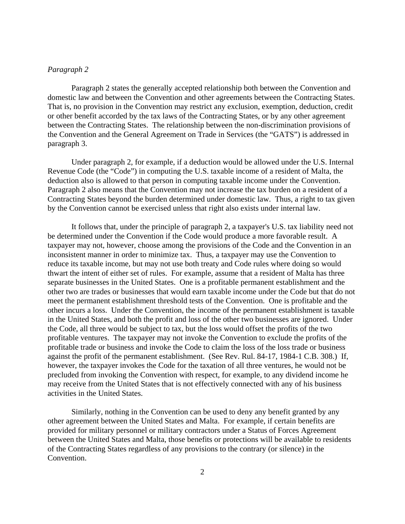### *Paragraph 2*

Paragraph 2 states the generally accepted relationship both between the Convention and domestic law and between the Convention and other agreements between the Contracting States. That is, no provision in the Convention may restrict any exclusion, exemption, deduction, credit or other benefit accorded by the tax laws of the Contracting States, or by any other agreement between the Contracting States. The relationship between the non-discrimination provisions of the Convention and the General Agreement on Trade in Services (the "GATS") is addressed in paragraph 3.

Under paragraph 2, for example, if a deduction would be allowed under the U.S. Internal Revenue Code (the "Code") in computing the U.S. taxable income of a resident of Malta, the deduction also is allowed to that person in computing taxable income under the Convention. Paragraph 2 also means that the Convention may not increase the tax burden on a resident of a Contracting States beyond the burden determined under domestic law. Thus, a right to tax given by the Convention cannot be exercised unless that right also exists under internal law.

It follows that, under the principle of paragraph 2, a taxpayer's U.S. tax liability need not be determined under the Convention if the Code would produce a more favorable result. A taxpayer may not, however, choose among the provisions of the Code and the Convention in an inconsistent manner in order to minimize tax. Thus, a taxpayer may use the Convention to reduce its taxable income, but may not use both treaty and Code rules where doing so would thwart the intent of either set of rules. For example, assume that a resident of Malta has three separate businesses in the United States. One is a profitable permanent establishment and the other two are trades or businesses that would earn taxable income under the Code but that do not meet the permanent establishment threshold tests of the Convention. One is profitable and the other incurs a loss. Under the Convention, the income of the permanent establishment is taxable in the United States, and both the profit and loss of the other two businesses are ignored. Under the Code, all three would be subject to tax, but the loss would offset the profits of the two profitable ventures. The taxpayer may not invoke the Convention to exclude the profits of the profitable trade or business and invoke the Code to claim the loss of the loss trade or business against the profit of the permanent establishment. (See Rev. Rul. 84-17, 1984-1 C.B. 308.) If, however, the taxpayer invokes the Code for the taxation of all three ventures, he would not be precluded from invoking the Convention with respect, for example, to any dividend income he may receive from the United States that is not effectively connected with any of his business activities in the United States.

Similarly, nothing in the Convention can be used to deny any benefit granted by any other agreement between the United States and Malta. For example, if certain benefits are provided for military personnel or military contractors under a Status of Forces Agreement between the United States and Malta, those benefits or protections will be available to residents of the Contracting States regardless of any provisions to the contrary (or silence) in the Convention.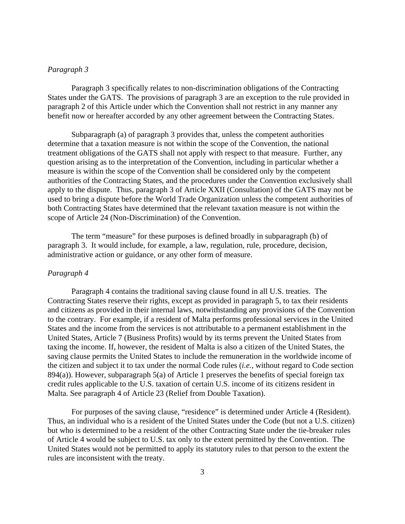### *Paragraph 3*

Paragraph 3 specifically relates to non-discrimination obligations of the Contracting States under the GATS. The provisions of paragraph 3 are an exception to the rule provided in paragraph 2 of this Article under which the Convention shall not restrict in any manner any benefit now or hereafter accorded by any other agreement between the Contracting States.

Subparagraph (a) of paragraph 3 provides that, unless the competent authorities determine that a taxation measure is not within the scope of the Convention, the national treatment obligations of the GATS shall not apply with respect to that measure. Further, any question arising as to the interpretation of the Convention, including in particular whether a measure is within the scope of the Convention shall be considered only by the competent authorities of the Contracting States, and the procedures under the Convention exclusively shall apply to the dispute. Thus, paragraph 3 of Article XXII (Consultation) of the GATS may not be used to bring a dispute before the World Trade Organization unless the competent authorities of both Contracting States have determined that the relevant taxation measure is not within the scope of Article 24 (Non-Discrimination) of the Convention.

The term "measure" for these purposes is defined broadly in subparagraph (b) of paragraph 3. It would include, for example, a law, regulation, rule, procedure, decision, administrative action or guidance, or any other form of measure.

## *Paragraph 4*

Paragraph 4 contains the traditional saving clause found in all U.S. treaties. The Contracting States reserve their rights, except as provided in paragraph 5, to tax their residents and citizens as provided in their internal laws, notwithstanding any provisions of the Convention to the contrary. For example, if a resident of Malta performs professional services in the United States and the income from the services is not attributable to a permanent establishment in the United States, Article 7 (Business Profits) would by its terms prevent the United States from taxing the income. If, however, the resident of Malta is also a citizen of the United States, the saving clause permits the United States to include the remuneration in the worldwide income of the citizen and subject it to tax under the normal Code rules (*i.e.*, without regard to Code section 894(a)). However, subparagraph 5(a) of Article 1 preserves the benefits of special foreign tax credit rules applicable to the U.S. taxation of certain U.S. income of its citizens resident in Malta. See paragraph 4 of Article 23 (Relief from Double Taxation).

For purposes of the saving clause, "residence" is determined under Article 4 (Resident). Thus, an individual who is a resident of the United States under the Code (but not a U.S. citizen) but who is determined to be a resident of the other Contracting State under the tie-breaker rules of Article 4 would be subject to U.S. tax only to the extent permitted by the Convention. The United States would not be permitted to apply its statutory rules to that person to the extent the rules are inconsistent with the treaty.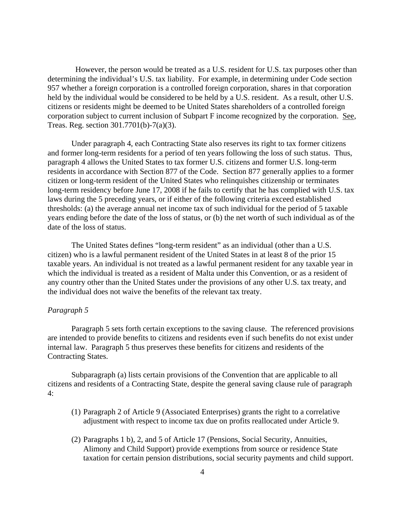However, the person would be treated as a U.S. resident for U.S. tax purposes other than determining the individual's U.S. tax liability. For example, in determining under Code section 957 whether a foreign corporation is a controlled foreign corporation, shares in that corporation held by the individual would be considered to be held by a U.S. resident. As a result, other U.S. citizens or residents might be deemed to be United States shareholders of a controlled foreign corporation subject to current inclusion of Subpart F income recognized by the corporation. See, Treas. Reg. section 301.7701(b)-7(a)(3).

Under paragraph 4, each Contracting State also reserves its right to tax former citizens and former long-term residents for a period of ten years following the loss of such status. Thus, paragraph 4 allows the United States to tax former U.S. citizens and former U.S. long-term residents in accordance with Section 877 of the Code. Section 877 generally applies to a former citizen or long-term resident of the United States who relinquishes citizenship or terminates long-term residency before June 17, 2008 if he fails to certify that he has complied with U.S. tax laws during the 5 preceding years, or if either of the following criteria exceed established thresholds: (a) the average annual net income tax of such individual for the period of 5 taxable years ending before the date of the loss of status, or (b) the net worth of such individual as of the date of the loss of status.

The United States defines "long-term resident" as an individual (other than a U.S. citizen) who is a lawful permanent resident of the United States in at least 8 of the prior 15 taxable years. An individual is not treated as a lawful permanent resident for any taxable year in which the individual is treated as a resident of Malta under this Convention, or as a resident of any country other than the United States under the provisions of any other U.S. tax treaty, and the individual does not waive the benefits of the relevant tax treaty.

### *Paragraph 5*

Paragraph 5 sets forth certain exceptions to the saving clause. The referenced provisions are intended to provide benefits to citizens and residents even if such benefits do not exist under internal law. Paragraph 5 thus preserves these benefits for citizens and residents of the Contracting States.

Subparagraph (a) lists certain provisions of the Convention that are applicable to all citizens and residents of a Contracting State, despite the general saving clause rule of paragraph 4:

- (1) Paragraph 2 of Article 9 (Associated Enterprises) grants the right to a correlative adjustment with respect to income tax due on profits reallocated under Article 9.
- (2) Paragraphs 1 b), 2, and 5 of Article 17 (Pensions, Social Security, Annuities, Alimony and Child Support) provide exemptions from source or residence State taxation for certain pension distributions, social security payments and child support.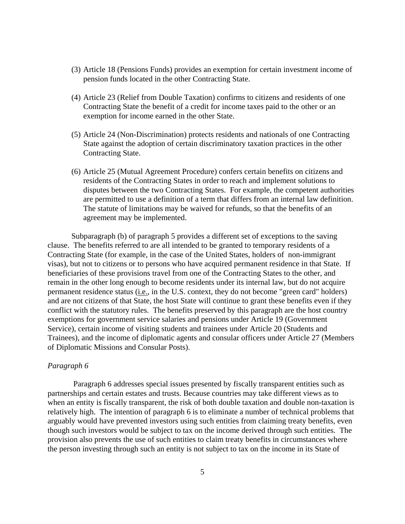- (3) Article 18 (Pensions Funds) provides an exemption for certain investment income of pension funds located in the other Contracting State.
- (4) Article 23 (Relief from Double Taxation) confirms to citizens and residents of one Contracting State the benefit of a credit for income taxes paid to the other or an exemption for income earned in the other State.
- (5) Article 24 (Non-Discrimination) protects residents and nationals of one Contracting State against the adoption of certain discriminatory taxation practices in the other Contracting State.
- (6) Article 25 (Mutual Agreement Procedure) confers certain benefits on citizens and residents of the Contracting States in order to reach and implement solutions to disputes between the two Contracting States. For example, the competent authorities are permitted to use a definition of a term that differs from an internal law definition. The statute of limitations may be waived for refunds, so that the benefits of an agreement may be implemented.

Subparagraph (b) of paragraph 5 provides a different set of exceptions to the saving clause. The benefits referred to are all intended to be granted to temporary residents of a Contracting State (for example, in the case of the United States, holders of non-immigrant visas), but not to citizens or to persons who have acquired permanent residence in that State. If beneficiaries of these provisions travel from one of the Contracting States to the other, and remain in the other long enough to become residents under its internal law, but do not acquire permanent residence status (i.e., in the U.S. context, they do not become "green card" holders) and are not citizens of that State, the host State will continue to grant these benefits even if they conflict with the statutory rules. The benefits preserved by this paragraph are the host country exemptions for government service salaries and pensions under Article 19 (Government Service), certain income of visiting students and trainees under Article 20 (Students and Trainees), and the income of diplomatic agents and consular officers under Article 27 (Members of Diplomatic Missions and Consular Posts).

### *Paragraph 6*

 Paragraph 6 addresses special issues presented by fiscally transparent entities such as partnerships and certain estates and trusts. Because countries may take different views as to when an entity is fiscally transparent, the risk of both double taxation and double non-taxation is relatively high. The intention of paragraph 6 is to eliminate a number of technical problems that arguably would have prevented investors using such entities from claiming treaty benefits, even though such investors would be subject to tax on the income derived through such entities. The provision also prevents the use of such entities to claim treaty benefits in circumstances where the person investing through such an entity is not subject to tax on the income in its State of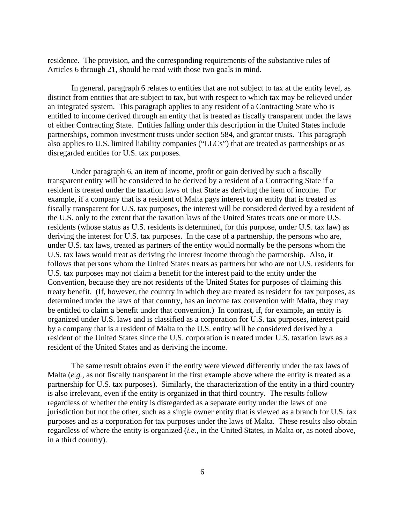residence. The provision, and the corresponding requirements of the substantive rules of Articles 6 through 21, should be read with those two goals in mind.

In general, paragraph 6 relates to entities that are not subject to tax at the entity level, as distinct from entities that are subject to tax, but with respect to which tax may be relieved under an integrated system. This paragraph applies to any resident of a Contracting State who is entitled to income derived through an entity that is treated as fiscally transparent under the laws of either Contracting State. Entities falling under this description in the United States include partnerships, common investment trusts under section 584, and grantor trusts. This paragraph also applies to U.S. limited liability companies ("LLCs") that are treated as partnerships or as disregarded entities for U.S. tax purposes.

Under paragraph 6, an item of income, profit or gain derived by such a fiscally transparent entity will be considered to be derived by a resident of a Contracting State if a resident is treated under the taxation laws of that State as deriving the item of income. For example, if a company that is a resident of Malta pays interest to an entity that is treated as fiscally transparent for U.S. tax purposes, the interest will be considered derived by a resident of the U.S. only to the extent that the taxation laws of the United States treats one or more U.S. residents (whose status as U.S. residents is determined, for this purpose, under U.S. tax law) as deriving the interest for U.S. tax purposes. In the case of a partnership, the persons who are, under U.S. tax laws, treated as partners of the entity would normally be the persons whom the U.S. tax laws would treat as deriving the interest income through the partnership. Also, it follows that persons whom the United States treats as partners but who are not U.S. residents for U.S. tax purposes may not claim a benefit for the interest paid to the entity under the Convention, because they are not residents of the United States for purposes of claiming this treaty benefit. (If, however, the country in which they are treated as resident for tax purposes, as determined under the laws of that country, has an income tax convention with Malta, they may be entitled to claim a benefit under that convention.) In contrast, if, for example, an entity is organized under U.S. laws and is classified as a corporation for U.S. tax purposes, interest paid by a company that is a resident of Malta to the U.S. entity will be considered derived by a resident of the United States since the U.S. corporation is treated under U.S. taxation laws as a resident of the United States and as deriving the income.

The same result obtains even if the entity were viewed differently under the tax laws of Malta (*e.g.*, as not fiscally transparent in the first example above where the entity is treated as a partnership for U.S. tax purposes). Similarly, the characterization of the entity in a third country is also irrelevant, even if the entity is organized in that third country. The results follow regardless of whether the entity is disregarded as a separate entity under the laws of one jurisdiction but not the other, such as a single owner entity that is viewed as a branch for U.S. tax purposes and as a corporation for tax purposes under the laws of Malta. These results also obtain regardless of where the entity is organized (*i.e.*, in the United States, in Malta or, as noted above, in a third country).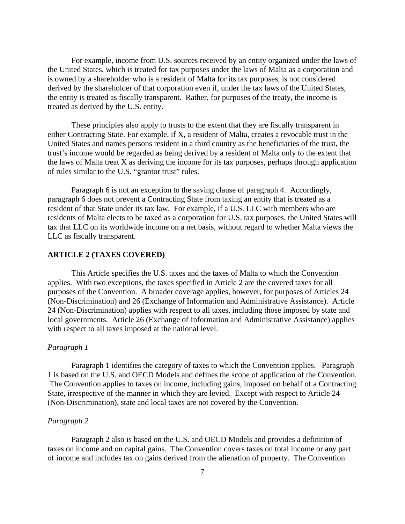For example, income from U.S. sources received by an entity organized under the laws of the United States, which is treated for tax purposes under the laws of Malta as a corporation and is owned by a shareholder who is a resident of Malta for its tax purposes, is not considered derived by the shareholder of that corporation even if, under the tax laws of the United States, the entity is treated as fiscally transparent. Rather, for purposes of the treaty, the income is treated as derived by the U.S. entity.

These principles also apply to trusts to the extent that they are fiscally transparent in either Contracting State. For example, if X, a resident of Malta, creates a revocable trust in the United States and names persons resident in a third country as the beneficiaries of the trust, the trust's income would be regarded as being derived by a resident of Malta only to the extent that the laws of Malta treat X as deriving the income for its tax purposes, perhaps through application of rules similar to the U.S. "grantor trust" rules.

Paragraph 6 is not an exception to the saving clause of paragraph 4. Accordingly, paragraph 6 does not prevent a Contracting State from taxing an entity that is treated as a resident of that State under its tax law. For example, if a U.S. LLC with members who are residents of Malta elects to be taxed as a corporation for U.S. tax purposes, the United States will tax that LLC on its worldwide income on a net basis, without regard to whether Malta views the LLC as fiscally transparent.

### **ARTICLE 2 (TAXES COVERED)**

This Article specifies the U.S. taxes and the taxes of Malta to which the Convention applies. With two exceptions, the taxes specified in Article 2 are the covered taxes for all purposes of the Convention. A broader coverage applies, however, for purposes of Articles 24 (Non-Discrimination) and 26 (Exchange of Information and Administrative Assistance). Article 24 (Non-Discrimination) applies with respect to all taxes, including those imposed by state and local governments. Article 26 (Exchange of Information and Administrative Assistance) applies with respect to all taxes imposed at the national level.

#### *Paragraph 1*

Paragraph 1 identifies the category of taxes to which the Convention applies. Paragraph 1 is based on the U.S. and OECD Models and defines the scope of application of the Convention. The Convention applies to taxes on income, including gains, imposed on behalf of a Contracting State, irrespective of the manner in which they are levied. Except with respect to Article 24 (Non-Discrimination), state and local taxes are not covered by the Convention.

#### *Paragraph 2*

Paragraph 2 also is based on the U.S. and OECD Models and provides a definition of taxes on income and on capital gains. The Convention covers taxes on total income or any part of income and includes tax on gains derived from the alienation of property. The Convention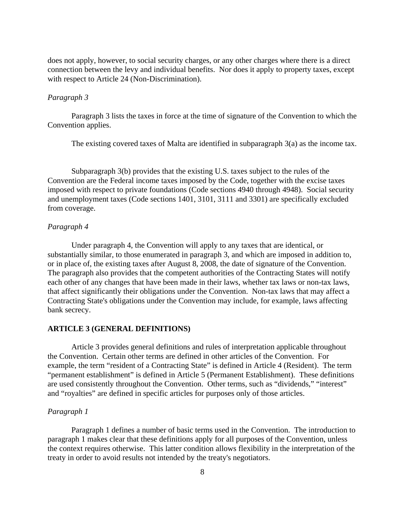does not apply, however, to social security charges, or any other charges where there is a direct connection between the levy and individual benefits. Nor does it apply to property taxes, except with respect to Article 24 (Non-Discrimination).

### *Paragraph 3*

Paragraph 3 lists the taxes in force at the time of signature of the Convention to which the Convention applies.

The existing covered taxes of Malta are identified in subparagraph 3(a) as the income tax.

Subparagraph 3(b) provides that the existing U.S. taxes subject to the rules of the Convention are the Federal income taxes imposed by the Code, together with the excise taxes imposed with respect to private foundations (Code sections 4940 through 4948). Social security and unemployment taxes (Code sections 1401, 3101, 3111 and 3301) are specifically excluded from coverage.

### *Paragraph 4*

Under paragraph 4, the Convention will apply to any taxes that are identical, or substantially similar, to those enumerated in paragraph 3, and which are imposed in addition to, or in place of, the existing taxes after August 8, 2008, the date of signature of the Convention. The paragraph also provides that the competent authorities of the Contracting States will notify each other of any changes that have been made in their laws, whether tax laws or non-tax laws, that affect significantly their obligations under the Convention. Non-tax laws that may affect a Contracting State's obligations under the Convention may include, for example, laws affecting bank secrecy.

#### **ARTICLE 3 (GENERAL DEFINITIONS)**

Article 3 provides general definitions and rules of interpretation applicable throughout the Convention. Certain other terms are defined in other articles of the Convention. For example, the term "resident of a Contracting State" is defined in Article 4 (Resident). The term "permanent establishment" is defined in Article 5 (Permanent Establishment). These definitions are used consistently throughout the Convention. Other terms, such as "dividends," "interest" and "royalties" are defined in specific articles for purposes only of those articles.

#### *Paragraph 1*

Paragraph 1 defines a number of basic terms used in the Convention. The introduction to paragraph 1 makes clear that these definitions apply for all purposes of the Convention, unless the context requires otherwise. This latter condition allows flexibility in the interpretation of the treaty in order to avoid results not intended by the treaty's negotiators.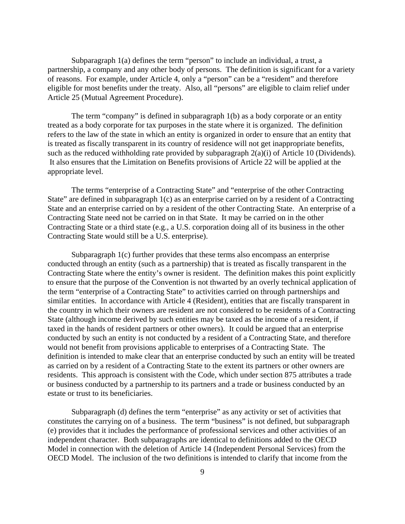Subparagraph 1(a) defines the term "person" to include an individual, a trust, a partnership, a company and any other body of persons. The definition is significant for a variety of reasons. For example, under Article 4, only a "person" can be a "resident" and therefore eligible for most benefits under the treaty. Also, all "persons" are eligible to claim relief under Article 25 (Mutual Agreement Procedure).

The term "company" is defined in subparagraph 1(b) as a body corporate or an entity treated as a body corporate for tax purposes in the state where it is organized. The definition refers to the law of the state in which an entity is organized in order to ensure that an entity that is treated as fiscally transparent in its country of residence will not get inappropriate benefits, such as the reduced withholding rate provided by subparagraph  $2(a)(i)$  of Article 10 (Dividends). It also ensures that the Limitation on Benefits provisions of Article 22 will be applied at the appropriate level.

The terms "enterprise of a Contracting State" and "enterprise of the other Contracting State" are defined in subparagraph 1(c) as an enterprise carried on by a resident of a Contracting State and an enterprise carried on by a resident of the other Contracting State. An enterprise of a Contracting State need not be carried on in that State. It may be carried on in the other Contracting State or a third state (e.g., a U.S. corporation doing all of its business in the other Contracting State would still be a U.S. enterprise).

Subparagraph 1(c) further provides that these terms also encompass an enterprise conducted through an entity (such as a partnership) that is treated as fiscally transparent in the Contracting State where the entity's owner is resident. The definition makes this point explicitly to ensure that the purpose of the Convention is not thwarted by an overly technical application of the term "enterprise of a Contracting State" to activities carried on through partnerships and similar entities. In accordance with Article 4 (Resident), entities that are fiscally transparent in the country in which their owners are resident are not considered to be residents of a Contracting State (although income derived by such entities may be taxed as the income of a resident, if taxed in the hands of resident partners or other owners). It could be argued that an enterprise conducted by such an entity is not conducted by a resident of a Contracting State, and therefore would not benefit from provisions applicable to enterprises of a Contracting State. The definition is intended to make clear that an enterprise conducted by such an entity will be treated as carried on by a resident of a Contracting State to the extent its partners or other owners are residents. This approach is consistent with the Code, which under section 875 attributes a trade or business conducted by a partnership to its partners and a trade or business conducted by an estate or trust to its beneficiaries.

Subparagraph (d) defines the term "enterprise" as any activity or set of activities that constitutes the carrying on of a business. The term "business" is not defined, but subparagraph (e) provides that it includes the performance of professional services and other activities of an independent character. Both subparagraphs are identical to definitions added to the OECD Model in connection with the deletion of Article 14 (Independent Personal Services) from the OECD Model. The inclusion of the two definitions is intended to clarify that income from the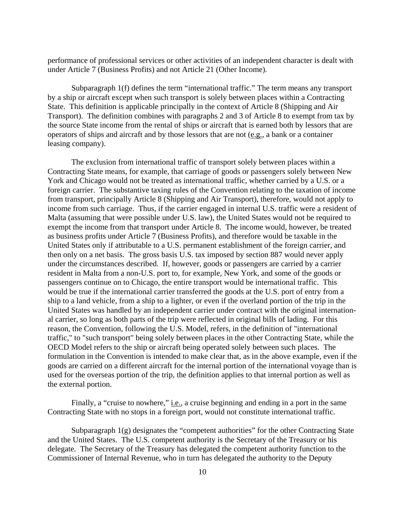performance of professional services or other activities of an independent character is dealt with under Article 7 (Business Profits) and not Article 21 (Other Income).

Subparagraph 1(f) defines the term "international traffic." The term means any transport by a ship or aircraft except when such transport is solely between places within a Contracting State. This definition is applicable principally in the context of Article 8 (Shipping and Air Transport). The definition combines with paragraphs 2 and 3 of Article 8 to exempt from tax by the source State income from the rental of ships or aircraft that is earned both by lessors that are operators of ships and aircraft and by those lessors that are not (e.g., a bank or a container leasing company).

The exclusion from international traffic of transport solely between places within a Contracting State means, for example, that carriage of goods or passengers solely between New York and Chicago would not be treated as international traffic, whether carried by a U.S. or a foreign carrier. The substantive taxing rules of the Convention relating to the taxation of income from transport, principally Article 8 (Shipping and Air Transport), therefore, would not apply to income from such carriage. Thus, if the carrier engaged in internal U.S. traffic were a resident of Malta (assuming that were possible under U.S. law), the United States would not be required to exempt the income from that transport under Article 8. The income would, however, be treated as business profits under Article 7 (Business Profits), and therefore would be taxable in the United States only if attributable to a U.S. permanent establishment of the foreign carrier, and then only on a net basis. The gross basis U.S. tax imposed by section 887 would never apply under the circumstances described. If, however, goods or passengers are carried by a carrier resident in Malta from a non-U.S. port to, for example, New York, and some of the goods or passengers continue on to Chicago, the entire transport would be international traffic. This would be true if the international carrier transferred the goods at the U.S. port of entry from a ship to a land vehicle, from a ship to a lighter, or even if the overland portion of the trip in the United States was handled by an independent carrier under contract with the original international carrier, so long as both parts of the trip were reflected in original bills of lading. For this reason, the Convention, following the U.S. Model, refers, in the definition of "international traffic," to "such transport" being solely between places in the other Contracting State, while the OECD Model refers to the ship or aircraft being operated solely between such places. The formulation in the Convention is intended to make clear that, as in the above example, even if the goods are carried on a different aircraft for the internal portion of the international voyage than is used for the overseas portion of the trip, the definition applies to that internal portion as well as the external portion.

Finally, a "cruise to nowhere," i.e., a cruise beginning and ending in a port in the same Contracting State with no stops in a foreign port, would not constitute international traffic.

Subparagraph  $1(g)$  designates the "competent authorities" for the other Contracting State and the United States. The U.S. competent authority is the Secretary of the Treasury or his delegate. The Secretary of the Treasury has delegated the competent authority function to the Commissioner of Internal Revenue, who in turn has delegated the authority to the Deputy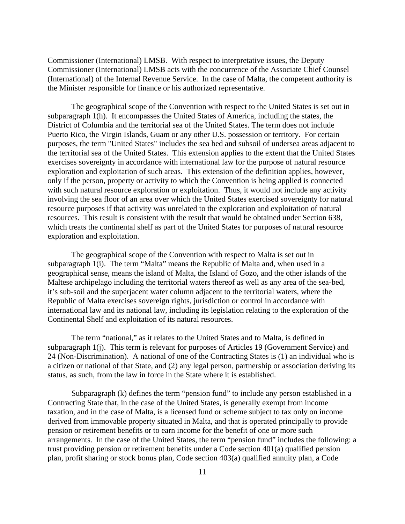Commissioner (International) LMSB. With respect to interpretative issues, the Deputy Commissioner (International) LMSB acts with the concurrence of the Associate Chief Counsel (International) of the Internal Revenue Service. In the case of Malta, the competent authority is the Minister responsible for finance or his authorized representative.

The geographical scope of the Convention with respect to the United States is set out in subparagraph 1(h). It encompasses the United States of America, including the states, the District of Columbia and the territorial sea of the United States. The term does not include Puerto Rico, the Virgin Islands, Guam or any other U.S. possession or territory. For certain purposes, the term "United States" includes the sea bed and subsoil of undersea areas adjacent to the territorial sea of the United States. This extension applies to the extent that the United States exercises sovereignty in accordance with international law for the purpose of natural resource exploration and exploitation of such areas. This extension of the definition applies, however, only if the person, property or activity to which the Convention is being applied is connected with such natural resource exploration or exploitation. Thus, it would not include any activity involving the sea floor of an area over which the United States exercised sovereignty for natural resource purposes if that activity was unrelated to the exploration and exploitation of natural resources. This result is consistent with the result that would be obtained under Section 638, which treats the continental shelf as part of the United States for purposes of natural resource exploration and exploitation.

The geographical scope of the Convention with respect to Malta is set out in subparagraph 1(i). The term "Malta" means the Republic of Malta and, when used in a geographical sense, means the island of Malta, the Island of Gozo, and the other islands of the Maltese archipelago including the territorial waters thereof as well as any area of the sea-bed, it's sub-soil and the superjacent water column adjacent to the territorial waters, where the Republic of Malta exercises sovereign rights, jurisdiction or control in accordance with international law and its national law, including its legislation relating to the exploration of the Continental Shelf and exploitation of its natural resources.

The term "national," as it relates to the United States and to Malta, is defined in subparagraph 1(j). This term is relevant for purposes of Articles 19 (Government Service) and 24 (Non-Discrimination). A national of one of the Contracting States is (1) an individual who is a citizen or national of that State, and (2) any legal person, partnership or association deriving its status, as such, from the law in force in the State where it is established.

 arrangements. In the case of the United States, the term "pension fund" includes the following: a Subparagraph (k) defines the term "pension fund" to include any person established in a Contracting State that, in the case of the United States, is generally exempt from income taxation, and in the case of Malta, is a licensed fund or scheme subject to tax only on income derived from immovable property situated in Malta, and that is operated principally to provide pension or retirement benefits or to earn income for the benefit of one or more such trust providing pension or retirement benefits under a Code section 401(a) qualified pension plan, profit sharing or stock bonus plan, Code section 403(a) qualified annuity plan, a Code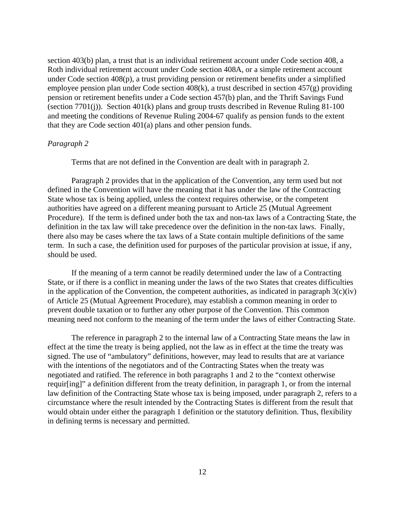section 403(b) plan, a trust that is an individual retirement account under Code section 408, a Roth individual retirement account under Code section 408A, or a simple retirement account under Code section 408(p), a trust providing pension or retirement benefits under a simplified employee pension plan under Code section 408(k), a trust described in section 457(g) providing pension or retirement benefits under a Code section 457(b) plan, and the Thrift Savings Fund (section 7701(j)). Section 401(k) plans and group trusts described in Revenue Ruling 81-100 and meeting the conditions of Revenue Ruling 2004-67 qualify as pension funds to the extent that they are Code section 401(a) plans and other pension funds.

### *Paragraph 2*

Terms that are not defined in the Convention are dealt with in paragraph 2.

Paragraph 2 provides that in the application of the Convention, any term used but not defined in the Convention will have the meaning that it has under the law of the Contracting State whose tax is being applied, unless the context requires otherwise, or the competent authorities have agreed on a different meaning pursuant to Article 25 (Mutual Agreement Procedure). If the term is defined under both the tax and non-tax laws of a Contracting State, the definition in the tax law will take precedence over the definition in the non-tax laws. Finally, there also may be cases where the tax laws of a State contain multiple definitions of the same term. In such a case, the definition used for purposes of the particular provision at issue, if any, should be used.

If the meaning of a term cannot be readily determined under the law of a Contracting State, or if there is a conflict in meaning under the laws of the two States that creates difficulties in the application of the Convention, the competent authorities, as indicated in paragraph  $3(c)(iv)$ of Article 25 (Mutual Agreement Procedure), may establish a common meaning in order to prevent double taxation or to further any other purpose of the Convention. This common meaning need not conform to the meaning of the term under the laws of either Contracting State.

The reference in paragraph 2 to the internal law of a Contracting State means the law in effect at the time the treaty is being applied, not the law as in effect at the time the treaty was signed. The use of "ambulatory" definitions, however, may lead to results that are at variance with the intentions of the negotiators and of the Contracting States when the treaty was negotiated and ratified. The reference in both paragraphs 1 and 2 to the "context otherwise requir[ing]" a definition different from the treaty definition, in paragraph 1, or from the internal law definition of the Contracting State whose tax is being imposed, under paragraph 2, refers to a circumstance where the result intended by the Contracting States is different from the result that would obtain under either the paragraph 1 definition or the statutory definition. Thus, flexibility in defining terms is necessary and permitted.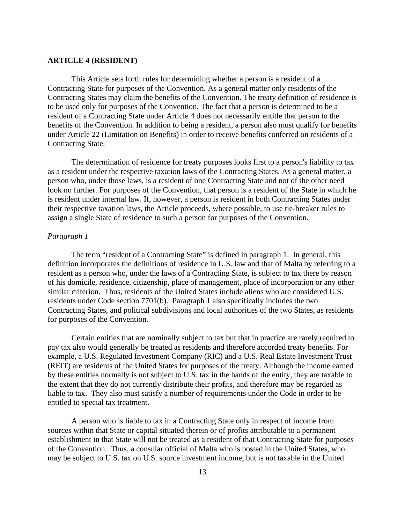### **ARTICLE 4 (RESIDENT)**

This Article sets forth rules for determining whether a person is a resident of a Contracting State for purposes of the Convention. As a general matter only residents of the Contracting States may claim the benefits of the Convention. The treaty definition of residence is to be used only for purposes of the Convention. The fact that a person is determined to be a resident of a Contracting State under Article 4 does not necessarily entitle that person to the benefits of the Convention. In addition to being a resident, a person also must qualify for benefits under Article 22 (Limitation on Benefits) in order to receive benefits conferred on residents of a Contracting State.

The determination of residence for treaty purposes looks first to a person's liability to tax as a resident under the respective taxation laws of the Contracting States. As a general matter, a person who, under those laws, is a resident of one Contracting State and not of the other need look no further. For purposes of the Convention, that person is a resident of the State in which he is resident under internal law. If, however, a person is resident in both Contracting States under their respective taxation laws, the Article proceeds, where possible, to use tie-breaker rules to assign a single State of residence to such a person for purposes of the Convention.

## *Paragraph 1*

The term "resident of a Contracting State" is defined in paragraph 1. In general, this definition incorporates the definitions of residence in U.S. law and that of Malta by referring to a resident as a person who, under the laws of a Contracting State, is subject to tax there by reason of his domicile, residence, citizenship, place of management, place of incorporation or any other similar criterion. Thus, residents of the United States include aliens who are considered U.S. residents under Code section 7701(b). Paragraph 1 also specifically includes the two Contracting States, and political subdivisions and local authorities of the two States, as residents for purposes of the Convention.

Certain entities that are nominally subject to tax but that in practice are rarely required to pay tax also would generally be treated as residents and therefore accorded treaty benefits. For example, a U.S. Regulated Investment Company (RIC) and a U.S. Real Estate Investment Trust (REIT) are residents of the United States for purposes of the treaty. Although the income earned by these entities normally is not subject to U.S. tax in the hands of the entity, they are taxable to the extent that they do not currently distribute their profits, and therefore may be regarded as liable to tax. They also must satisfy a number of requirements under the Code in order to be entitled to special tax treatment.

A person who is liable to tax in a Contracting State only in respect of income from sources within that State or capital situated therein or of profits attributable to a permanent establishment in that State will not be treated as a resident of that Contracting State for purposes of the Convention. Thus, a consular official of Malta who is posted in the United States, who may be subject to U.S. tax on U.S. source investment income, but is not taxable in the United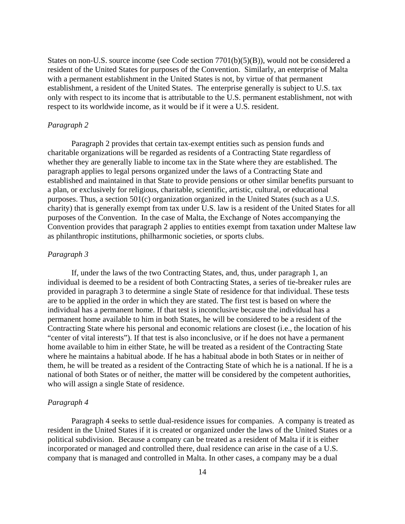States on non-U.S. source income (see Code section 7701(b)(5)(B)), would not be considered a resident of the United States for purposes of the Convention. Similarly, an enterprise of Malta with a permanent establishment in the United States is not, by virtue of that permanent establishment, a resident of the United States. The enterprise generally is subject to U.S. tax only with respect to its income that is attributable to the U.S. permanent establishment, not with respect to its worldwide income, as it would be if it were a U.S. resident.

### *Paragraph 2*

Paragraph 2 provides that certain tax-exempt entities such as pension funds and charitable organizations will be regarded as residents of a Contracting State regardless of whether they are generally liable to income tax in the State where they are established. The paragraph applies to legal persons organized under the laws of a Contracting State and established and maintained in that State to provide pensions or other similar benefits pursuant to a plan, or exclusively for religious, charitable, scientific, artistic, cultural, or educational purposes. Thus, a section 501(c) organization organized in the United States (such as a U.S. charity) that is generally exempt from tax under U.S. law is a resident of the United States for all purposes of the Convention. In the case of Malta, the Exchange of Notes accompanying the Convention provides that paragraph 2 applies to entities exempt from taxation under Maltese law as philanthropic institutions, philharmonic societies, or sports clubs.

## *Paragraph 3*

If, under the laws of the two Contracting States, and, thus, under paragraph 1, an individual is deemed to be a resident of both Contracting States, a series of tie-breaker rules are provided in paragraph 3 to determine a single State of residence for that individual. These tests are to be applied in the order in which they are stated. The first test is based on where the individual has a permanent home. If that test is inconclusive because the individual has a permanent home available to him in both States, he will be considered to be a resident of the Contracting State where his personal and economic relations are closest (i.e., the location of his "center of vital interests"). If that test is also inconclusive, or if he does not have a permanent home available to him in either State, he will be treated as a resident of the Contracting State where he maintains a habitual abode. If he has a habitual abode in both States or in neither of them, he will be treated as a resident of the Contracting State of which he is a national. If he is a national of both States or of neither, the matter will be considered by the competent authorities, who will assign a single State of residence.

#### *Paragraph 4*

Paragraph 4 seeks to settle dual-residence issues for companies. A company is treated as resident in the United States if it is created or organized under the laws of the United States or a political subdivision. Because a company can be treated as a resident of Malta if it is either incorporated or managed and controlled there, dual residence can arise in the case of a U.S. company that is managed and controlled in Malta. In other cases, a company may be a dual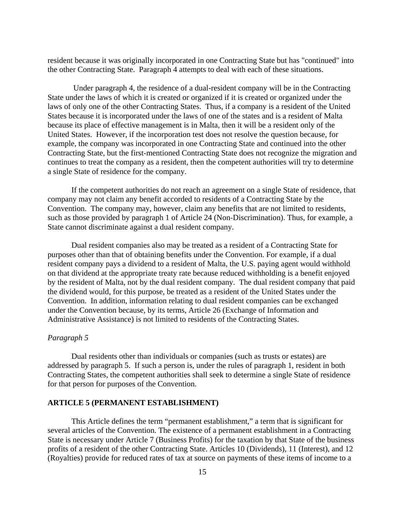resident because it was originally incorporated in one Contracting State but has "continued" into the other Contracting State. Paragraph 4 attempts to deal with each of these situations.

 Under paragraph 4, the residence of a dual-resident company will be in the Contracting State under the laws of which it is created or organized if it is created or organized under the laws of only one of the other Contracting States. Thus, if a company is a resident of the United States because it is incorporated under the laws of one of the states and is a resident of Malta because its place of effective management is in Malta, then it will be a resident only of the United States. However, if the incorporation test does not resolve the question because, for example, the company was incorporated in one Contracting State and continued into the other Contracting State, but the first-mentioned Contracting State does not recognize the migration and continues to treat the company as a resident, then the competent authorities will try to determine a single State of residence for the company.

If the competent authorities do not reach an agreement on a single State of residence, that company may not claim any benefit accorded to residents of a Contracting State by the Convention. The company may, however, claim any benefits that are not limited to residents, such as those provided by paragraph 1 of Article 24 (Non-Discrimination). Thus, for example, a State cannot discriminate against a dual resident company.

Dual resident companies also may be treated as a resident of a Contracting State for purposes other than that of obtaining benefits under the Convention. For example, if a dual resident company pays a dividend to a resident of Malta, the U.S. paying agent would withhold on that dividend at the appropriate treaty rate because reduced withholding is a benefit enjoyed by the resident of Malta, not by the dual resident company. The dual resident company that paid the dividend would, for this purpose, be treated as a resident of the United States under the Convention. In addition, information relating to dual resident companies can be exchanged under the Convention because, by its terms, Article 26 (Exchange of Information and Administrative Assistance) is not limited to residents of the Contracting States.

## *Paragraph 5*

Dual residents other than individuals or companies (such as trusts or estates) are addressed by paragraph 5. If such a person is, under the rules of paragraph 1, resident in both Contracting States, the competent authorities shall seek to determine a single State of residence for that person for purposes of the Convention.

#### **ARTICLE 5 (PERMANENT ESTABLISHMENT)**

This Article defines the term "permanent establishment," a term that is significant for several articles of the Convention. The existence of a permanent establishment in a Contracting State is necessary under Article 7 (Business Profits) for the taxation by that State of the business profits of a resident of the other Contracting State. Articles 10 (Dividends), 11 (Interest), and 12 (Royalties) provide for reduced rates of tax at source on payments of these items of income to a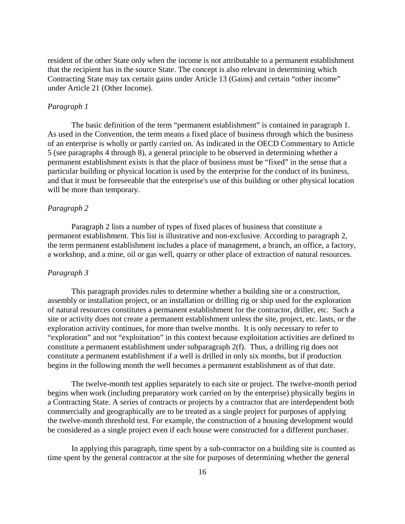resident of the other State only when the income is not attributable to a permanent establishment that the recipient has in the source State. The concept is also relevant in determining which Contracting State may tax certain gains under Article 13 (Gains) and certain "other income" under Article 21 (Other Income).

#### *Paragraph 1*

The basic definition of the term "permanent establishment" is contained in paragraph 1. As used in the Convention, the term means a fixed place of business through which the business of an enterprise is wholly or partly carried on. As indicated in the OECD Commentary to Article 5 (see paragraphs 4 through 8), a general principle to be observed in determining whether a permanent establishment exists is that the place of business must be "fixed" in the sense that a particular building or physical location is used by the enterprise for the conduct of its business, and that it must be foreseeable that the enterprise's use of this building or other physical location will be more than temporary.

## *Paragraph 2*

Paragraph 2 lists a number of types of fixed places of business that constitute a permanent establishment. This list is illustrative and non-exclusive. According to paragraph 2, the term permanent establishment includes a place of management, a branch, an office, a factory, a workshop, and a mine, oil or gas well, quarry or other place of extraction of natural resources.

#### *Paragraph 3*

This paragraph provides rules to determine whether a building site or a construction, assembly or installation project, or an installation or drilling rig or ship used for the exploration of natural resources constitutes a permanent establishment for the contractor, driller, etc. Such a site or activity does not create a permanent establishment unless the site, project, etc. lasts, or the exploration activity continues, for more than twelve months. It is only necessary to refer to "exploration" and not "exploitation" in this context because exploitation activities are defined to constitute a permanent establishment under subparagraph 2(f). Thus, a drilling rig does not constitute a permanent establishment if a well is drilled in only six months, but if production begins in the following month the well becomes a permanent establishment as of that date.

The twelve-month test applies separately to each site or project. The twelve-month period begins when work (including preparatory work carried on by the enterprise) physically begins in a Contracting State. A series of contracts or projects by a contractor that are interdependent both commercially and geographically are to be treated as a single project for purposes of applying the twelve-month threshold test. For example, the construction of a housing development would be considered as a single project even if each house were constructed for a different purchaser.

In applying this paragraph, time spent by a sub-contractor on a building site is counted as time spent by the general contractor at the site for purposes of determining whether the general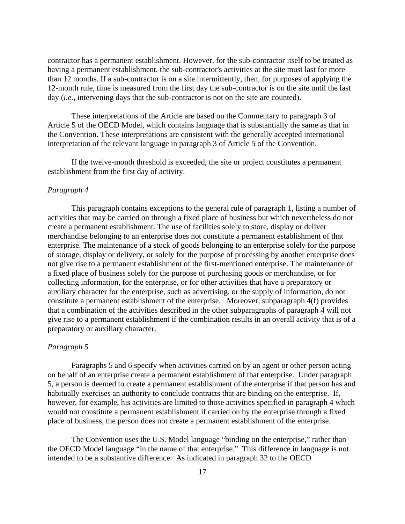contractor has a permanent establishment. However, for the sub-contractor itself to be treated as having a permanent establishment, the sub-contractor's activities at the site must last for more than 12 months. If a sub-contractor is on a site intermittently, then, for purposes of applying the 12-month rule, time is measured from the first day the sub-contractor is on the site until the last day *(i.e.,* intervening days that the sub-contractor is not on the site are counted).

These interpretations of the Article are based on the Commentary to paragraph 3 of Article 5 of the OECD Model, which contains language that is substantially the same as that in the Convention. These interpretations are consistent with the generally accepted international interpretation of the relevant language in paragraph 3 of Article 5 of the Convention.

If the twelve-month threshold is exceeded, the site or project constitutes a permanent establishment from the first day of activity.

### *Paragraph 4*

This paragraph contains exceptions to the general rule of paragraph 1, listing a number of activities that may be carried on through a fixed place of business but which nevertheless do not create a permanent establishment. The use of facilities solely to store, display or deliver merchandise belonging to an enterprise does not constitute a permanent establishment of that enterprise. The maintenance of a stock of goods belonging to an enterprise solely for the purpose of storage, display or delivery, or solely for the purpose of processing by another enterprise does not give rise to a permanent establishment of the first-mentioned enterprise. The maintenance of a fixed place of business solely for the purpose of purchasing goods or merchandise, or for collecting information, for the enterprise, or for other activities that have a preparatory or auxiliary character for the enterprise, such as advertising, or the supply of information, do not constitute a permanent establishment of the enterprise. Moreover, subparagraph 4(f) provides that a combination of the activities described in the other subparagraphs of paragraph 4 will not give rise to a permanent establishment if the combination results in an overall activity that is of a preparatory or auxiliary character.

### *Paragraph 5*

Paragraphs 5 and 6 specify when activities carried on by an agent or other person acting on behalf of an enterprise create a permanent establishment of that enterprise. Under paragraph 5, a person is deemed to create a permanent establishment of the enterprise if that person has and habitually exercises an authority to conclude contracts that are binding on the enterprise. If, however, for example, his activities are limited to those activities specified in paragraph 4 which would not constitute a permanent establishment if carried on by the enterprise through a fixed place of business, the person does not create a permanent establishment of the enterprise.

The Convention uses the U.S. Model language "binding on the enterprise," rather than the OECD Model language "in the name of that enterprise." This difference in language is not intended to be a substantive difference. As indicated in paragraph 32 to the OECD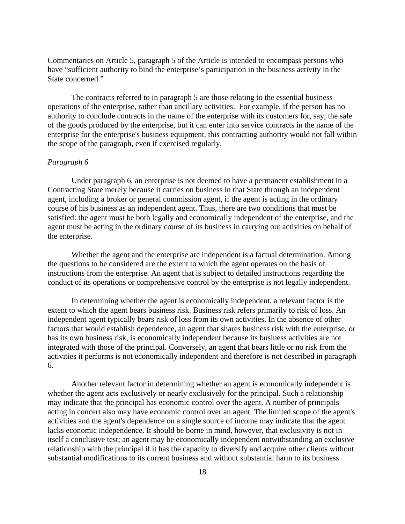Commentaries on Article 5, paragraph 5 of the Article is intended to encompass persons who have "sufficient authority to bind the enterprise's participation in the business activity in the State concerned."

The contracts referred to in paragraph 5 are those relating to the essential business operations of the enterprise, rather than ancillary activities. For example, if the person has no authority to conclude contracts in the name of the enterprise with its customers for, say, the sale of the goods produced by the enterprise, but it can enter into service contracts in the name of the enterprise for the enterprise's business equipment, this contracting authority would not fall within the scope of the paragraph, even if exercised regularly.

### *Paragraph 6*

Under paragraph 6, an enterprise is not deemed to have a permanent establishment in a Contracting State merely because it carries on business in that State through an independent agent, including a broker or general commission agent, if the agent is acting in the ordinary course of his business as an independent agent. Thus, there are two conditions that must be satisfied: the agent must be both legally and economically independent of the enterprise, and the agent must be acting in the ordinary course of its business in carrying out activities on behalf of the enterprise.

Whether the agent and the enterprise are independent is a factual determination. Among the questions to be considered are the extent to which the agent operates on the basis of instructions from the enterprise. An agent that is subject to detailed instructions regarding the conduct of its operations or comprehensive control by the enterprise is not legally independent.

In determining whether the agent is economically independent, a relevant factor is the extent to which the agent bears business risk. Business risk refers primarily to risk of loss. An independent agent typically bears risk of loss from its own activities. In the absence of other factors that would establish dependence, an agent that shares business risk with the enterprise, or has its own business risk, is economically independent because its business activities are not integrated with those of the principal. Conversely, an agent that bears little or no risk from the activities it performs is not economically independent and therefore is not described in paragraph 6.

Another relevant factor in determining whether an agent is economically independent is whether the agent acts exclusively or nearly exclusively for the principal. Such a relationship may indicate that the principal has economic control over the agent. A number of principals acting in concert also may have economic control over an agent. The limited scope of the agent's activities and the agent's dependence on a single source of income may indicate that the agent lacks economic independence. It should be borne in mind, however, that exclusivity is not in itself a conclusive test; an agent may be economically independent notwithstanding an exclusive relationship with the principal if it has the capacity to diversify and acquire other clients without substantial modifications to its current business and without substantial harm to its business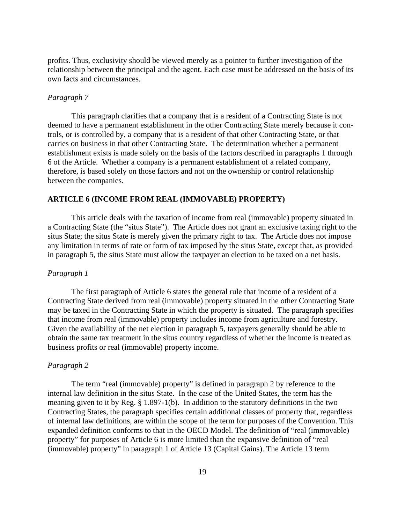profits. Thus, exclusivity should be viewed merely as a pointer to further investigation of the relationship between the principal and the agent. Each case must be addressed on the basis of its own facts and circumstances.

### *Paragraph 7*

This paragraph clarifies that a company that is a resident of a Contracting State is not deemed to have a permanent establishment in the other Contracting State merely because it controls, or is controlled by, a company that is a resident of that other Contracting State, or that carries on business in that other Contracting State. The determination whether a permanent establishment exists is made solely on the basis of the factors described in paragraphs 1 through 6 of the Article. Whether a company is a permanent establishment of a related company, therefore, is based solely on those factors and not on the ownership or control relationship between the companies.

### **ARTICLE 6 (INCOME FROM REAL (IMMOVABLE) PROPERTY)**

This article deals with the taxation of income from real (immovable) property situated in a Contracting State (the "situs State"). The Article does not grant an exclusive taxing right to the situs State; the situs State is merely given the primary right to tax. The Article does not impose any limitation in terms of rate or form of tax imposed by the situs State, except that, as provided in paragraph 5, the situs State must allow the taxpayer an election to be taxed on a net basis.

### *Paragraph 1*

The first paragraph of Article 6 states the general rule that income of a resident of a Contracting State derived from real (immovable) property situated in the other Contracting State may be taxed in the Contracting State in which the property is situated. The paragraph specifies that income from real (immovable) property includes income from agriculture and forestry. Given the availability of the net election in paragraph 5, taxpayers generally should be able to obtain the same tax treatment in the situs country regardless of whether the income is treated as business profits or real (immovable) property income.

### *Paragraph 2*

The term "real (immovable) property" is defined in paragraph 2 by reference to the internal law definition in the situs State. In the case of the United States, the term has the meaning given to it by Reg. § 1.897-1(b). In addition to the statutory definitions in the two Contracting States, the paragraph specifies certain additional classes of property that, regardless of internal law definitions, are within the scope of the term for purposes of the Convention. This expanded definition conforms to that in the OECD Model. The definition of "real (immovable) property" for purposes of Article 6 is more limited than the expansive definition of "real (immovable) property" in paragraph 1 of Article 13 (Capital Gains). The Article 13 term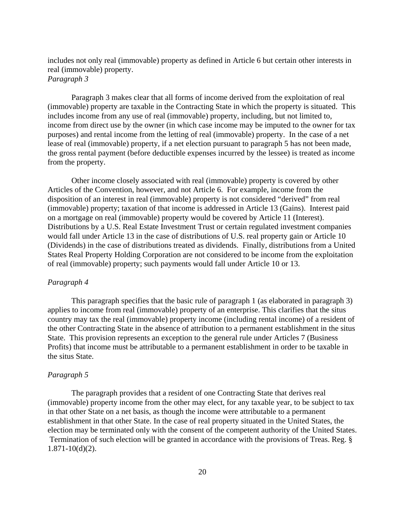includes not only real (immovable) property as defined in Article 6 but certain other interests in real (immovable) property. *Paragraph 3* 

Paragraph 3 makes clear that all forms of income derived from the exploitation of real (immovable) property are taxable in the Contracting State in which the property is situated. This includes income from any use of real (immovable) property, including, but not limited to, income from direct use by the owner (in which case income may be imputed to the owner for tax purposes) and rental income from the letting of real (immovable) property. In the case of a net lease of real (immovable) property, if a net election pursuant to paragraph 5 has not been made, the gross rental payment (before deductible expenses incurred by the lessee) is treated as income from the property.

Other income closely associated with real (immovable) property is covered by other Articles of the Convention, however, and not Article 6. For example, income from the disposition of an interest in real (immovable) property is not considered "derived" from real (immovable) property; taxation of that income is addressed in Article 13 (Gains). Interest paid on a mortgage on real (immovable) property would be covered by Article 11 (Interest). Distributions by a U.S. Real Estate Investment Trust or certain regulated investment companies would fall under Article 13 in the case of distributions of U.S. real property gain or Article 10 (Dividends) in the case of distributions treated as dividends. Finally, distributions from a United States Real Property Holding Corporation are not considered to be income from the exploitation of real (immovable) property; such payments would fall under Article 10 or 13.

## *Paragraph 4*

This paragraph specifies that the basic rule of paragraph 1 (as elaborated in paragraph 3) applies to income from real (immovable) property of an enterprise. This clarifies that the situs country may tax the real (immovable) property income (including rental income) of a resident of the other Contracting State in the absence of attribution to a permanent establishment in the situs State. This provision represents an exception to the general rule under Articles 7 (Business Profits) that income must be attributable to a permanent establishment in order to be taxable in the situs State.

## *Paragraph 5*

The paragraph provides that a resident of one Contracting State that derives real (immovable) property income from the other may elect, for any taxable year, to be subject to tax in that other State on a net basis, as though the income were attributable to a permanent establishment in that other State. In the case of real property situated in the United States, the election may be terminated only with the consent of the competent authority of the United States. Termination of such election will be granted in accordance with the provisions of Treas. Reg. §  $1.871 - 10(d)(2)$ .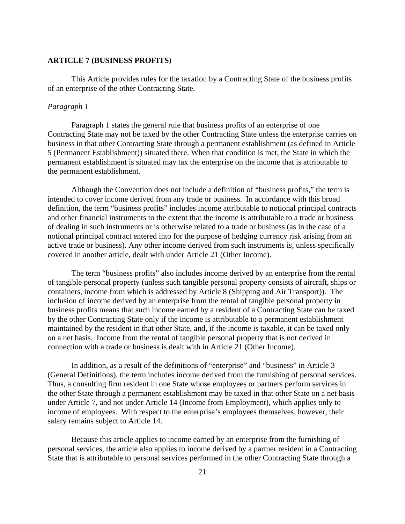#### **ARTICLE 7 (BUSINESS PROFITS)**

This Article provides rules for the taxation by a Contracting State of the business profits of an enterprise of the other Contracting State.

#### *Paragraph 1*

Paragraph 1 states the general rule that business profits of an enterprise of one Contracting State may not be taxed by the other Contracting State unless the enterprise carries on business in that other Contracting State through a permanent establishment (as defined in Article 5 (Permanent Establishment)) situated there. When that condition is met, the State in which the permanent establishment is situated may tax the enterprise on the income that is attributable to the permanent establishment.

Although the Convention does not include a definition of "business profits," the term is intended to cover income derived from any trade or business. In accordance with this broad definition, the term "business profits" includes income attributable to notional principal contracts and other financial instruments to the extent that the income is attributable to a trade or business of dealing in such instruments or is otherwise related to a trade or business (as in the case of a notional principal contract entered into for the purpose of hedging currency risk arising from an active trade or business). Any other income derived from such instruments is, unless specifically covered in another article, dealt with under Article 21 (Other Income).

The term "business profits" also includes income derived by an enterprise from the rental of tangible personal property (unless such tangible personal property consists of aircraft, ships or containers, income from which is addressed by Article 8 (Shipping and Air Transport)). The inclusion of income derived by an enterprise from the rental of tangible personal property in business profits means that such income earned by a resident of a Contracting State can be taxed by the other Contracting State only if the income is attributable to a permanent establishment maintained by the resident in that other State, and, if the income is taxable, it can be taxed only on a net basis. Income from the rental of tangible personal property that is not derived in connection with a trade or business is dealt with in Article 21 (Other Income).

In addition, as a result of the definitions of "enterprise" and "business" in Article 3 (General Definitions), the term includes income derived from the furnishing of personal services. Thus, a consulting firm resident in one State whose employees or partners perform services in the other State through a permanent establishment may be taxed in that other State on a net basis under Article 7, and not under Article 14 (Income from Employment), which applies only to income of employees. With respect to the enterprise's employees themselves, however, their salary remains subject to Article 14.

Because this article applies to income earned by an enterprise from the furnishing of personal services, the article also applies to income derived by a partner resident in a Contracting State that is attributable to personal services performed in the other Contracting State through a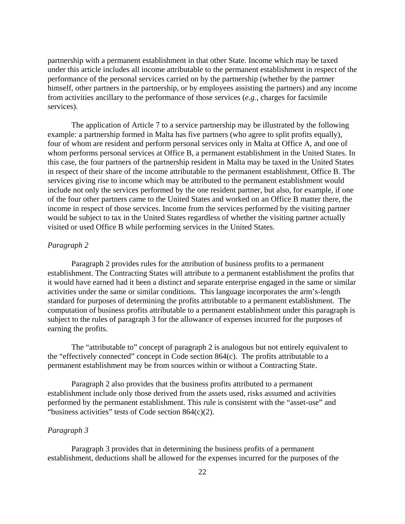partnership with a permanent establishment in that other State. Income which may be taxed under this article includes all income attributable to the permanent establishment in respect of the performance of the personal services carried on by the partnership (whether by the partner himself, other partners in the partnership, or by employees assisting the partners) and any income from activities ancillary to the performance of those services (*e.g.*, charges for facsimile services).

The application of Article 7 to a service partnership may be illustrated by the following example: a partnership formed in Malta has five partners (who agree to split profits equally), four of whom are resident and perform personal services only in Malta at Office A, and one of whom performs personal services at Office B, a permanent establishment in the United States. In this case, the four partners of the partnership resident in Malta may be taxed in the United States in respect of their share of the income attributable to the permanent establishment, Office B. The services giving rise to income which may be attributed to the permanent establishment would include not only the services performed by the one resident partner, but also, for example, if one of the four other partners came to the United States and worked on an Office B matter there, the income in respect of those services. Income from the services performed by the visiting partner would be subject to tax in the United States regardless of whether the visiting partner actually visited or used Office B while performing services in the United States.

## *Paragraph 2*

Paragraph 2 provides rules for the attribution of business profits to a permanent establishment. The Contracting States will attribute to a permanent establishment the profits that it would have earned had it been a distinct and separate enterprise engaged in the same or similar activities under the same or similar conditions. This language incorporates the arm's-length standard for purposes of determining the profits attributable to a permanent establishment. The computation of business profits attributable to a permanent establishment under this paragraph is subject to the rules of paragraph 3 for the allowance of expenses incurred for the purposes of earning the profits.

The "attributable to" concept of paragraph 2 is analogous but not entirely equivalent to the "effectively connected" concept in Code section 864(c). The profits attributable to a permanent establishment may be from sources within or without a Contracting State.

Paragraph 2 also provides that the business profits attributed to a permanent establishment include only those derived from the assets used, risks assumed and activities performed by the permanent establishment. This rule is consistent with the "asset-use" and "business activities" tests of Code section 864(c)(2).

## *Paragraph 3*

Paragraph 3 provides that in determining the business profits of a permanent establishment, deductions shall be allowed for the expenses incurred for the purposes of the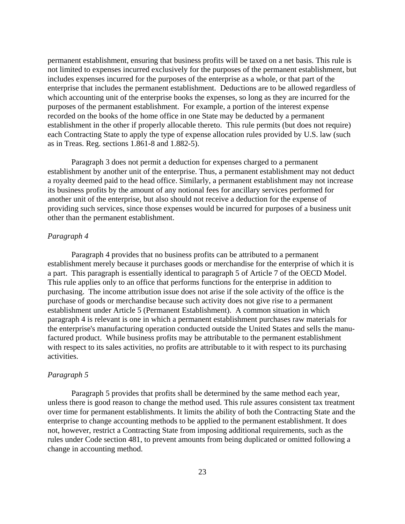permanent establishment, ensuring that business profits will be taxed on a net basis. This rule is not limited to expenses incurred exclusively for the purposes of the permanent establishment, but includes expenses incurred for the purposes of the enterprise as a whole, or that part of the enterprise that includes the permanent establishment. Deductions are to be allowed regardless of which accounting unit of the enterprise books the expenses, so long as they are incurred for the purposes of the permanent establishment. For example, a portion of the interest expense recorded on the books of the home office in one State may be deducted by a permanent establishment in the other if properly allocable thereto. This rule permits (but does not require) each Contracting State to apply the type of expense allocation rules provided by U.S. law (such as in Treas. Reg. sections 1.861-8 and 1.882-5).

Paragraph 3 does not permit a deduction for expenses charged to a permanent establishment by another unit of the enterprise. Thus, a permanent establishment may not deduct a royalty deemed paid to the head office. Similarly, a permanent establishment may not increase its business profits by the amount of any notional fees for ancillary services performed for another unit of the enterprise, but also should not receive a deduction for the expense of providing such services, since those expenses would be incurred for purposes of a business unit other than the permanent establishment.

## *Paragraph 4*

Paragraph 4 provides that no business profits can be attributed to a permanent establishment merely because it purchases goods or merchandise for the enterprise of which it is a part. This paragraph is essentially identical to paragraph 5 of Article 7 of the OECD Model. This rule applies only to an office that performs functions for the enterprise in addition to purchasing. The income attribution issue does not arise if the sole activity of the office is the purchase of goods or merchandise because such activity does not give rise to a permanent establishment under Article 5 (Permanent Establishment). A common situation in which paragraph 4 is relevant is one in which a permanent establishment purchases raw materials for the enterprise's manufacturing operation conducted outside the United States and sells the manufactured product. While business profits may be attributable to the permanent establishment with respect to its sales activities, no profits are attributable to it with respect to its purchasing activities.

### *Paragraph 5*

Paragraph 5 provides that profits shall be determined by the same method each year, unless there is good reason to change the method used. This rule assures consistent tax treatment over time for permanent establishments. It limits the ability of both the Contracting State and the enterprise to change accounting methods to be applied to the permanent establishment. It does not, however, restrict a Contracting State from imposing additional requirements, such as the rules under Code section 481, to prevent amounts from being duplicated or omitted following a change in accounting method.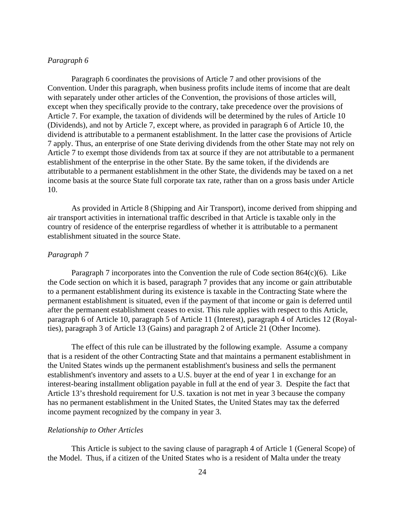## *Paragraph 6*

Paragraph 6 coordinates the provisions of Article 7 and other provisions of the Convention. Under this paragraph, when business profits include items of income that are dealt with separately under other articles of the Convention, the provisions of those articles will, except when they specifically provide to the contrary, take precedence over the provisions of Article 7. For example, the taxation of dividends will be determined by the rules of Article 10 (Dividends), and not by Article 7, except where, as provided in paragraph 6 of Article 10, the dividend is attributable to a permanent establishment. In the latter case the provisions of Article 7 apply. Thus, an enterprise of one State deriving dividends from the other State may not rely on Article 7 to exempt those dividends from tax at source if they are not attributable to a permanent establishment of the enterprise in the other State. By the same token, if the dividends are attributable to a permanent establishment in the other State, the dividends may be taxed on a net income basis at the source State full corporate tax rate, rather than on a gross basis under Article 10.

As provided in Article 8 (Shipping and Air Transport), income derived from shipping and air transport activities in international traffic described in that Article is taxable only in the country of residence of the enterprise regardless of whether it is attributable to a permanent establishment situated in the source State.

## *Paragraph 7*

Paragraph 7 incorporates into the Convention the rule of Code section  $864(c)(6)$ . Like the Code section on which it is based, paragraph 7 provides that any income or gain attributable to a permanent establishment during its existence is taxable in the Contracting State where the permanent establishment is situated, even if the payment of that income or gain is deferred until after the permanent establishment ceases to exist. This rule applies with respect to this Article, paragraph 6 of Article 10, paragraph 5 of Article 11 (Interest), paragraph 4 of Articles 12 (Royalties), paragraph 3 of Article 13 (Gains) and paragraph 2 of Article 21 (Other Income).

The effect of this rule can be illustrated by the following example. Assume a company that is a resident of the other Contracting State and that maintains a permanent establishment in the United States winds up the permanent establishment's business and sells the permanent establishment's inventory and assets to a U.S. buyer at the end of year 1 in exchange for an interest-bearing installment obligation payable in full at the end of year 3. Despite the fact that Article 13's threshold requirement for U.S. taxation is not met in year 3 because the company has no permanent establishment in the United States, the United States may tax the deferred income payment recognized by the company in year 3.

## *Relationship to Other Articles*

This Article is subject to the saving clause of paragraph 4 of Article 1 (General Scope) of the Model. Thus, if a citizen of the United States who is a resident of Malta under the treaty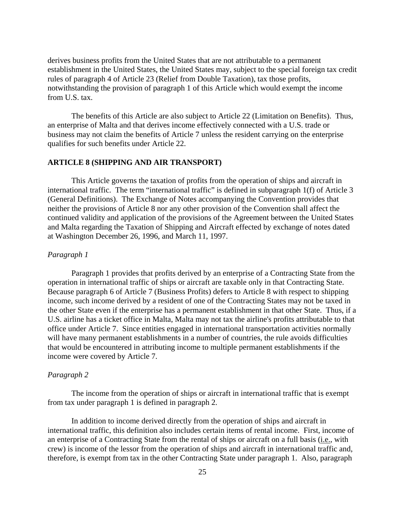derives business profits from the United States that are not attributable to a permanent establishment in the United States, the United States may, subject to the special foreign tax credit rules of paragraph 4 of Article 23 (Relief from Double Taxation), tax those profits, notwithstanding the provision of paragraph 1 of this Article which would exempt the income from U.S. tax.

The benefits of this Article are also subject to Article 22 (Limitation on Benefits). Thus, an enterprise of Malta and that derives income effectively connected with a U.S. trade or business may not claim the benefits of Article 7 unless the resident carrying on the enterprise qualifies for such benefits under Article 22.

## **ARTICLE 8 (SHIPPING AND AIR TRANSPORT)**

This Article governs the taxation of profits from the operation of ships and aircraft in international traffic. The term "international traffic" is defined in subparagraph 1(f) of Article 3 (General Definitions). The Exchange of Notes accompanying the Convention provides that neither the provisions of Article 8 nor any other provision of the Convention shall affect the continued validity and application of the provisions of the Agreement between the United States and Malta regarding the Taxation of Shipping and Aircraft effected by exchange of notes dated at Washington December 26, 1996, and March 11, 1997.

### *Paragraph 1*

Paragraph 1 provides that profits derived by an enterprise of a Contracting State from the operation in international traffic of ships or aircraft are taxable only in that Contracting State. Because paragraph 6 of Article 7 (Business Profits) defers to Article 8 with respect to shipping income, such income derived by a resident of one of the Contracting States may not be taxed in the other State even if the enterprise has a permanent establishment in that other State. Thus, if a U.S. airline has a ticket office in Malta, Malta may not tax the airline's profits attributable to that office under Article 7. Since entities engaged in international transportation activities normally will have many permanent establishments in a number of countries, the rule avoids difficulties that would be encountered in attributing income to multiple permanent establishments if the income were covered by Article 7.

### *Paragraph 2*

The income from the operation of ships or aircraft in international traffic that is exempt from tax under paragraph 1 is defined in paragraph 2.

In addition to income derived directly from the operation of ships and aircraft in international traffic, this definition also includes certain items of rental income. First, income of an enterprise of a Contracting State from the rental of ships or aircraft on a full basis (i.e., with crew) is income of the lessor from the operation of ships and aircraft in international traffic and, therefore, is exempt from tax in the other Contracting State under paragraph 1. Also, paragraph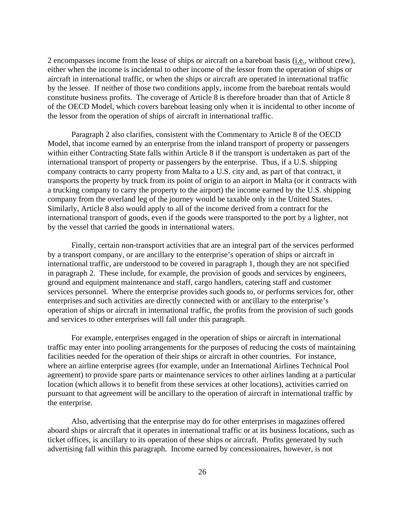2 encompasses income from the lease of ships or aircraft on a bareboat basis (i.e., without crew), either when the income is incidental to other income of the lessor from the operation of ships or aircraft in international traffic, or when the ships or aircraft are operated in international traffic by the lessee. If neither of those two conditions apply, income from the bareboat rentals would constitute business profits. The coverage of Article 8 is therefore broader than that of Article 8 of the OECD Model, which covers bareboat leasing only when it is incidental to other income of the lessor from the operation of ships of aircraft in international traffic.

Paragraph 2 also clarifies, consistent with the Commentary to Article 8 of the OECD Model, that income earned by an enterprise from the inland transport of property or passengers within either Contracting State falls within Article 8 if the transport is undertaken as part of the international transport of property or passengers by the enterprise. Thus, if a U.S. shipping company contracts to carry property from Malta to a U.S. city and, as part of that contract, it transports the property by truck from its point of origin to an airport in Malta (or it contracts with a trucking company to carry the property to the airport) the income earned by the U.S. shipping company from the overland leg of the journey would be taxable only in the United States. Similarly, Article 8 also would apply to all of the income derived from a contract for the international transport of goods, even if the goods were transported to the port by a lighter, not by the vessel that carried the goods in international waters.

Finally, certain non-transport activities that are an integral part of the services performed by a transport company, or are ancillary to the enterprise's operation of ships or aircraft in international traffic, are understood to be covered in paragraph 1, though they are not specified in paragraph 2. These include, for example, the provision of goods and services by engineers, ground and equipment maintenance and staff, cargo handlers, catering staff and customer services personnel. Where the enterprise provides such goods to, or performs services for, other enterprises and such activities are directly connected with or ancillary to the enterprise's operation of ships or aircraft in international traffic, the profits from the provision of such goods and services to other enterprises will fall under this paragraph.

For example, enterprises engaged in the operation of ships or aircraft in international traffic may enter into pooling arrangements for the purposes of reducing the costs of maintaining facilities needed for the operation of their ships or aircraft in other countries. For instance, where an airline enterprise agrees (for example, under an International Airlines Technical Pool agreement) to provide spare parts or maintenance services to other airlines landing at a particular location (which allows it to benefit from these services at other locations), activities carried on pursuant to that agreement will be ancillary to the operation of aircraft in international traffic by the enterprise.

Also, advertising that the enterprise may do for other enterprises in magazines offered aboard ships or aircraft that it operates in international traffic or at its business locations, such as ticket offices, is ancillary to its operation of these ships or aircraft. Profits generated by such advertising fall within this paragraph. Income earned by concessionaires, however, is not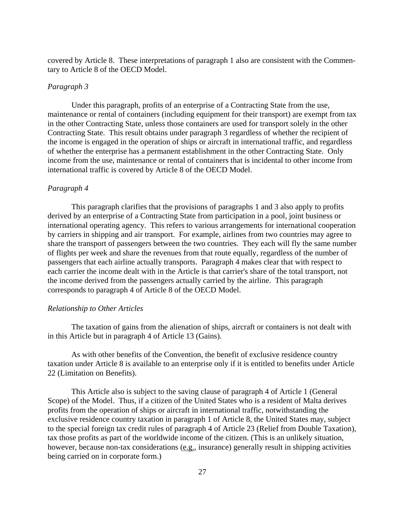covered by Article 8. These interpretations of paragraph 1 also are consistent with the Commentary to Article 8 of the OECD Model.

### *Paragraph 3*

Under this paragraph, profits of an enterprise of a Contracting State from the use, maintenance or rental of containers (including equipment for their transport) are exempt from tax in the other Contracting State, unless those containers are used for transport solely in the other Contracting State. This result obtains under paragraph 3 regardless of whether the recipient of the income is engaged in the operation of ships or aircraft in international traffic, and regardless of whether the enterprise has a permanent establishment in the other Contracting State. Only income from the use, maintenance or rental of containers that is incidental to other income from international traffic is covered by Article 8 of the OECD Model.

#### *Paragraph 4*

This paragraph clarifies that the provisions of paragraphs 1 and 3 also apply to profits derived by an enterprise of a Contracting State from participation in a pool, joint business or international operating agency. This refers to various arrangements for international cooperation by carriers in shipping and air transport. For example, airlines from two countries may agree to share the transport of passengers between the two countries. They each will fly the same number of flights per week and share the revenues from that route equally, regardless of the number of passengers that each airline actually transports. Paragraph 4 makes clear that with respect to each carrier the income dealt with in the Article is that carrier's share of the total transport, not the income derived from the passengers actually carried by the airline. This paragraph corresponds to paragraph 4 of Article 8 of the OECD Model.

#### *Relationship to Other Articles*

The taxation of gains from the alienation of ships, aircraft or containers is not dealt with in this Article but in paragraph 4 of Article 13 (Gains).

As with other benefits of the Convention, the benefit of exclusive residence country taxation under Article 8 is available to an enterprise only if it is entitled to benefits under Article 22 (Limitation on Benefits).

This Article also is subject to the saving clause of paragraph 4 of Article 1 (General Scope) of the Model. Thus, if a citizen of the United States who is a resident of Malta derives profits from the operation of ships or aircraft in international traffic, notwithstanding the exclusive residence country taxation in paragraph 1 of Article 8, the United States may, subject to the special foreign tax credit rules of paragraph 4 of Article 23 (Relief from Double Taxation), tax those profits as part of the worldwide income of the citizen. (This is an unlikely situation, however, because non-tax considerations (e.g., insurance) generally result in shipping activities being carried on in corporate form.)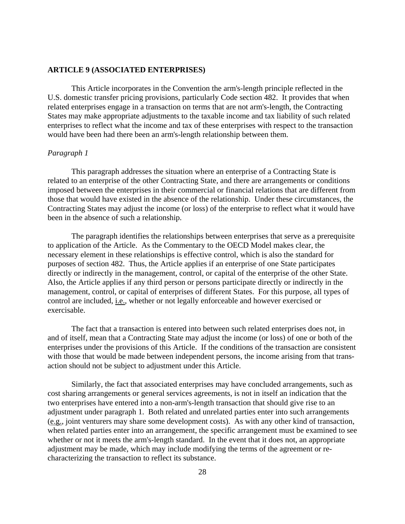### **ARTICLE 9 (ASSOCIATED ENTERPRISES)**

This Article incorporates in the Convention the arm's-length principle reflected in the U.S. domestic transfer pricing provisions, particularly Code section 482. It provides that when related enterprises engage in a transaction on terms that are not arm's-length, the Contracting States may make appropriate adjustments to the taxable income and tax liability of such related enterprises to reflect what the income and tax of these enterprises with respect to the transaction would have been had there been an arm's-length relationship between them.

## *Paragraph 1*

This paragraph addresses the situation where an enterprise of a Contracting State is related to an enterprise of the other Contracting State, and there are arrangements or conditions imposed between the enterprises in their commercial or financial relations that are different from those that would have existed in the absence of the relationship. Under these circumstances, the Contracting States may adjust the income (or loss) of the enterprise to reflect what it would have been in the absence of such a relationship.

The paragraph identifies the relationships between enterprises that serve as a prerequisite to application of the Article. As the Commentary to the OECD Model makes clear, the necessary element in these relationships is effective control, which is also the standard for purposes of section 482. Thus, the Article applies if an enterprise of one State participates directly or indirectly in the management, control, or capital of the enterprise of the other State. Also, the Article applies if any third person or persons participate directly or indirectly in the management, control, or capital of enterprises of different States. For this purpose, all types of control are included, i.e., whether or not legally enforceable and however exercised or exercisable.

The fact that a transaction is entered into between such related enterprises does not, in and of itself, mean that a Contracting State may adjust the income (or loss) of one or both of the enterprises under the provisions of this Article. If the conditions of the transaction are consistent with those that would be made between independent persons, the income arising from that transaction should not be subject to adjustment under this Article.

Similarly, the fact that associated enterprises may have concluded arrangements, such as cost sharing arrangements or general services agreements, is not in itself an indication that the two enterprises have entered into a non-arm's-length transaction that should give rise to an adjustment under paragraph 1. Both related and unrelated parties enter into such arrangements (e.g., joint venturers may share some development costs). As with any other kind of transaction, when related parties enter into an arrangement, the specific arrangement must be examined to see whether or not it meets the arm's-length standard. In the event that it does not, an appropriate adjustment may be made, which may include modifying the terms of the agreement or recharacterizing the transaction to reflect its substance.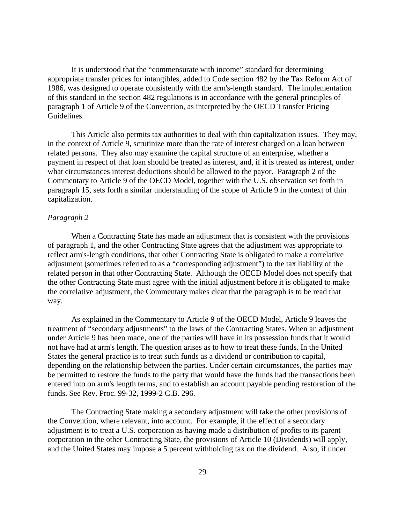It is understood that the "commensurate with income" standard for determining appropriate transfer prices for intangibles, added to Code section 482 by the Tax Reform Act of 1986, was designed to operate consistently with the arm's-length standard. The implementation of this standard in the section 482 regulations is in accordance with the general principles of paragraph 1 of Article 9 of the Convention, as interpreted by the OECD Transfer Pricing Guidelines.

This Article also permits tax authorities to deal with thin capitalization issues. They may, in the context of Article 9, scrutinize more than the rate of interest charged on a loan between related persons. They also may examine the capital structure of an enterprise, whether a payment in respect of that loan should be treated as interest, and, if it is treated as interest, under what circumstances interest deductions should be allowed to the payor. Paragraph 2 of the Commentary to Article 9 of the OECD Model, together with the U.S. observation set forth in paragraph 15, sets forth a similar understanding of the scope of Article 9 in the context of thin capitalization.

### *Paragraph 2*

When a Contracting State has made an adjustment that is consistent with the provisions of paragraph 1, and the other Contracting State agrees that the adjustment was appropriate to reflect arm's-length conditions, that other Contracting State is obligated to make a correlative adjustment (sometimes referred to as a "corresponding adjustment") to the tax liability of the related person in that other Contracting State. Although the OECD Model does not specify that the other Contracting State must agree with the initial adjustment before it is obligated to make the correlative adjustment, the Commentary makes clear that the paragraph is to be read that way.

As explained in the Commentary to Article 9 of the OECD Model, Article 9 leaves the treatment of "secondary adjustments" to the laws of the Contracting States. When an adjustment under Article 9 has been made, one of the parties will have in its possession funds that it would not have had at arm's length. The question arises as to how to treat these funds. In the United States the general practice is to treat such funds as a dividend or contribution to capital, depending on the relationship between the parties. Under certain circumstances, the parties may be permitted to restore the funds to the party that would have the funds had the transactions been entered into on arm's length terms, and to establish an account payable pending restoration of the funds. See Rev. Proc. 99-32, 1999-2 C.B. 296.

The Contracting State making a secondary adjustment will take the other provisions of the Convention, where relevant, into account. For example, if the effect of a secondary adjustment is to treat a U.S. corporation as having made a distribution of profits to its parent corporation in the other Contracting State, the provisions of Article 10 (Dividends) will apply, and the United States may impose a 5 percent withholding tax on the dividend. Also, if under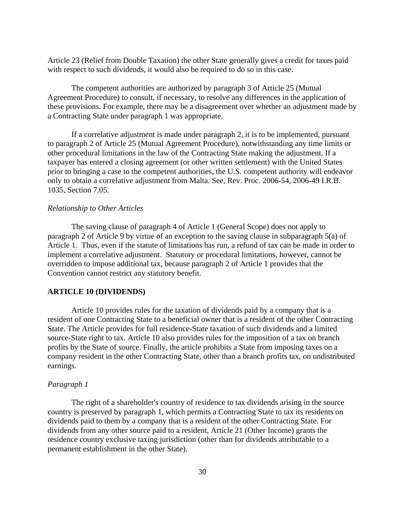Article 23 (Relief from Double Taxation) the other State generally gives a credit for taxes paid with respect to such dividends, it would also be required to do so in this case.

The competent authorities are authorized by paragraph 3 of Article 25 (Mutual Agreement Procedure) to consult, if necessary, to resolve any differences in the application of these provisions. For example, there may be a disagreement over whether an adjustment made by a Contracting State under paragraph 1 was appropriate.

If a correlative adjustment is made under paragraph 2, it is to be implemented, pursuant to paragraph 2 of Article 25 (Mutual Agreement Procedure), notwithstanding any time limits or other procedural limitations in the law of the Contracting State making the adjustment. If a taxpayer has entered a closing agreement (or other written settlement) with the United States prior to bringing a case to the competent authorities, the U.S. competent authority will endeavor only to obtain a correlative adjustment from Malta. See, Rev. Proc. 2006-54, 2006-49 I.R.B. 1035, Section 7.05.

### *Relationship to Other Articles*

The saving clause of paragraph 4 of Article 1 (General Scope) does not apply to paragraph 2 of Article 9 by virtue of an exception to the saving clause in subparagraph 5(a) of Article 1. Thus, even if the statute of limitations has run, a refund of tax can be made in order to implement a correlative adjustment. Statutory or procedural limitations, however, cannot be overridden to impose additional tax, because paragraph 2 of Article 1 provides that the Convention cannot restrict any statutory benefit.

#### **ARTICLE 10 (DIVIDENDS)**

Article 10 provides rules for the taxation of dividends paid by a company that is a resident of one Contracting State to a beneficial owner that is a resident of the other Contracting State. The Article provides for full residence-State taxation of such dividends and a limited source-State right to tax. Article 10 also provides rules for the imposition of a tax on branch profits by the State of source. Finally, the article prohibits a State from imposing taxes on a company resident in the other Contracting State, other than a branch profits tax, on undistributed earnings.

#### *Paragraph 1*

The right of a shareholder's country of residence to tax dividends arising in the source country is preserved by paragraph 1, which permits a Contracting State to tax its residents on dividends paid to them by a company that is a resident of the other Contracting State. For dividends from any other source paid to a resident, Article 21 (Other Income) grants the residence country exclusive taxing jurisdiction (other than for dividends attributable to a permanent establishment in the other State).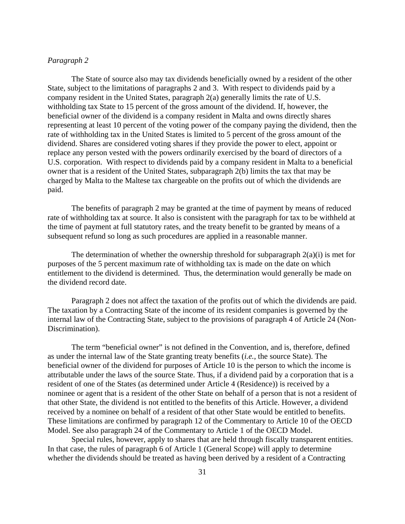## *Paragraph 2*

The State of source also may tax dividends beneficially owned by a resident of the other State, subject to the limitations of paragraphs 2 and 3. With respect to dividends paid by a company resident in the United States, paragraph 2(a) generally limits the rate of U.S. withholding tax State to 15 percent of the gross amount of the dividend. If, however, the beneficial owner of the dividend is a company resident in Malta and owns directly shares representing at least 10 percent of the voting power of the company paying the dividend, then the rate of withholding tax in the United States is limited to 5 percent of the gross amount of the dividend. Shares are considered voting shares if they provide the power to elect, appoint or replace any person vested with the powers ordinarily exercised by the board of directors of a U.S. corporation. With respect to dividends paid by a company resident in Malta to a beneficial owner that is a resident of the United States, subparagraph 2(b) limits the tax that may be charged by Malta to the Maltese tax chargeable on the profits out of which the dividends are paid.

The benefits of paragraph 2 may be granted at the time of payment by means of reduced rate of withholding tax at source. It also is consistent with the paragraph for tax to be withheld at the time of payment at full statutory rates, and the treaty benefit to be granted by means of a subsequent refund so long as such procedures are applied in a reasonable manner.

The determination of whether the ownership threshold for subparagraph  $2(a)(i)$  is met for purposes of the 5 percent maximum rate of withholding tax is made on the date on which entitlement to the dividend is determined. Thus, the determination would generally be made on the dividend record date.

Paragraph 2 does not affect the taxation of the profits out of which the dividends are paid. The taxation by a Contracting State of the income of its resident companies is governed by the internal law of the Contracting State, subject to the provisions of paragraph 4 of Article 24 (Non-Discrimination).

The term "beneficial owner" is not defined in the Convention, and is, therefore, defined as under the internal law of the State granting treaty benefits (*i.e.*, the source State). The beneficial owner of the dividend for purposes of Article 10 is the person to which the income is attributable under the laws of the source State. Thus, if a dividend paid by a corporation that is a resident of one of the States (as determined under Article 4 (Residence)) is received by a nominee or agent that is a resident of the other State on behalf of a person that is not a resident of that other State, the dividend is not entitled to the benefits of this Article. However, a dividend received by a nominee on behalf of a resident of that other State would be entitled to benefits. These limitations are confirmed by paragraph 12 of the Commentary to Article 10 of the OECD Model. See also paragraph 24 of the Commentary to Article 1 of the OECD Model.

Special rules, however, apply to shares that are held through fiscally transparent entities. In that case, the rules of paragraph 6 of Article 1 (General Scope) will apply to determine whether the dividends should be treated as having been derived by a resident of a Contracting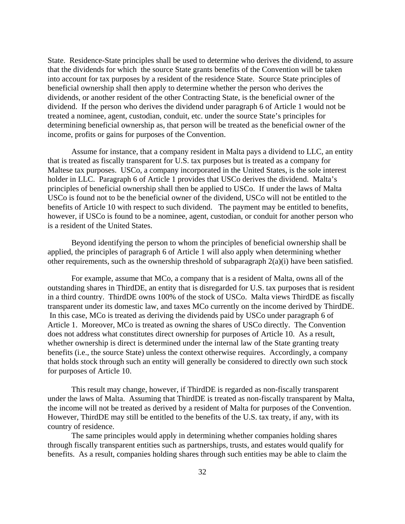State. Residence-State principles shall be used to determine who derives the dividend, to assure that the dividends for which the source State grants benefits of the Convention will be taken into account for tax purposes by a resident of the residence State. Source State principles of beneficial ownership shall then apply to determine whether the person who derives the dividends, or another resident of the other Contracting State, is the beneficial owner of the dividend. If the person who derives the dividend under paragraph 6 of Article 1 would not be treated a nominee, agent, custodian, conduit, etc. under the source State's principles for determining beneficial ownership as, that person will be treated as the beneficial owner of the income, profits or gains for purposes of the Convention.

Assume for instance, that a company resident in Malta pays a dividend to LLC, an entity that is treated as fiscally transparent for U.S. tax purposes but is treated as a company for Maltese tax purposes. USCo, a company incorporated in the United States, is the sole interest holder in LLC. Paragraph 6 of Article 1 provides that USCo derives the dividend. Malta's principles of beneficial ownership shall then be applied to USCo. If under the laws of Malta USCo is found not to be the beneficial owner of the dividend, USCo will not be entitled to the benefits of Article 10 with respect to such dividend. The payment may be entitled to benefits, however, if USCo is found to be a nominee, agent, custodian, or conduit for another person who is a resident of the United States.

Beyond identifying the person to whom the principles of beneficial ownership shall be applied, the principles of paragraph 6 of Article 1 will also apply when determining whether other requirements, such as the ownership threshold of subparagraph 2(a)(i) have been satisfied.

For example, assume that MCo, a company that is a resident of Malta, owns all of the outstanding shares in ThirdDE, an entity that is disregarded for U.S. tax purposes that is resident in a third country. ThirdDE owns 100% of the stock of USCo. Malta views ThirdDE as fiscally transparent under its domestic law, and taxes MCo currently on the income derived by ThirdDE. In this case, MCo is treated as deriving the dividends paid by USCo under paragraph 6 of Article 1. Moreover, MCo is treated as owning the shares of USCo directly. The Convention does not address what constitutes direct ownership for purposes of Article 10. As a result, whether ownership is direct is determined under the internal law of the State granting treaty benefits (i.e., the source State) unless the context otherwise requires. Accordingly, a company that holds stock through such an entity will generally be considered to directly own such stock for purposes of Article 10.

This result may change, however, if ThirdDE is regarded as non-fiscally transparent under the laws of Malta. Assuming that ThirdDE is treated as non-fiscally transparent by Malta, the income will not be treated as derived by a resident of Malta for purposes of the Convention. However, ThirdDE may still be entitled to the benefits of the U.S. tax treaty, if any, with its country of residence.

The same principles would apply in determining whether companies holding shares through fiscally transparent entities such as partnerships, trusts, and estates would qualify for benefits. As a result, companies holding shares through such entities may be able to claim the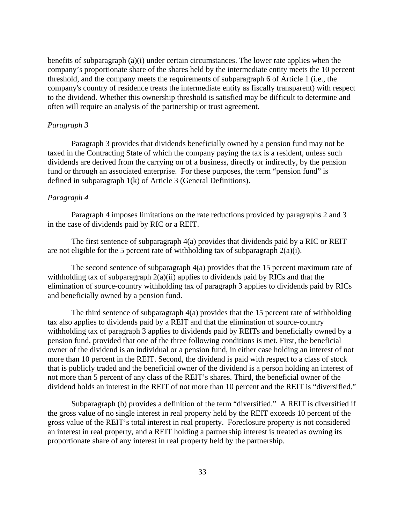benefits of subparagraph (a)(i) under certain circumstances. The lower rate applies when the company's proportionate share of the shares held by the intermediate entity meets the 10 percent threshold, and the company meets the requirements of subparagraph 6 of Article 1 (i.e., the company's country of residence treats the intermediate entity as fiscally transparent) with respect to the dividend. Whether this ownership threshold is satisfied may be difficult to determine and often will require an analysis of the partnership or trust agreement.

## *Paragraph 3*

Paragraph 3 provides that dividends beneficially owned by a pension fund may not be taxed in the Contracting State of which the company paying the tax is a resident, unless such dividends are derived from the carrying on of a business, directly or indirectly, by the pension fund or through an associated enterprise. For these purposes, the term "pension fund" is defined in subparagraph 1(k) of Article 3 (General Definitions).

## *Paragraph 4*

Paragraph 4 imposes limitations on the rate reductions provided by paragraphs 2 and 3 in the case of dividends paid by RIC or a REIT.

The first sentence of subparagraph 4(a) provides that dividends paid by a RIC or REIT are not eligible for the 5 percent rate of withholding tax of subparagraph  $2(a)(i)$ .

The second sentence of subparagraph 4(a) provides that the 15 percent maximum rate of withholding tax of subparagraph  $2(a)(ii)$  applies to dividends paid by RICs and that the elimination of source-country withholding tax of paragraph 3 applies to dividends paid by RICs and beneficially owned by a pension fund.

The third sentence of subparagraph 4(a) provides that the 15 percent rate of withholding tax also applies to dividends paid by a REIT and that the elimination of source-country withholding tax of paragraph 3 applies to dividends paid by REITs and beneficially owned by a pension fund, provided that one of the three following conditions is met. First, the beneficial owner of the dividend is an individual or a pension fund, in either case holding an interest of not more than 10 percent in the REIT. Second, the dividend is paid with respect to a class of stock that is publicly traded and the beneficial owner of the dividend is a person holding an interest of not more than 5 percent of any class of the REIT's shares. Third, the beneficial owner of the dividend holds an interest in the REIT of not more than 10 percent and the REIT is "diversified."

Subparagraph (b) provides a definition of the term "diversified." A REIT is diversified if the gross value of no single interest in real property held by the REIT exceeds 10 percent of the gross value of the REIT's total interest in real property. Foreclosure property is not considered an interest in real property, and a REIT holding a partnership interest is treated as owning its proportionate share of any interest in real property held by the partnership.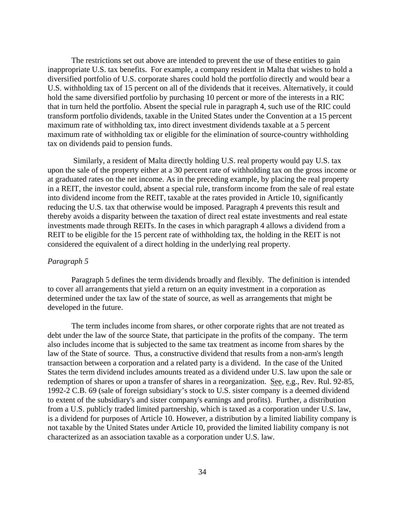The restrictions set out above are intended to prevent the use of these entities to gain inappropriate U.S. tax benefits. For example, a company resident in Malta that wishes to hold a diversified portfolio of U.S. corporate shares could hold the portfolio directly and would bear a U.S. withholding tax of 15 percent on all of the dividends that it receives. Alternatively, it could hold the same diversified portfolio by purchasing 10 percent or more of the interests in a RIC that in turn held the portfolio. Absent the special rule in paragraph 4, such use of the RIC could transform portfolio dividends, taxable in the United States under the Convention at a 15 percent maximum rate of withholding tax, into direct investment dividends taxable at a 5 percent maximum rate of withholding tax or eligible for the elimination of source-country withholding tax on dividends paid to pension funds.

Similarly, a resident of Malta directly holding U.S. real property would pay U.S. tax upon the sale of the property either at a 30 percent rate of withholding tax on the gross income or at graduated rates on the net income. As in the preceding example, by placing the real property in a REIT, the investor could, absent a special rule, transform income from the sale of real estate into dividend income from the REIT, taxable at the rates provided in Article 10, significantly reducing the U.S. tax that otherwise would be imposed. Paragraph 4 prevents this result and thereby avoids a disparity between the taxation of direct real estate investments and real estate investments made through REITs. In the cases in which paragraph 4 allows a dividend from a REIT to be eligible for the 15 percent rate of withholding tax, the holding in the REIT is not considered the equivalent of a direct holding in the underlying real property.

#### *Paragraph 5*

Paragraph 5 defines the term dividends broadly and flexibly. The definition is intended to cover all arrangements that yield a return on an equity investment in a corporation as determined under the tax law of the state of source, as well as arrangements that might be developed in the future.

The term includes income from shares, or other corporate rights that are not treated as debt under the law of the source State, that participate in the profits of the company. The term also includes income that is subjected to the same tax treatment as income from shares by the law of the State of source. Thus, a constructive dividend that results from a non-arm's length transaction between a corporation and a related party is a dividend. In the case of the United States the term dividend includes amounts treated as a dividend under U.S. law upon the sale or redemption of shares or upon a transfer of shares in a reorganization. See, e.g., Rev. Rul. 92-85, 1992-2 C.B. 69 (sale of foreign subsidiary's stock to U.S. sister company is a deemed dividend to extent of the subsidiary's and sister company's earnings and profits). Further, a distribution from a U.S. publicly traded limited partnership, which is taxed as a corporation under U.S. law, is a dividend for purposes of Article 10. However, a distribution by a limited liability company is not taxable by the United States under Article 10, provided the limited liability company is not characterized as an association taxable as a corporation under U.S. law.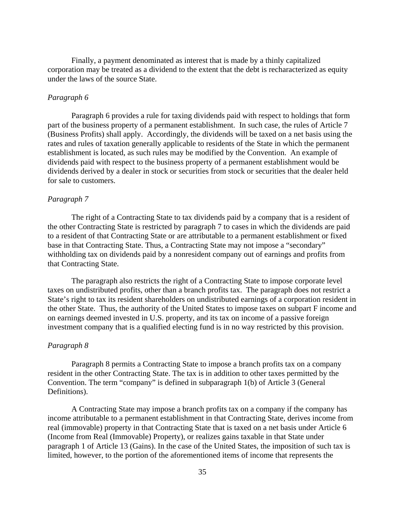Finally, a payment denominated as interest that is made by a thinly capitalized corporation may be treated as a dividend to the extent that the debt is recharacterized as equity under the laws of the source State.

#### *Paragraph 6*

Paragraph 6 provides a rule for taxing dividends paid with respect to holdings that form part of the business property of a permanent establishment. In such case, the rules of Article 7 (Business Profits) shall apply. Accordingly, the dividends will be taxed on a net basis using the rates and rules of taxation generally applicable to residents of the State in which the permanent establishment is located, as such rules may be modified by the Convention. An example of dividends paid with respect to the business property of a permanent establishment would be dividends derived by a dealer in stock or securities from stock or securities that the dealer held for sale to customers.

#### *Paragraph 7*

The right of a Contracting State to tax dividends paid by a company that is a resident of the other Contracting State is restricted by paragraph 7 to cases in which the dividends are paid to a resident of that Contracting State or are attributable to a permanent establishment or fixed base in that Contracting State. Thus, a Contracting State may not impose a "secondary" withholding tax on dividends paid by a nonresident company out of earnings and profits from that Contracting State.

The paragraph also restricts the right of a Contracting State to impose corporate level taxes on undistributed profits, other than a branch profits tax. The paragraph does not restrict a State's right to tax its resident shareholders on undistributed earnings of a corporation resident in the other State. Thus, the authority of the United States to impose taxes on subpart F income and on earnings deemed invested in U.S. property, and its tax on income of a passive foreign investment company that is a qualified electing fund is in no way restricted by this provision.

#### *Paragraph 8*

Paragraph 8 permits a Contracting State to impose a branch profits tax on a company resident in the other Contracting State. The tax is in addition to other taxes permitted by the Convention. The term "company" is defined in subparagraph 1(b) of Article 3 (General Definitions).

A Contracting State may impose a branch profits tax on a company if the company has income attributable to a permanent establishment in that Contracting State, derives income from real (immovable) property in that Contracting State that is taxed on a net basis under Article 6 (Income from Real (Immovable) Property), or realizes gains taxable in that State under paragraph 1 of Article 13 (Gains). In the case of the United States, the imposition of such tax is limited, however, to the portion of the aforementioned items of income that represents the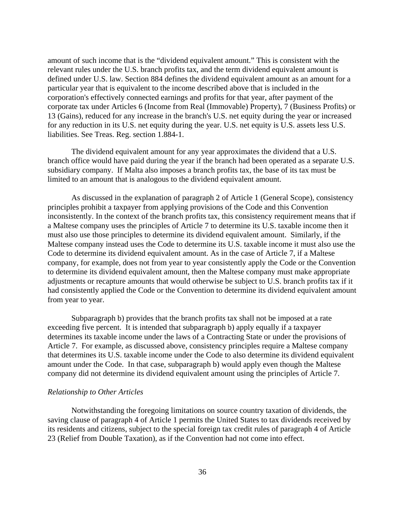amount of such income that is the "dividend equivalent amount." This is consistent with the relevant rules under the U.S. branch profits tax, and the term dividend equivalent amount is defined under U.S. law. Section 884 defines the dividend equivalent amount as an amount for a particular year that is equivalent to the income described above that is included in the corporation's effectively connected earnings and profits for that year, after payment of the corporate tax under Articles 6 (Income from Real (Immovable) Property), 7 (Business Profits) or 13 (Gains), reduced for any increase in the branch's U.S. net equity during the year or increased for any reduction in its U.S. net equity during the year. U.S. net equity is U.S. assets less U.S. liabilities. See Treas. Reg. section 1.884-1.

The dividend equivalent amount for any year approximates the dividend that a U.S. branch office would have paid during the year if the branch had been operated as a separate U.S. subsidiary company. If Malta also imposes a branch profits tax, the base of its tax must be limited to an amount that is analogous to the dividend equivalent amount.

As discussed in the explanation of paragraph 2 of Article 1 (General Scope), consistency principles prohibit a taxpayer from applying provisions of the Code and this Convention inconsistently. In the context of the branch profits tax, this consistency requirement means that if a Maltese company uses the principles of Article 7 to determine its U.S. taxable income then it must also use those principles to determine its dividend equivalent amount. Similarly, if the Maltese company instead uses the Code to determine its U.S. taxable income it must also use the Code to determine its dividend equivalent amount. As in the case of Article 7, if a Maltese company, for example, does not from year to year consistently apply the Code or the Convention to determine its dividend equivalent amount, then the Maltese company must make appropriate adjustments or recapture amounts that would otherwise be subject to U.S. branch profits tax if it had consistently applied the Code or the Convention to determine its dividend equivalent amount from year to year.

Subparagraph b) provides that the branch profits tax shall not be imposed at a rate exceeding five percent. It is intended that subparagraph b) apply equally if a taxpayer determines its taxable income under the laws of a Contracting State or under the provisions of Article 7. For example, as discussed above, consistency principles require a Maltese company that determines its U.S. taxable income under the Code to also determine its dividend equivalent amount under the Code. In that case, subparagraph b) would apply even though the Maltese company did not determine its dividend equivalent amount using the principles of Article 7.

#### *Relationship to Other Articles*

Notwithstanding the foregoing limitations on source country taxation of dividends, the saving clause of paragraph 4 of Article 1 permits the United States to tax dividends received by its residents and citizens, subject to the special foreign tax credit rules of paragraph 4 of Article 23 (Relief from Double Taxation), as if the Convention had not come into effect.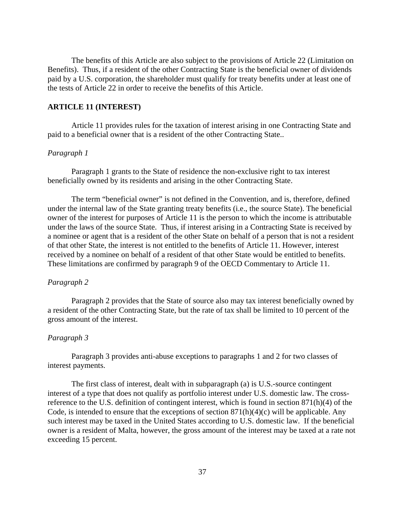The benefits of this Article are also subject to the provisions of Article 22 (Limitation on Benefits). Thus, if a resident of the other Contracting State is the beneficial owner of dividends paid by a U.S. corporation, the shareholder must qualify for treaty benefits under at least one of the tests of Article 22 in order to receive the benefits of this Article.

# **ARTICLE 11 (INTEREST)**

Article 11 provides rules for the taxation of interest arising in one Contracting State and paid to a beneficial owner that is a resident of the other Contracting State..

# *Paragraph 1*

Paragraph 1 grants to the State of residence the non-exclusive right to tax interest beneficially owned by its residents and arising in the other Contracting State.

The term "beneficial owner" is not defined in the Convention, and is, therefore, defined under the internal law of the State granting treaty benefits (i.e., the source State). The beneficial owner of the interest for purposes of Article 11 is the person to which the income is attributable under the laws of the source State. Thus, if interest arising in a Contracting State is received by a nominee or agent that is a resident of the other State on behalf of a person that is not a resident of that other State, the interest is not entitled to the benefits of Article 11. However, interest received by a nominee on behalf of a resident of that other State would be entitled to benefits. These limitations are confirmed by paragraph 9 of the OECD Commentary to Article 11.

#### *Paragraph 2*

Paragraph 2 provides that the State of source also may tax interest beneficially owned by a resident of the other Contracting State, but the rate of tax shall be limited to 10 percent of the gross amount of the interest.

# *Paragraph 3*

Paragraph 3 provides anti-abuse exceptions to paragraphs 1 and 2 for two classes of interest payments.

The first class of interest, dealt with in subparagraph (a) is U.S.-source contingent interest of a type that does not qualify as portfolio interest under U.S. domestic law. The crossreference to the U.S. definition of contingent interest, which is found in section 871(h)(4) of the Code, is intended to ensure that the exceptions of section  $871(h)(4)(c)$  will be applicable. Any such interest may be taxed in the United States according to U.S. domestic law. If the beneficial owner is a resident of Malta, however, the gross amount of the interest may be taxed at a rate not exceeding 15 percent.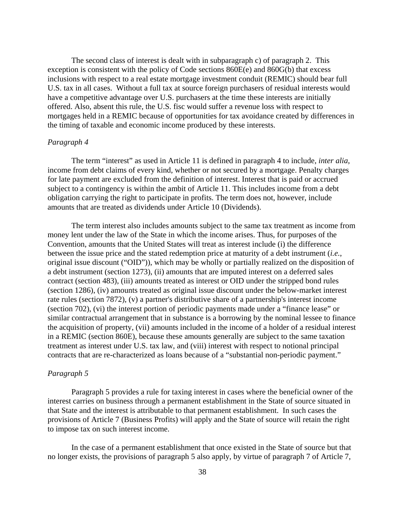The second class of interest is dealt with in subparagraph c) of paragraph 2. This exception is consistent with the policy of Code sections 860E(e) and 860G(b) that excess inclusions with respect to a real estate mortgage investment conduit (REMIC) should bear full U.S. tax in all cases. Without a full tax at source foreign purchasers of residual interests would have a competitive advantage over U.S. purchasers at the time these interests are initially offered. Also, absent this rule, the U.S. fisc would suffer a revenue loss with respect to mortgages held in a REMIC because of opportunities for tax avoidance created by differences in the timing of taxable and economic income produced by these interests.

# *Paragraph 4*

The term "interest" as used in Article 11 is defined in paragraph 4 to include, *inter alia*, income from debt claims of every kind, whether or not secured by a mortgage. Penalty charges for late payment are excluded from the definition of interest. Interest that is paid or accrued subject to a contingency is within the ambit of Article 11. This includes income from a debt obligation carrying the right to participate in profits. The term does not, however, include amounts that are treated as dividends under Article 10 (Dividends).

The term interest also includes amounts subject to the same tax treatment as income from money lent under the law of the State in which the income arises. Thus, for purposes of the Convention, amounts that the United States will treat as interest include (i) the difference between the issue price and the stated redemption price at maturity of a debt instrument (*i.e.*, original issue discount ("OID")), which may be wholly or partially realized on the disposition of a debt instrument (section 1273), (ii) amounts that are imputed interest on a deferred sales contract (section 483), (iii) amounts treated as interest or OID under the stripped bond rules (section 1286), (iv) amounts treated as original issue discount under the below-market interest rate rules (section 7872), (v) a partner's distributive share of a partnership's interest income (section 702), (vi) the interest portion of periodic payments made under a "finance lease" or similar contractual arrangement that in substance is a borrowing by the nominal lessee to finance the acquisition of property, (vii) amounts included in the income of a holder of a residual interest in a REMIC (section 860E), because these amounts generally are subject to the same taxation treatment as interest under U.S. tax law, and (viii) interest with respect to notional principal contracts that are re-characterized as loans because of a "substantial non-periodic payment."

#### *Paragraph 5*

Paragraph 5 provides a rule for taxing interest in cases where the beneficial owner of the interest carries on business through a permanent establishment in the State of source situated in that State and the interest is attributable to that permanent establishment. In such cases the provisions of Article 7 (Business Profits) will apply and the State of source will retain the right to impose tax on such interest income.

In the case of a permanent establishment that once existed in the State of source but that no longer exists, the provisions of paragraph 5 also apply, by virtue of paragraph 7 of Article 7,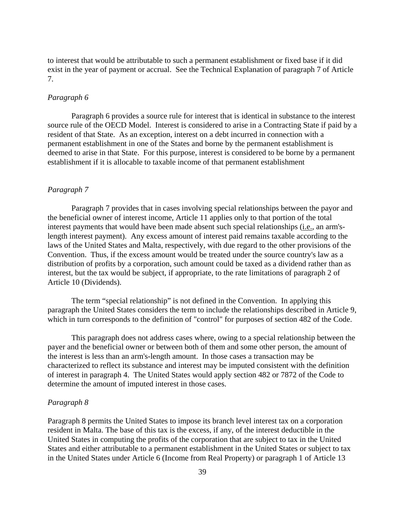to interest that would be attributable to such a permanent establishment or fixed base if it did exist in the year of payment or accrual. See the Technical Explanation of paragraph 7 of Article 7.

## *Paragraph 6*

Paragraph 6 provides a source rule for interest that is identical in substance to the interest source rule of the OECD Model. Interest is considered to arise in a Contracting State if paid by a resident of that State. As an exception, interest on a debt incurred in connection with a permanent establishment in one of the States and borne by the permanent establishment is deemed to arise in that State. For this purpose, interest is considered to be borne by a permanent establishment if it is allocable to taxable income of that permanent establishment

# *Paragraph 7*

Paragraph 7 provides that in cases involving special relationships between the payor and the beneficial owner of interest income, Article 11 applies only to that portion of the total interest payments that would have been made absent such special relationships (i.e., an arm'slength interest payment). Any excess amount of interest paid remains taxable according to the laws of the United States and Malta, respectively, with due regard to the other provisions of the Convention. Thus, if the excess amount would be treated under the source country's law as a distribution of profits by a corporation, such amount could be taxed as a dividend rather than as interest, but the tax would be subject, if appropriate, to the rate limitations of paragraph 2 of Article 10 (Dividends).

The term "special relationship" is not defined in the Convention. In applying this paragraph the United States considers the term to include the relationships described in Article 9, which in turn corresponds to the definition of "control" for purposes of section 482 of the Code.

This paragraph does not address cases where, owing to a special relationship between the payer and the beneficial owner or between both of them and some other person, the amount of the interest is less than an arm's-length amount. In those cases a transaction may be characterized to reflect its substance and interest may be imputed consistent with the definition of interest in paragraph 4. The United States would apply section 482 or 7872 of the Code to determine the amount of imputed interest in those cases.

#### *Paragraph 8*

Paragraph 8 permits the United States to impose its branch level interest tax on a corporation resident in Malta. The base of this tax is the excess, if any, of the interest deductible in the United States in computing the profits of the corporation that are subject to tax in the United States and either attributable to a permanent establishment in the United States or subject to tax in the United States under Article 6 (Income from Real Property) or paragraph 1 of Article 13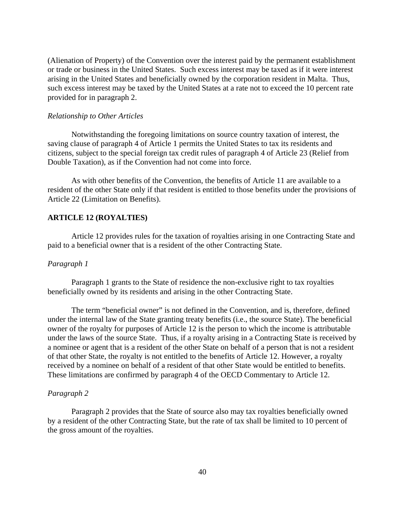(Alienation of Property) of the Convention over the interest paid by the permanent establishment or trade or business in the United States. Such excess interest may be taxed as if it were interest arising in the United States and beneficially owned by the corporation resident in Malta. Thus, such excess interest may be taxed by the United States at a rate not to exceed the 10 percent rate provided for in paragraph 2.

## *Relationship to Other Articles*

Notwithstanding the foregoing limitations on source country taxation of interest, the saving clause of paragraph 4 of Article 1 permits the United States to tax its residents and citizens, subject to the special foreign tax credit rules of paragraph 4 of Article 23 (Relief from Double Taxation), as if the Convention had not come into force.

As with other benefits of the Convention, the benefits of Article 11 are available to a resident of the other State only if that resident is entitled to those benefits under the provisions of Article 22 (Limitation on Benefits).

# **ARTICLE 12 (ROYALTIES)**

Article 12 provides rules for the taxation of royalties arising in one Contracting State and paid to a beneficial owner that is a resident of the other Contracting State.

#### *Paragraph 1*

Paragraph 1 grants to the State of residence the non-exclusive right to tax royalties beneficially owned by its residents and arising in the other Contracting State.

The term "beneficial owner" is not defined in the Convention, and is, therefore, defined under the internal law of the State granting treaty benefits (i.e., the source State). The beneficial owner of the royalty for purposes of Article 12 is the person to which the income is attributable under the laws of the source State. Thus, if a royalty arising in a Contracting State is received by a nominee or agent that is a resident of the other State on behalf of a person that is not a resident of that other State, the royalty is not entitled to the benefits of Article 12. However, a royalty received by a nominee on behalf of a resident of that other State would be entitled to benefits. These limitations are confirmed by paragraph 4 of the OECD Commentary to Article 12.

#### *Paragraph 2*

Paragraph 2 provides that the State of source also may tax royalties beneficially owned by a resident of the other Contracting State, but the rate of tax shall be limited to 10 percent of the gross amount of the royalties.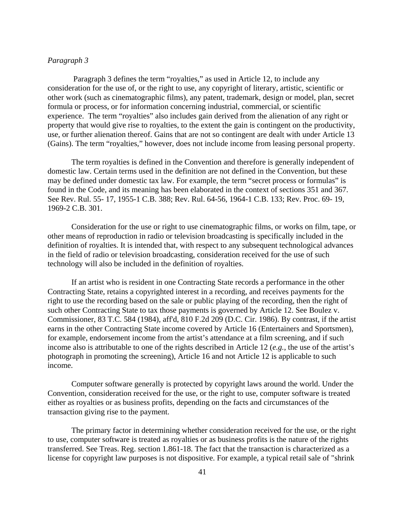## *Paragraph 3*

 Paragraph 3 defines the term "royalties," as used in Article 12, to include any consideration for the use of, or the right to use, any copyright of literary, artistic, scientific or other work (such as cinematographic films), any patent, trademark, design or model, plan, secret formula or process, or for information concerning industrial, commercial, or scientific experience. The term "royalties" also includes gain derived from the alienation of any right or property that would give rise to royalties, to the extent the gain is contingent on the productivity, use, or further alienation thereof. Gains that are not so contingent are dealt with under Article 13 (Gains). The term "royalties," however, does not include income from leasing personal property.

The term royalties is defined in the Convention and therefore is generally independent of domestic law. Certain terms used in the definition are not defined in the Convention, but these may be defined under domestic tax law. For example, the term "secret process or formulas" is found in the Code, and its meaning has been elaborated in the context of sections 351 and 367. See Rev. Rul. 55- 17, 1955-1 C.B. 388; Rev. Rul. 64-56, 1964-1 C.B. 133; Rev. Proc. 69- 19, 1969-2 C.B. 301.

Consideration for the use or right to use cinematographic films, or works on film, tape, or other means of reproduction in radio or television broadcasting is specifically included in the definition of royalties. It is intended that, with respect to any subsequent technological advances in the field of radio or television broadcasting, consideration received for the use of such technology will also be included in the definition of royalties.

If an artist who is resident in one Contracting State records a performance in the other Contracting State, retains a copyrighted interest in a recording, and receives payments for the right to use the recording based on the sale or public playing of the recording, then the right of such other Contracting State to tax those payments is governed by Article 12. See Boulez v. Commissioner, 83 T.C. 584 (1984), aff'd, 810 F.2d 209 (D.C. Cir. 1986). By contrast, if the artist earns in the other Contracting State income covered by Article 16 (Entertainers and Sportsmen), for example, endorsement income from the artist's attendance at a film screening, and if such income also is attributable to one of the rights described in Article 12 (*e.g.*, the use of the artist's photograph in promoting the screening), Article 16 and not Article 12 is applicable to such income.

Computer software generally is protected by copyright laws around the world. Under the Convention, consideration received for the use, or the right to use, computer software is treated either as royalties or as business profits, depending on the facts and circumstances of the transaction giving rise to the payment.

The primary factor in determining whether consideration received for the use, or the right to use, computer software is treated as royalties or as business profits is the nature of the rights transferred. See Treas. Reg. section 1.861-18. The fact that the transaction is characterized as a license for copyright law purposes is not dispositive. For example, a typical retail sale of "shrink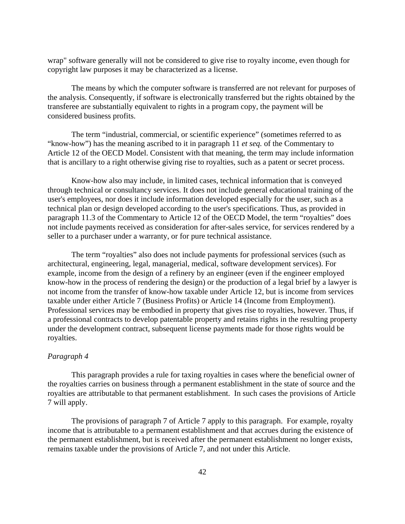wrap" software generally will not be considered to give rise to royalty income, even though for copyright law purposes it may be characterized as a license.

The means by which the computer software is transferred are not relevant for purposes of the analysis. Consequently, if software is electronically transferred but the rights obtained by the transferee are substantially equivalent to rights in a program copy, the payment will be considered business profits.

The term "industrial, commercial, or scientific experience" (sometimes referred to as "know-how") has the meaning ascribed to it in paragraph 11 *et seq.* of the Commentary to Article 12 of the OECD Model. Consistent with that meaning, the term may include information that is ancillary to a right otherwise giving rise to royalties, such as a patent or secret process.

Know-how also may include, in limited cases, technical information that is conveyed through technical or consultancy services. It does not include general educational training of the user's employees, nor does it include information developed especially for the user, such as a technical plan or design developed according to the user's specifications. Thus, as provided in paragraph 11.3 of the Commentary to Article 12 of the OECD Model, the term "royalties" does not include payments received as consideration for after-sales service, for services rendered by a seller to a purchaser under a warranty, or for pure technical assistance.

The term "royalties" also does not include payments for professional services (such as architectural, engineering, legal, managerial, medical, software development services). For example, income from the design of a refinery by an engineer (even if the engineer employed know-how in the process of rendering the design) or the production of a legal brief by a lawyer is not income from the transfer of know-how taxable under Article 12, but is income from services taxable under either Article 7 (Business Profits) or Article 14 (Income from Employment). Professional services may be embodied in property that gives rise to royalties, however. Thus, if a professional contracts to develop patentable property and retains rights in the resulting property under the development contract, subsequent license payments made for those rights would be royalties.

# *Paragraph 4*

This paragraph provides a rule for taxing royalties in cases where the beneficial owner of the royalties carries on business through a permanent establishment in the state of source and the royalties are attributable to that permanent establishment. In such cases the provisions of Article 7 will apply.

The provisions of paragraph 7 of Article 7 apply to this paragraph. For example, royalty income that is attributable to a permanent establishment and that accrues during the existence of the permanent establishment, but is received after the permanent establishment no longer exists, remains taxable under the provisions of Article 7, and not under this Article.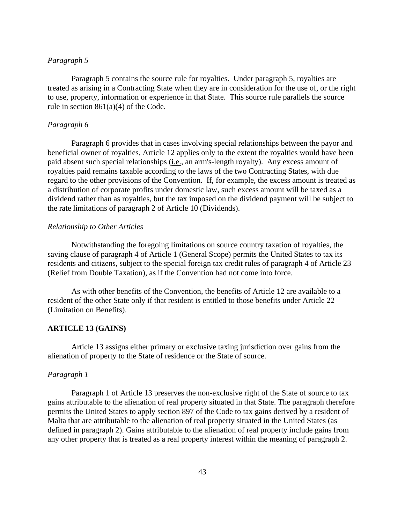# *Paragraph 5*

Paragraph 5 contains the source rule for royalties. Under paragraph 5, royalties are treated as arising in a Contracting State when they are in consideration for the use of, or the right to use, property, information or experience in that State. This source rule parallels the source rule in section 861(a)(4) of the Code.

# *Paragraph 6*

Paragraph 6 provides that in cases involving special relationships between the payor and beneficial owner of royalties, Article 12 applies only to the extent the royalties would have been paid absent such special relationships (i.e., an arm's-length royalty). Any excess amount of royalties paid remains taxable according to the laws of the two Contracting States, with due regard to the other provisions of the Convention. If, for example, the excess amount is treated as a distribution of corporate profits under domestic law, such excess amount will be taxed as a dividend rather than as royalties, but the tax imposed on the dividend payment will be subject to the rate limitations of paragraph 2 of Article 10 (Dividends).

#### *Relationship to Other Articles*

Notwithstanding the foregoing limitations on source country taxation of royalties, the saving clause of paragraph 4 of Article 1 (General Scope) permits the United States to tax its residents and citizens, subject to the special foreign tax credit rules of paragraph 4 of Article 23 (Relief from Double Taxation), as if the Convention had not come into force.

As with other benefits of the Convention, the benefits of Article 12 are available to a resident of the other State only if that resident is entitled to those benefits under Article 22 (Limitation on Benefits).

## **ARTICLE 13 (GAINS)**

Article 13 assigns either primary or exclusive taxing jurisdiction over gains from the alienation of property to the State of residence or the State of source.

# *Paragraph 1*

Paragraph 1 of Article 13 preserves the non-exclusive right of the State of source to tax gains attributable to the alienation of real property situated in that State. The paragraph therefore permits the United States to apply section 897 of the Code to tax gains derived by a resident of Malta that are attributable to the alienation of real property situated in the United States (as defined in paragraph 2). Gains attributable to the alienation of real property include gains from any other property that is treated as a real property interest within the meaning of paragraph 2.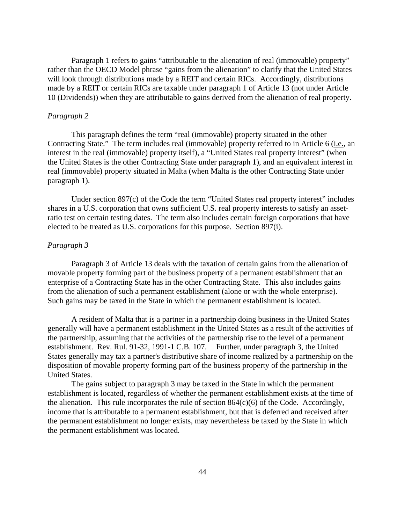Paragraph 1 refers to gains "attributable to the alienation of real (immovable) property" rather than the OECD Model phrase "gains from the alienation" to clarify that the United States will look through distributions made by a REIT and certain RICs. Accordingly, distributions made by a REIT or certain RICs are taxable under paragraph 1 of Article 13 (not under Article 10 (Dividends)) when they are attributable to gains derived from the alienation of real property.

## *Paragraph 2*

This paragraph defines the term "real (immovable) property situated in the other Contracting State." The term includes real (immovable) property referred to in Article 6 (i.e., an interest in the real (immovable) property itself), a "United States real property interest" (when the United States is the other Contracting State under paragraph 1), and an equivalent interest in real (immovable) property situated in Malta (when Malta is the other Contracting State under paragraph 1).

Under section 897(c) of the Code the term "United States real property interest" includes shares in a U.S. corporation that owns sufficient U.S. real property interests to satisfy an assetratio test on certain testing dates. The term also includes certain foreign corporations that have elected to be treated as U.S. corporations for this purpose. Section 897(i).

# *Paragraph 3*

Paragraph 3 of Article 13 deals with the taxation of certain gains from the alienation of movable property forming part of the business property of a permanent establishment that an enterprise of a Contracting State has in the other Contracting State. This also includes gains from the alienation of such a permanent establishment (alone or with the whole enterprise). Such gains may be taxed in the State in which the permanent establishment is located.

A resident of Malta that is a partner in a partnership doing business in the United States generally will have a permanent establishment in the United States as a result of the activities of the partnership, assuming that the activities of the partnership rise to the level of a permanent establishment. Rev. Rul. 91-32, 1991-1 C.B. 107. Further, under paragraph 3, the United States generally may tax a partner's distributive share of income realized by a partnership on the disposition of movable property forming part of the business property of the partnership in the United States.

The gains subject to paragraph 3 may be taxed in the State in which the permanent establishment is located, regardless of whether the permanent establishment exists at the time of the alienation. This rule incorporates the rule of section 864(c)(6) of the Code. Accordingly, income that is attributable to a permanent establishment, but that is deferred and received after the permanent establishment no longer exists, may nevertheless be taxed by the State in which the permanent establishment was located.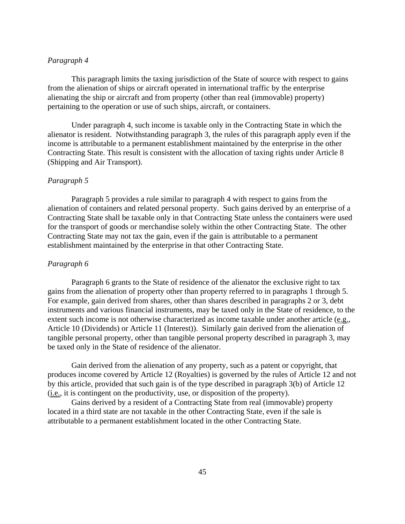# *Paragraph 4*

This paragraph limits the taxing jurisdiction of the State of source with respect to gains from the alienation of ships or aircraft operated in international traffic by the enterprise alienating the ship or aircraft and from property (other than real (immovable) property) pertaining to the operation or use of such ships, aircraft, or containers.

Under paragraph 4, such income is taxable only in the Contracting State in which the alienator is resident. Notwithstanding paragraph 3, the rules of this paragraph apply even if the income is attributable to a permanent establishment maintained by the enterprise in the other Contracting State. This result is consistent with the allocation of taxing rights under Article 8 (Shipping and Air Transport).

## *Paragraph 5*

Paragraph 5 provides a rule similar to paragraph 4 with respect to gains from the alienation of containers and related personal property. Such gains derived by an enterprise of a Contracting State shall be taxable only in that Contracting State unless the containers were used for the transport of goods or merchandise solely within the other Contracting State. The other Contracting State may not tax the gain, even if the gain is attributable to a permanent establishment maintained by the enterprise in that other Contracting State.

# *Paragraph 6*

Paragraph 6 grants to the State of residence of the alienator the exclusive right to tax gains from the alienation of property other than property referred to in paragraphs 1 through 5. For example, gain derived from shares, other than shares described in paragraphs 2 or 3, debt instruments and various financial instruments, may be taxed only in the State of residence, to the extent such income is not otherwise characterized as income taxable under another article (e.g., Article 10 (Dividends) or Article 11 (Interest)). Similarly gain derived from the alienation of tangible personal property, other than tangible personal property described in paragraph 3, may be taxed only in the State of residence of the alienator.

Gain derived from the alienation of any property, such as a patent or copyright, that produces income covered by Article 12 (Royalties) is governed by the rules of Article 12 and not by this article, provided that such gain is of the type described in paragraph 3(b) of Article 12 (i.e., it is contingent on the productivity, use, or disposition of the property).

Gains derived by a resident of a Contracting State from real (immovable) property located in a third state are not taxable in the other Contracting State, even if the sale is attributable to a permanent establishment located in the other Contracting State.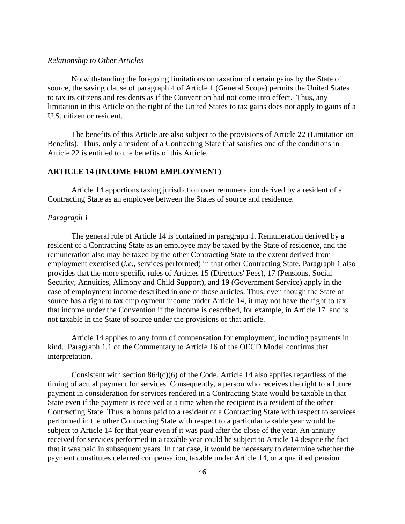#### *Relationship to Other Articles*

Notwithstanding the foregoing limitations on taxation of certain gains by the State of source, the saving clause of paragraph 4 of Article 1 (General Scope) permits the United States to tax its citizens and residents as if the Convention had not come into effect. Thus, any limitation in this Article on the right of the United States to tax gains does not apply to gains of a U.S. citizen or resident.

The benefits of this Article are also subject to the provisions of Article 22 (Limitation on Benefits). Thus, only a resident of a Contracting State that satisfies one of the conditions in Article 22 is entitled to the benefits of this Article.

## **ARTICLE 14 (INCOME FROM EMPLOYMENT)**

Article 14 apportions taxing jurisdiction over remuneration derived by a resident of a Contracting State as an employee between the States of source and residence.

#### *Paragraph 1*

The general rule of Article 14 is contained in paragraph 1. Remuneration derived by a resident of a Contracting State as an employee may be taxed by the State of residence, and the remuneration also may be taxed by the other Contracting State to the extent derived from employment exercised (*i.e.*, services performed) in that other Contracting State. Paragraph 1 also provides that the more specific rules of Articles 15 (Directors' Fees), 17 (Pensions, Social Security, Annuities, Alimony and Child Support), and 19 (Government Service) apply in the case of employment income described in one of those articles. Thus, even though the State of source has a right to tax employment income under Article 14, it may not have the right to tax that income under the Convention if the income is described, for example, in Article 17 and is not taxable in the State of source under the provisions of that article.

Article 14 applies to any form of compensation for employment, including payments in kind. Paragraph 1.1 of the Commentary to Article 16 of the OECD Model confirms that interpretation.

Consistent with section  $864(c)(6)$  of the Code, Article 14 also applies regardless of the timing of actual payment for services. Consequently, a person who receives the right to a future payment in consideration for services rendered in a Contracting State would be taxable in that State even if the payment is received at a time when the recipient is a resident of the other Contracting State. Thus, a bonus paid to a resident of a Contracting State with respect to services performed in the other Contracting State with respect to a particular taxable year would be subject to Article 14 for that year even if it was paid after the close of the year. An annuity received for services performed in a taxable year could be subject to Article 14 despite the fact that it was paid in subsequent years. In that case, it would be necessary to determine whether the payment constitutes deferred compensation, taxable under Article 14, or a qualified pension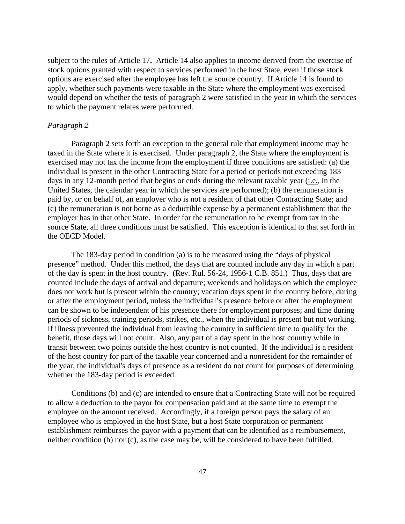subject to the rules of Article 17**.** Article 14 also applies to income derived from the exercise of stock options granted with respect to services performed in the host State, even if those stock options are exercised after the employee has left the source country. If Article 14 is found to apply, whether such payments were taxable in the State where the employment was exercised would depend on whether the tests of paragraph 2 were satisfied in the year in which the services to which the payment relates were performed.

#### *Paragraph 2*

Paragraph 2 sets forth an exception to the general rule that employment income may be taxed in the State where it is exercised. Under paragraph 2, the State where the employment is exercised may not tax the income from the employment if three conditions are satisfied: (a) the individual is present in the other Contracting State for a period or periods not exceeding 183 days in any 12-month period that begins or ends during the relevant taxable year (i.e., in the United States, the calendar year in which the services are performed); (b) the remuneration is paid by, or on behalf of, an employer who is not a resident of that other Contracting State; and (c) the remuneration is not borne as a deductible expense by a permanent establishment that the employer has in that other State. In order for the remuneration to be exempt from tax in the source State, all three conditions must be satisfied. This exception is identical to that set forth in the OECD Model.

The 183-day period in condition (a) is to be measured using the "days of physical presence" method. Under this method, the days that are counted include any day in which a part of the day is spent in the host country. (Rev. Rul. 56-24, 1956-1 C.B. 851.) Thus, days that are counted include the days of arrival and departure; weekends and holidays on which the employee does not work but is present within the country; vacation days spent in the country before, during or after the employment period, unless the individual's presence before or after the employment can be shown to be independent of his presence there for employment purposes; and time during periods of sickness, training periods, strikes, etc., when the individual is present but not working. If illness prevented the individual from leaving the country in sufficient time to qualify for the benefit, those days will not count. Also, any part of a day spent in the host country while in transit between two points outside the host country is not counted. If the individual is a resident of the host country for part of the taxable year concerned and a nonresident for the remainder of the year, the individual's days of presence as a resident do not count for purposes of determining whether the 183-day period is exceeded.

Conditions (b) and (c) are intended to ensure that a Contracting State will not be required to allow a deduction to the payor for compensation paid and at the same time to exempt the employee on the amount received. Accordingly, if a foreign person pays the salary of an employee who is employed in the host State, but a host State corporation or permanent establishment reimburses the payor with a payment that can be identified as a reimbursement, neither condition (b) nor (c), as the case may be, will be considered to have been fulfilled.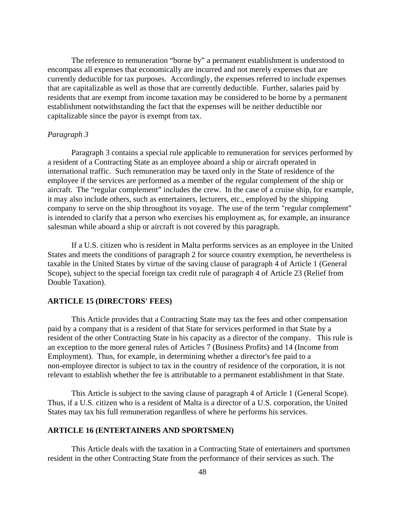The reference to remuneration "borne by" a permanent establishment is understood to encompass all expenses that economically are incurred and not merely expenses that are currently deductible for tax purposes. Accordingly, the expenses referred to include expenses that are capitalizable as well as those that are currently deductible. Further, salaries paid by residents that are exempt from income taxation may be considered to be borne by a permanent establishment notwithstanding the fact that the expenses will be neither deductible nor capitalizable since the payor is exempt from tax.

## *Paragraph 3*

Paragraph 3 contains a special rule applicable to remuneration for services performed by a resident of a Contracting State as an employee aboard a ship or aircraft operated in international traffic. Such remuneration may be taxed only in the State of residence of the employee if the services are performed as a member of the regular complement of the ship or aircraft. The "regular complement" includes the crew. In the case of a cruise ship, for example, it may also include others, such as entertainers, lecturers, etc., employed by the shipping company to serve on the ship throughout its voyage. The use of the term "regular complement" is intended to clarify that a person who exercises his employment as, for example, an insurance salesman while aboard a ship or aircraft is not covered by this paragraph.

If a U.S. citizen who is resident in Malta performs services as an employee in the United States and meets the conditions of paragraph 2 for source country exemption, he nevertheless is taxable in the United States by virtue of the saving clause of paragraph 4 of Article 1 (General Scope), subject to the special foreign tax credit rule of paragraph 4 of Article 23 (Relief from Double Taxation).

#### **ARTICLE 15 (DIRECTORS' FEES)**

This Article provides that a Contracting State may tax the fees and other compensation paid by a company that is a resident of that State for services performed in that State by a resident of the other Contracting State in his capacity as a director of the company. This rule is an exception to the more general rules of Articles 7 (Business Profits) and 14 (Income from Employment). Thus, for example, in determining whether a director's fee paid to a non-employee director is subject to tax in the country of residence of the corporation, it is not relevant to establish whether the fee is attributable to a permanent establishment in that State.

This Article is subject to the saving clause of paragraph 4 of Article 1 (General Scope). Thus, if a U.S. citizen who is a resident of Malta is a director of a U.S. corporation, the United States may tax his full remuneration regardless of where he performs his services.

# **ARTICLE 16 (ENTERTAINERS AND SPORTSMEN)**

This Article deals with the taxation in a Contracting State of entertainers and sportsmen resident in the other Contracting State from the performance of their services as such. The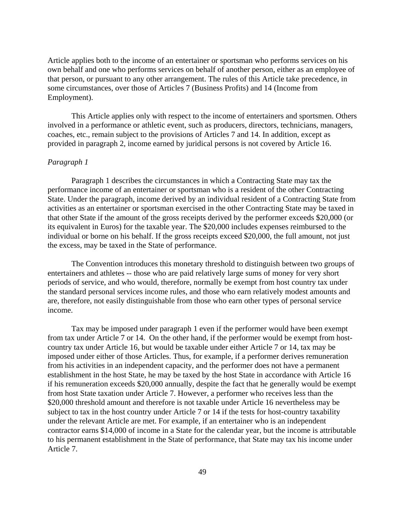Article applies both to the income of an entertainer or sportsman who performs services on his own behalf and one who performs services on behalf of another person, either as an employee of that person, or pursuant to any other arrangement. The rules of this Article take precedence, in some circumstances, over those of Articles 7 (Business Profits) and 14 (Income from Employment).

This Article applies only with respect to the income of entertainers and sportsmen. Others involved in a performance or athletic event, such as producers, directors, technicians, managers, coaches, etc., remain subject to the provisions of Articles 7 and 14. In addition, except as provided in paragraph 2, income earned by juridical persons is not covered by Article 16.

## *Paragraph 1*

Paragraph 1 describes the circumstances in which a Contracting State may tax the performance income of an entertainer or sportsman who is a resident of the other Contracting State. Under the paragraph, income derived by an individual resident of a Contracting State from activities as an entertainer or sportsman exercised in the other Contracting State may be taxed in that other State if the amount of the gross receipts derived by the performer exceeds \$20,000 (or its equivalent in Euros) for the taxable year. The \$20,000 includes expenses reimbursed to the individual or borne on his behalf. If the gross receipts exceed \$20,000, the full amount, not just the excess, may be taxed in the State of performance.

The Convention introduces this monetary threshold to distinguish between two groups of entertainers and athletes -- those who are paid relatively large sums of money for very short periods of service, and who would, therefore, normally be exempt from host country tax under the standard personal services income rules, and those who earn relatively modest amounts and are, therefore, not easily distinguishable from those who earn other types of personal service income.

Tax may be imposed under paragraph 1 even if the performer would have been exempt from tax under Article 7 or 14. On the other hand, if the performer would be exempt from hostcountry tax under Article 16, but would be taxable under either Article 7 or 14, tax may be imposed under either of those Articles. Thus, for example, if a performer derives remuneration from his activities in an independent capacity, and the performer does not have a permanent establishment in the host State, he may be taxed by the host State in accordance with Article 16 if his remuneration exceeds \$20,000 annually, despite the fact that he generally would be exempt from host State taxation under Article 7. However, a performer who receives less than the \$20,000 threshold amount and therefore is not taxable under Article 16 nevertheless may be subject to tax in the host country under Article 7 or 14 if the tests for host-country taxability under the relevant Article are met. For example, if an entertainer who is an independent contractor earns \$14,000 of income in a State for the calendar year, but the income is attributable to his permanent establishment in the State of performance, that State may tax his income under Article 7.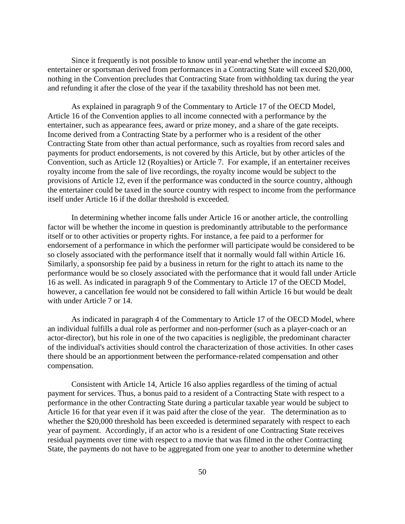Since it frequently is not possible to know until year-end whether the income an entertainer or sportsman derived from performances in a Contracting State will exceed \$20,000, nothing in the Convention precludes that Contracting State from withholding tax during the year and refunding it after the close of the year if the taxability threshold has not been met.

As explained in paragraph 9 of the Commentary to Article 17 of the OECD Model, Article 16 of the Convention applies to all income connected with a performance by the entertainer, such as appearance fees, award or prize money, and a share of the gate receipts. Income derived from a Contracting State by a performer who is a resident of the other Contracting State from other than actual performance, such as royalties from record sales and payments for product endorsements, is not covered by this Article, but by other articles of the Convention, such as Article 12 (Royalties) or Article 7. For example, if an entertainer receives royalty income from the sale of live recordings, the royalty income would be subject to the provisions of Article 12, even if the performance was conducted in the source country, although the entertainer could be taxed in the source country with respect to income from the performance itself under Article 16 if the dollar threshold is exceeded.

In determining whether income falls under Article 16 or another article, the controlling factor will be whether the income in question is predominantly attributable to the performance itself or to other activities or property rights. For instance, a fee paid to a performer for endorsement of a performance in which the performer will participate would be considered to be so closely associated with the performance itself that it normally would fall within Article 16. Similarly, a sponsorship fee paid by a business in return for the right to attach its name to the performance would be so closely associated with the performance that it would fall under Article 16 as well. As indicated in paragraph 9 of the Commentary to Article 17 of the OECD Model, however, a cancellation fee would not be considered to fall within Article 16 but would be dealt with under Article 7 or 14.

As indicated in paragraph 4 of the Commentary to Article 17 of the OECD Model, where an individual fulfills a dual role as performer and non-performer (such as a player-coach or an actor-director), but his role in one of the two capacities is negligible, the predominant character of the individual's activities should control the characterization of those activities. In other cases there should be an apportionment between the performance-related compensation and other compensation.

Consistent with Article 14, Article 16 also applies regardless of the timing of actual payment for services. Thus, a bonus paid to a resident of a Contracting State with respect to a performance in the other Contracting State during a particular taxable year would be subject to Article 16 for that year even if it was paid after the close of the year. The determination as to whether the \$20,000 threshold has been exceeded is determined separately with respect to each year of payment. Accordingly, if an actor who is a resident of one Contracting State receives residual payments over time with respect to a movie that was filmed in the other Contracting State, the payments do not have to be aggregated from one year to another to determine whether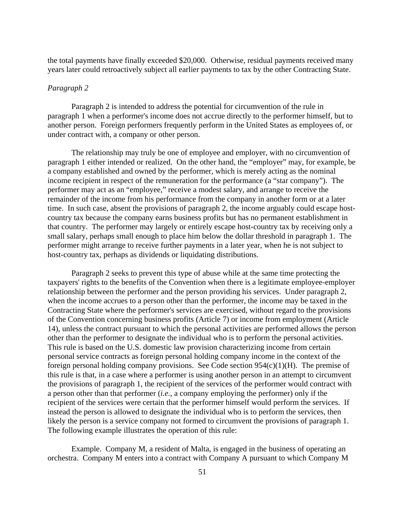the total payments have finally exceeded \$20,000. Otherwise, residual payments received many years later could retroactively subject all earlier payments to tax by the other Contracting State.

## *Paragraph 2*

Paragraph 2 is intended to address the potential for circumvention of the rule in paragraph 1 when a performer's income does not accrue directly to the performer himself, but to another person. Foreign performers frequently perform in the United States as employees of, or under contract with, a company or other person.

The relationship may truly be one of employee and employer, with no circumvention of paragraph 1 either intended or realized. On the other hand, the "employer" may, for example, be a company established and owned by the performer, which is merely acting as the nominal income recipient in respect of the remuneration for the performance (a "star company"). The performer may act as an "employee," receive a modest salary, and arrange to receive the remainder of the income from his performance from the company in another form or at a later time. In such case, absent the provisions of paragraph 2, the income arguably could escape hostcountry tax because the company earns business profits but has no permanent establishment in that country. The performer may largely or entirely escape host-country tax by receiving only a small salary, perhaps small enough to place him below the dollar threshold in paragraph 1. The performer might arrange to receive further payments in a later year, when he is not subject to host-country tax, perhaps as dividends or liquidating distributions.

Paragraph 2 seeks to prevent this type of abuse while at the same time protecting the taxpayers' rights to the benefits of the Convention when there is a legitimate employee-employer relationship between the performer and the person providing his services. Under paragraph 2, when the income accrues to a person other than the performer, the income may be taxed in the Contracting State where the performer's services are exercised, without regard to the provisions of the Convention concerning business profits (Article 7) or income from employment (Article 14), unless the contract pursuant to which the personal activities are performed allows the person other than the performer to designate the individual who is to perform the personal activities. This rule is based on the U.S. domestic law provision characterizing income from certain personal service contracts as foreign personal holding company income in the context of the foreign personal holding company provisions. See Code section  $954(c)(1)(H)$ . The premise of this rule is that, in a case where a performer is using another person in an attempt to circumvent the provisions of paragraph 1, the recipient of the services of the performer would contract with a person other than that performer (*i.e.*, a company employing the performer) only if the recipient of the services were certain that the performer himself would perform the services. If instead the person is allowed to designate the individual who is to perform the services, then likely the person is a service company not formed to circumvent the provisions of paragraph 1. The following example illustrates the operation of this rule:

Example. Company M, a resident of Malta, is engaged in the business of operating an orchestra. Company M enters into a contract with Company A pursuant to which Company M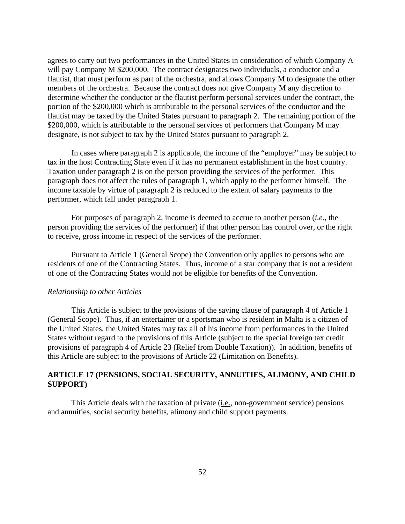agrees to carry out two performances in the United States in consideration of which Company A will pay Company M \$200,000. The contract designates two individuals, a conductor and a flautist, that must perform as part of the orchestra, and allows Company M to designate the other members of the orchestra. Because the contract does not give Company M any discretion to determine whether the conductor or the flautist perform personal services under the contract, the portion of the \$200,000 which is attributable to the personal services of the conductor and the flautist may be taxed by the United States pursuant to paragraph 2. The remaining portion of the \$200,000, which is attributable to the personal services of performers that Company M may designate, is not subject to tax by the United States pursuant to paragraph 2.

In cases where paragraph 2 is applicable, the income of the "employer" may be subject to tax in the host Contracting State even if it has no permanent establishment in the host country. Taxation under paragraph 2 is on the person providing the services of the performer. This paragraph does not affect the rules of paragraph 1, which apply to the performer himself. The income taxable by virtue of paragraph 2 is reduced to the extent of salary payments to the performer, which fall under paragraph 1.

For purposes of paragraph 2, income is deemed to accrue to another person (*i.e.*, the person providing the services of the performer) if that other person has control over, or the right to receive, gross income in respect of the services of the performer.

Pursuant to Article 1 (General Scope) the Convention only applies to persons who are residents of one of the Contracting States. Thus, income of a star company that is not a resident of one of the Contracting States would not be eligible for benefits of the Convention.

#### *Relationship to other Articles*

This Article is subject to the provisions of the saving clause of paragraph 4 of Article 1 (General Scope). Thus, if an entertainer or a sportsman who is resident in Malta is a citizen of the United States, the United States may tax all of his income from performances in the United States without regard to the provisions of this Article (subject to the special foreign tax credit provisions of paragraph 4 of Article 23 (Relief from Double Taxation)). In addition, benefits of this Article are subject to the provisions of Article 22 (Limitation on Benefits).

# **ARTICLE 17 (PENSIONS, SOCIAL SECURITY, ANNUITIES, ALIMONY, AND CHILD SUPPORT)**

This Article deals with the taxation of private (i.e., non-government service) pensions and annuities, social security benefits, alimony and child support payments.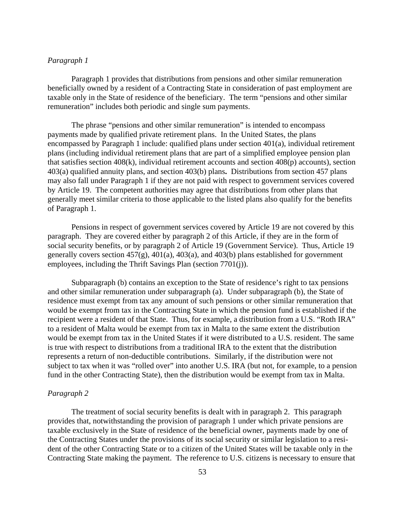# *Paragraph 1*

Paragraph 1 provides that distributions from pensions and other similar remuneration beneficially owned by a resident of a Contracting State in consideration of past employment are taxable only in the State of residence of the beneficiary. The term "pensions and other similar remuneration" includes both periodic and single sum payments.

The phrase "pensions and other similar remuneration" is intended to encompass payments made by qualified private retirement plans. In the United States, the plans encompassed by Paragraph 1 include: qualified plans under section 401(a), individual retirement plans (including individual retirement plans that are part of a simplified employee pension plan that satisfies section 408(k), individual retirement accounts and section 408(p) accounts), section 403(a) qualified annuity plans, and section 403(b) plans**.** Distributions from section 457 plans may also fall under Paragraph 1 if they are not paid with respect to government services covered by Article 19. The competent authorities may agree that distributions from other plans that generally meet similar criteria to those applicable to the listed plans also qualify for the benefits of Paragraph 1.

Pensions in respect of government services covered by Article 19 are not covered by this paragraph. They are covered either by paragraph 2 of this Article, if they are in the form of social security benefits, or by paragraph 2 of Article 19 (Government Service). Thus, Article 19 generally covers section  $457(g)$ ,  $401(a)$ ,  $403(a)$ , and  $403(b)$  plans established for government employees, including the Thrift Savings Plan (section 7701(j)).

Subparagraph (b) contains an exception to the State of residence's right to tax pensions and other similar remuneration under subparagraph (a). Under subparagraph (b), the State of residence must exempt from tax any amount of such pensions or other similar remuneration that would be exempt from tax in the Contracting State in which the pension fund is established if the recipient were a resident of that State. Thus, for example, a distribution from a U.S. "Roth IRA" to a resident of Malta would be exempt from tax in Malta to the same extent the distribution would be exempt from tax in the United States if it were distributed to a U.S. resident. The same is true with respect to distributions from a traditional IRA to the extent that the distribution represents a return of non-deductible contributions. Similarly, if the distribution were not subject to tax when it was "rolled over" into another U.S. IRA (but not, for example, to a pension fund in the other Contracting State), then the distribution would be exempt from tax in Malta.

## *Paragraph 2*

The treatment of social security benefits is dealt with in paragraph 2. This paragraph provides that, notwithstanding the provision of paragraph 1 under which private pensions are taxable exclusively in the State of residence of the beneficial owner, payments made by one of the Contracting States under the provisions of its social security or similar legislation to a resident of the other Contracting State or to a citizen of the United States will be taxable only in the Contracting State making the payment. The reference to U.S. citizens is necessary to ensure that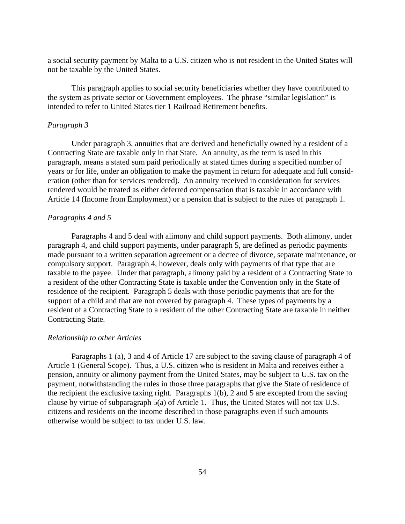a social security payment by Malta to a U.S. citizen who is not resident in the United States will not be taxable by the United States.

This paragraph applies to social security beneficiaries whether they have contributed to the system as private sector or Government employees. The phrase "similar legislation" is intended to refer to United States tier 1 Railroad Retirement benefits.

# *Paragraph 3*

Under paragraph 3, annuities that are derived and beneficially owned by a resident of a Contracting State are taxable only in that State. An annuity, as the term is used in this paragraph, means a stated sum paid periodically at stated times during a specified number of years or for life, under an obligation to make the payment in return for adequate and full consideration (other than for services rendered). An annuity received in consideration for services rendered would be treated as either deferred compensation that is taxable in accordance with Article 14 (Income from Employment) or a pension that is subject to the rules of paragraph 1.

#### *Paragraphs 4 and 5*

Paragraphs 4 and 5 deal with alimony and child support payments. Both alimony, under paragraph 4, and child support payments, under paragraph 5, are defined as periodic payments made pursuant to a written separation agreement or a decree of divorce, separate maintenance, or compulsory support. Paragraph 4, however, deals only with payments of that type that are taxable to the payee. Under that paragraph, alimony paid by a resident of a Contracting State to a resident of the other Contracting State is taxable under the Convention only in the State of residence of the recipient. Paragraph 5 deals with those periodic payments that are for the support of a child and that are not covered by paragraph 4. These types of payments by a resident of a Contracting State to a resident of the other Contracting State are taxable in neither Contracting State.

#### *Relationship to other Articles*

 the recipient the exclusive taxing right. Paragraphs 1(b), 2 and 5 are excepted from the saving Paragraphs 1 (a), 3 and 4 of Article 17 are subject to the saving clause of paragraph 4 of Article 1 (General Scope). Thus, a U.S. citizen who is resident in Malta and receives either a pension, annuity or alimony payment from the United States, may be subject to U.S. tax on the payment, notwithstanding the rules in those three paragraphs that give the State of residence of clause by virtue of subparagraph 5(a) of Article 1. Thus, the United States will not tax U.S. citizens and residents on the income described in those paragraphs even if such amounts otherwise would be subject to tax under U.S. law.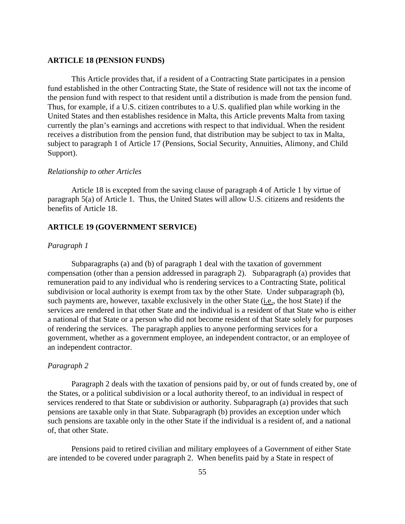# **ARTICLE 18 (PENSION FUNDS)**

This Article provides that, if a resident of a Contracting State participates in a pension fund established in the other Contracting State, the State of residence will not tax the income of the pension fund with respect to that resident until a distribution is made from the pension fund. Thus, for example, if a U.S. citizen contributes to a U.S. qualified plan while working in the United States and then establishes residence in Malta, this Article prevents Malta from taxing currently the plan's earnings and accretions with respect to that individual. When the resident receives a distribution from the pension fund, that distribution may be subject to tax in Malta, subject to paragraph 1 of Article 17 (Pensions, Social Security, Annuities, Alimony, and Child Support).

## *Relationship to other Articles*

Article 18 is excepted from the saving clause of paragraph 4 of Article 1 by virtue of paragraph 5(a) of Article 1. Thus, the United States will allow U.S. citizens and residents the benefits of Article 18.

# **ARTICLE 19 (GOVERNMENT SERVICE)**

## *Paragraph 1*

Subparagraphs (a) and (b) of paragraph 1 deal with the taxation of government compensation (other than a pension addressed in paragraph 2). Subparagraph (a) provides that remuneration paid to any individual who is rendering services to a Contracting State, political subdivision or local authority is exempt from tax by the other State. Under subparagraph (b), such payments are, however, taxable exclusively in the other State (i.e., the host State) if the services are rendered in that other State and the individual is a resident of that State who is either a national of that State or a person who did not become resident of that State solely for purposes of rendering the services. The paragraph applies to anyone performing services for a government, whether as a government employee, an independent contractor, or an employee of an independent contractor.

# *Paragraph 2*

Paragraph 2 deals with the taxation of pensions paid by, or out of funds created by, one of the States, or a political subdivision or a local authority thereof, to an individual in respect of services rendered to that State or subdivision or authority. Subparagraph (a) provides that such pensions are taxable only in that State. Subparagraph (b) provides an exception under which such pensions are taxable only in the other State if the individual is a resident of, and a national of, that other State.

Pensions paid to retired civilian and military employees of a Government of either State are intended to be covered under paragraph 2. When benefits paid by a State in respect of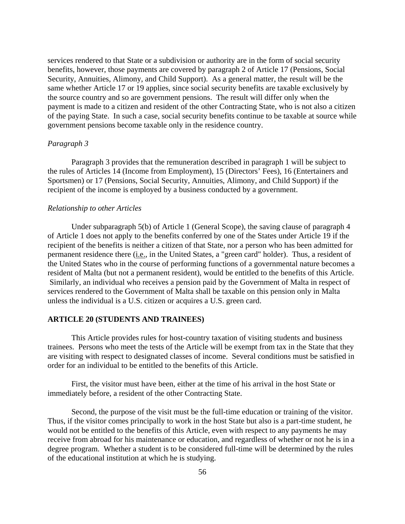services rendered to that State or a subdivision or authority are in the form of social security benefits, however, those payments are covered by paragraph 2 of Article 17 (Pensions, Social Security, Annuities, Alimony, and Child Support). As a general matter, the result will be the same whether Article 17 or 19 applies, since social security benefits are taxable exclusively by the source country and so are government pensions. The result will differ only when the payment is made to a citizen and resident of the other Contracting State, who is not also a citizen of the paying State. In such a case, social security benefits continue to be taxable at source while government pensions become taxable only in the residence country.

## *Paragraph 3*

Paragraph 3 provides that the remuneration described in paragraph 1 will be subject to the rules of Articles 14 (Income from Employment), 15 (Directors' Fees), 16 (Entertainers and Sportsmen) or 17 (Pensions, Social Security, Annuities, Alimony, and Child Support) if the recipient of the income is employed by a business conducted by a government.

## *Relationship to other Articles*

Under subparagraph 5(b) of Article 1 (General Scope), the saving clause of paragraph 4 of Article 1 does not apply to the benefits conferred by one of the States under Article 19 if the recipient of the benefits is neither a citizen of that State, nor a person who has been admitted for permanent residence there (i.e., in the United States, a "green card" holder). Thus, a resident of the United States who in the course of performing functions of a governmental nature becomes a resident of Malta (but not a permanent resident), would be entitled to the benefits of this Article. Similarly, an individual who receives a pension paid by the Government of Malta in respect of services rendered to the Government of Malta shall be taxable on this pension only in Malta unless the individual is a U.S. citizen or acquires a U.S. green card.

#### **ARTICLE 20 (STUDENTS AND TRAINEES)**

This Article provides rules for host-country taxation of visiting students and business trainees. Persons who meet the tests of the Article will be exempt from tax in the State that they are visiting with respect to designated classes of income. Several conditions must be satisfied in order for an individual to be entitled to the benefits of this Article.

First, the visitor must have been, either at the time of his arrival in the host State or immediately before, a resident of the other Contracting State.

Second, the purpose of the visit must be the full-time education or training of the visitor. Thus, if the visitor comes principally to work in the host State but also is a part-time student, he would not be entitled to the benefits of this Article, even with respect to any payments he may receive from abroad for his maintenance or education, and regardless of whether or not he is in a degree program. Whether a student is to be considered full-time will be determined by the rules of the educational institution at which he is studying.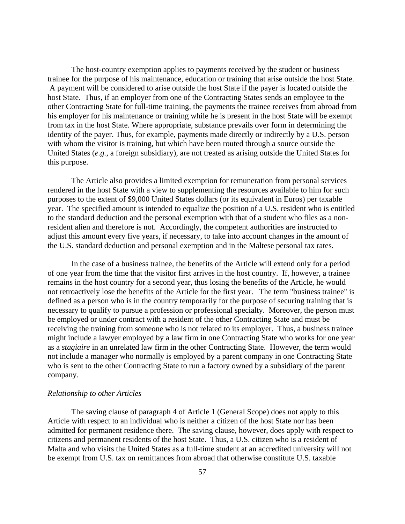The host-country exemption applies to payments received by the student or business trainee for the purpose of his maintenance, education or training that arise outside the host State. A payment will be considered to arise outside the host State if the payer is located outside the host State. Thus, if an employer from one of the Contracting States sends an employee to the other Contracting State for full-time training, the payments the trainee receives from abroad from his employer for his maintenance or training while he is present in the host State will be exempt from tax in the host State. Where appropriate, substance prevails over form in determining the identity of the payer. Thus, for example, payments made directly or indirectly by a U.S. person with whom the visitor is training, but which have been routed through a source outside the United States (*e.g.*, a foreign subsidiary), are not treated as arising outside the United States for this purpose.

The Article also provides a limited exemption for remuneration from personal services rendered in the host State with a view to supplementing the resources available to him for such purposes to the extent of \$9,000 United States dollars (or its equivalent in Euros) per taxable year. The specified amount is intended to equalize the position of a U.S. resident who is entitled to the standard deduction and the personal exemption with that of a student who files as a nonresident alien and therefore is not. Accordingly, the competent authorities are instructed to adjust this amount every five years, if necessary, to take into account changes in the amount of the U.S. standard deduction and personal exemption and in the Maltese personal tax rates.

In the case of a business trainee, the benefits of the Article will extend only for a period of one year from the time that the visitor first arrives in the host country. If, however, a trainee remains in the host country for a second year, thus losing the benefits of the Article, he would not retroactively lose the benefits of the Article for the first year. The term "business trainee" is defined as a person who is in the country temporarily for the purpose of securing training that is necessary to qualify to pursue a profession or professional specialty. Moreover, the person must be employed or under contract with a resident of the other Contracting State and must be receiving the training from someone who is not related to its employer. Thus, a business trainee might include a lawyer employed by a law firm in one Contracting State who works for one year as a *stagiaire* in an unrelated law firm in the other Contracting State. However, the term would not include a manager who normally is employed by a parent company in one Contracting State who is sent to the other Contracting State to run a factory owned by a subsidiary of the parent company.

## *Relationship to other Articles*

The saving clause of paragraph 4 of Article 1 (General Scope) does not apply to this Article with respect to an individual who is neither a citizen of the host State nor has been admitted for permanent residence there. The saving clause, however, does apply with respect to citizens and permanent residents of the host State. Thus, a U.S. citizen who is a resident of Malta and who visits the United States as a full-time student at an accredited university will not be exempt from U.S. tax on remittances from abroad that otherwise constitute U.S. taxable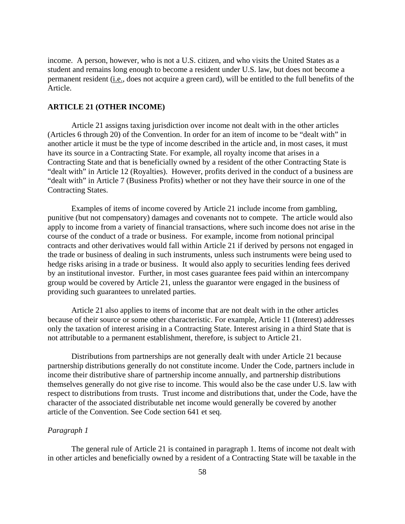income. A person, however, who is not a U.S. citizen, and who visits the United States as a student and remains long enough to become a resident under U.S. law, but does not become a permanent resident (i.e., does not acquire a green card), will be entitled to the full benefits of the Article.

# **ARTICLE 21 (OTHER INCOME)**

Article 21 assigns taxing jurisdiction over income not dealt with in the other articles (Articles 6 through 20) of the Convention. In order for an item of income to be "dealt with" in another article it must be the type of income described in the article and, in most cases, it must have its source in a Contracting State. For example, all royalty income that arises in a Contracting State and that is beneficially owned by a resident of the other Contracting State is "dealt with" in Article 12 (Royalties). However, profits derived in the conduct of a business are "dealt with" in Article 7 (Business Profits) whether or not they have their source in one of the Contracting States.

Examples of items of income covered by Article 21 include income from gambling, punitive (but not compensatory) damages and covenants not to compete. The article would also apply to income from a variety of financial transactions, where such income does not arise in the course of the conduct of a trade or business. For example, income from notional principal contracts and other derivatives would fall within Article 21 if derived by persons not engaged in the trade or business of dealing in such instruments, unless such instruments were being used to hedge risks arising in a trade or business. It would also apply to securities lending fees derived by an institutional investor. Further, in most cases guarantee fees paid within an intercompany group would be covered by Article 21, unless the guarantor were engaged in the business of providing such guarantees to unrelated parties.

Article 21 also applies to items of income that are not dealt with in the other articles because of their source or some other characteristic. For example, Article 11 (Interest) addresses only the taxation of interest arising in a Contracting State. Interest arising in a third State that is not attributable to a permanent establishment, therefore, is subject to Article 21.

Distributions from partnerships are not generally dealt with under Article 21 because partnership distributions generally do not constitute income. Under the Code, partners include in income their distributive share of partnership income annually, and partnership distributions themselves generally do not give rise to income. This would also be the case under U.S. law with respect to distributions from trusts. Trust income and distributions that, under the Code, have the character of the associated distributable net income would generally be covered by another article of the Convention. See Code section 641 et seq.

# *Paragraph 1*

The general rule of Article 21 is contained in paragraph 1. Items of income not dealt with in other articles and beneficially owned by a resident of a Contracting State will be taxable in the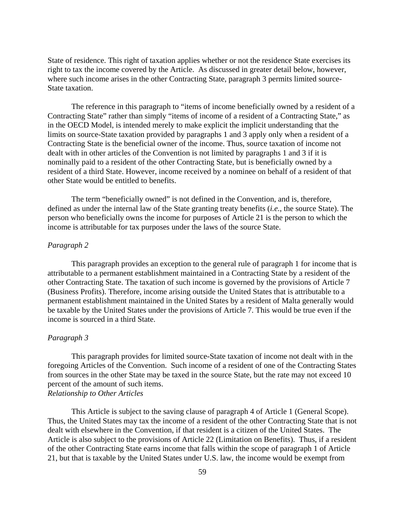State of residence. This right of taxation applies whether or not the residence State exercises its right to tax the income covered by the Article. As discussed in greater detail below, however, where such income arises in the other Contracting State, paragraph 3 permits limited source-State taxation.

The reference in this paragraph to "items of income beneficially owned by a resident of a Contracting State" rather than simply "items of income of a resident of a Contracting State," as in the OECD Model, is intended merely to make explicit the implicit understanding that the limits on source-State taxation provided by paragraphs 1 and 3 apply only when a resident of a Contracting State is the beneficial owner of the income. Thus, source taxation of income not dealt with in other articles of the Convention is not limited by paragraphs 1 and 3 if it is nominally paid to a resident of the other Contracting State, but is beneficially owned by a resident of a third State. However, income received by a nominee on behalf of a resident of that other State would be entitled to benefits.

The term "beneficially owned" is not defined in the Convention, and is, therefore, defined as under the internal law of the State granting treaty benefits (*i.e.*, the source State). The person who beneficially owns the income for purposes of Article 21 is the person to which the income is attributable for tax purposes under the laws of the source State.

# *Paragraph 2*

This paragraph provides an exception to the general rule of paragraph 1 for income that is attributable to a permanent establishment maintained in a Contracting State by a resident of the other Contracting State. The taxation of such income is governed by the provisions of Article 7 (Business Profits). Therefore, income arising outside the United States that is attributable to a permanent establishment maintained in the United States by a resident of Malta generally would be taxable by the United States under the provisions of Article 7. This would be true even if the income is sourced in a third State.

# *Paragraph 3*

This paragraph provides for limited source-State taxation of income not dealt with in the foregoing Articles of the Convention. Such income of a resident of one of the Contracting States from sources in the other State may be taxed in the source State, but the rate may not exceed 10 percent of the amount of such items. *Relationship to Other Articles* 

This Article is subject to the saving clause of paragraph 4 of Article 1 (General Scope). Thus, the United States may tax the income of a resident of the other Contracting State that is not dealt with elsewhere in the Convention, if that resident is a citizen of the United States. The Article is also subject to the provisions of Article 22 (Limitation on Benefits). Thus, if a resident of the other Contracting State earns income that falls within the scope of paragraph 1 of Article 21, but that is taxable by the United States under U.S. law, the income would be exempt from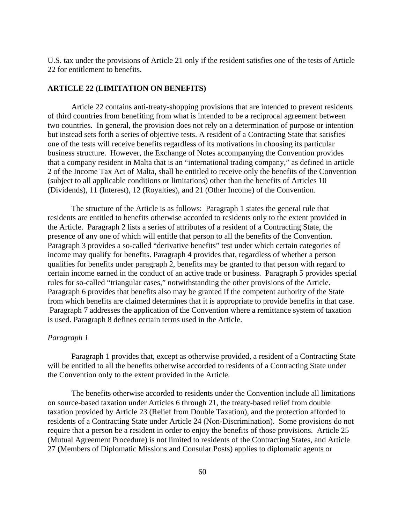U.S. tax under the provisions of Article 21 only if the resident satisfies one of the tests of Article 22 for entitlement to benefits.

# **ARTICLE 22 (LIMITATION ON BENEFITS)**

Article 22 contains anti-treaty-shopping provisions that are intended to prevent residents of third countries from benefiting from what is intended to be a reciprocal agreement between two countries. In general, the provision does not rely on a determination of purpose or intention but instead sets forth a series of objective tests. A resident of a Contracting State that satisfies one of the tests will receive benefits regardless of its motivations in choosing its particular business structure. However, the Exchange of Notes accompanying the Convention provides that a company resident in Malta that is an "international trading company," as defined in article 2 of the Income Tax Act of Malta, shall be entitled to receive only the benefits of the Convention (subject to all applicable conditions or limitations) other than the benefits of Articles 10 (Dividends), 11 (Interest), 12 (Royalties), and 21 (Other Income) of the Convention.

The structure of the Article is as follows: Paragraph 1 states the general rule that residents are entitled to benefits otherwise accorded to residents only to the extent provided in the Article. Paragraph 2 lists a series of attributes of a resident of a Contracting State, the presence of any one of which will entitle that person to all the benefits of the Convention. Paragraph 3 provides a so-called "derivative benefits" test under which certain categories of income may qualify for benefits. Paragraph 4 provides that, regardless of whether a person qualifies for benefits under paragraph 2, benefits may be granted to that person with regard to certain income earned in the conduct of an active trade or business. Paragraph 5 provides special rules for so-called "triangular cases," notwithstanding the other provisions of the Article. Paragraph 6 provides that benefits also may be granted if the competent authority of the State from which benefits are claimed determines that it is appropriate to provide benefits in that case. Paragraph 7 addresses the application of the Convention where a remittance system of taxation is used. Paragraph 8 defines certain terms used in the Article.

# *Paragraph 1*

Paragraph 1 provides that, except as otherwise provided, a resident of a Contracting State will be entitled to all the benefits otherwise accorded to residents of a Contracting State under the Convention only to the extent provided in the Article.

The benefits otherwise accorded to residents under the Convention include all limitations on source-based taxation under Articles 6 through 21, the treaty-based relief from double taxation provided by Article 23 (Relief from Double Taxation), and the protection afforded to residents of a Contracting State under Article 24 (Non-Discrimination). Some provisions do not require that a person be a resident in order to enjoy the benefits of those provisions. Article 25 (Mutual Agreement Procedure) is not limited to residents of the Contracting States, and Article 27 (Members of Diplomatic Missions and Consular Posts) applies to diplomatic agents or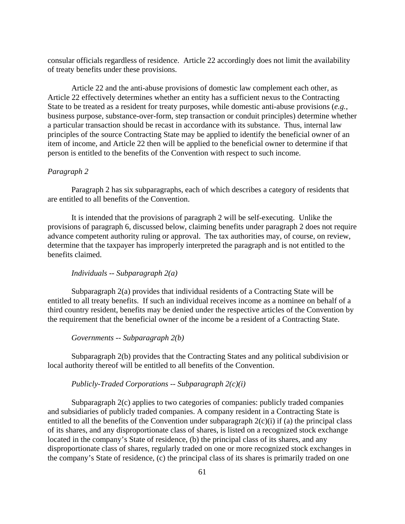consular officials regardless of residence. Article 22 accordingly does not limit the availability of treaty benefits under these provisions.

Article 22 and the anti-abuse provisions of domestic law complement each other, as Article 22 effectively determines whether an entity has a sufficient nexus to the Contracting State to be treated as a resident for treaty purposes, while domestic anti-abuse provisions (*e.g.*, business purpose, substance-over-form, step transaction or conduit principles) determine whether a particular transaction should be recast in accordance with its substance. Thus, internal law principles of the source Contracting State may be applied to identify the beneficial owner of an item of income, and Article 22 then will be applied to the beneficial owner to determine if that person is entitled to the benefits of the Convention with respect to such income.

# *Paragraph 2*

Paragraph 2 has six subparagraphs, each of which describes a category of residents that are entitled to all benefits of the Convention.

It is intended that the provisions of paragraph 2 will be self-executing. Unlike the provisions of paragraph 6, discussed below, claiming benefits under paragraph 2 does not require advance competent authority ruling or approval. The tax authorities may, of course, on review, determine that the taxpayer has improperly interpreted the paragraph and is not entitled to the benefits claimed.

## *Individuals -- Subparagraph 2(a)*

Subparagraph 2(a) provides that individual residents of a Contracting State will be entitled to all treaty benefits. If such an individual receives income as a nominee on behalf of a third country resident, benefits may be denied under the respective articles of the Convention by the requirement that the beneficial owner of the income be a resident of a Contracting State.

#### *Governments -- Subparagraph 2(b)*

Subparagraph 2(b) provides that the Contracting States and any political subdivision or local authority thereof will be entitled to all benefits of the Convention.

#### *Publicly-Traded Corporations -- Subparagraph 2(c)(i)*

Subparagraph 2(c) applies to two categories of companies: publicly traded companies and subsidiaries of publicly traded companies. A company resident in a Contracting State is entitled to all the benefits of the Convention under subparagraph  $2(c)(i)$  if (a) the principal class of its shares, and any disproportionate class of shares, is listed on a recognized stock exchange located in the company's State of residence, (b) the principal class of its shares, and any disproportionate class of shares, regularly traded on one or more recognized stock exchanges in the company's State of residence, (c) the principal class of its shares is primarily traded on one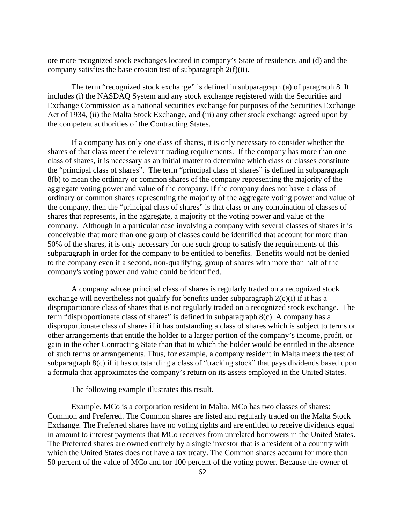ore more recognized stock exchanges located in company's State of residence, and (d) and the company satisfies the base erosion test of subparagraph 2(f)(ii).

The term "recognized stock exchange" is defined in subparagraph (a) of paragraph 8. It includes (i) the NASDAQ System and any stock exchange registered with the Securities and Exchange Commission as a national securities exchange for purposes of the Securities Exchange Act of 1934, (ii) the Malta Stock Exchange, and (iii) any other stock exchange agreed upon by the competent authorities of the Contracting States.

If a company has only one class of shares, it is only necessary to consider whether the shares of that class meet the relevant trading requirements. If the company has more than one class of shares, it is necessary as an initial matter to determine which class or classes constitute the "principal class of shares". The term "principal class of shares" is defined in subparagraph 8(b) to mean the ordinary or common shares of the company representing the majority of the aggregate voting power and value of the company. If the company does not have a class of ordinary or common shares representing the majority of the aggregate voting power and value of the company, then the "principal class of shares" is that class or any combination of classes of shares that represents, in the aggregate, a majority of the voting power and value of the company. Although in a particular case involving a company with several classes of shares it is conceivable that more than one group of classes could be identified that account for more than 50% of the shares, it is only necessary for one such group to satisfy the requirements of this subparagraph in order for the company to be entitled to benefits. Benefits would not be denied to the company even if a second, non-qualifying, group of shares with more than half of the company's voting power and value could be identified.

A company whose principal class of shares is regularly traded on a recognized stock exchange will nevertheless not qualify for benefits under subparagraph  $2(c)(i)$  if it has a disproportionate class of shares that is not regularly traded on a recognized stock exchange. The term "disproportionate class of shares" is defined in subparagraph 8(c). A company has a disproportionate class of shares if it has outstanding a class of shares which is subject to terms or other arrangements that entitle the holder to a larger portion of the company's income, profit, or gain in the other Contracting State than that to which the holder would be entitled in the absence of such terms or arrangements. Thus, for example, a company resident in Malta meets the test of subparagraph 8(c) if it has outstanding a class of "tracking stock" that pays dividends based upon a formula that approximates the company's return on its assets employed in the United States.

The following example illustrates this result.

Example. MCo is a corporation resident in Malta. MCo has two classes of shares: Common and Preferred. The Common shares are listed and regularly traded on the Malta Stock Exchange. The Preferred shares have no voting rights and are entitled to receive dividends equal in amount to interest payments that MCo receives from unrelated borrowers in the United States. The Preferred shares are owned entirely by a single investor that is a resident of a country with which the United States does not have a tax treaty. The Common shares account for more than 50 percent of the value of MCo and for 100 percent of the voting power. Because the owner of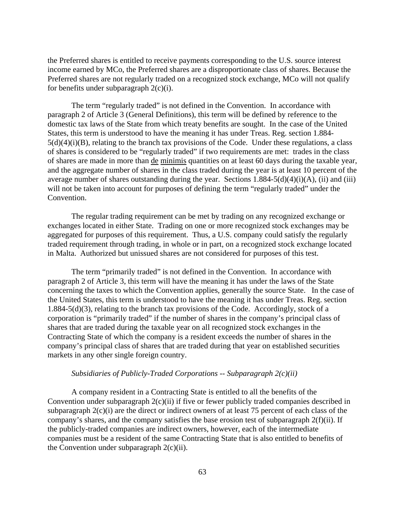the Preferred shares is entitled to receive payments corresponding to the U.S. source interest income earned by MCo, the Preferred shares are a disproportionate class of shares. Because the Preferred shares are not regularly traded on a recognized stock exchange, MCo will not qualify for benefits under subparagraph  $2(c)(i)$ .

The term "regularly traded" is not defined in the Convention. In accordance with paragraph 2 of Article 3 (General Definitions), this term will be defined by reference to the domestic tax laws of the State from which treaty benefits are sought. In the case of the United States, this term is understood to have the meaning it has under Treas. Reg. section 1.884- 5(d)(4)(i)(B), relating to the branch tax provisions of the Code. Under these regulations, a class of shares is considered to be "regularly traded" if two requirements are met: trades in the class of shares are made in more than de minimis quantities on at least 60 days during the taxable year, and the aggregate number of shares in the class traded during the year is at least 10 percent of the average number of shares outstanding during the year. Sections  $1.884-5(d)(4)(i)(A)$ , (ii) and (iii) will not be taken into account for purposes of defining the term "regularly traded" under the Convention.

The regular trading requirement can be met by trading on any recognized exchange or exchanges located in either State. Trading on one or more recognized stock exchanges may be aggregated for purposes of this requirement. Thus, a U.S. company could satisfy the regularly traded requirement through trading, in whole or in part, on a recognized stock exchange located in Malta. Authorized but unissued shares are not considered for purposes of this test.

The term "primarily traded" is not defined in the Convention. In accordance with paragraph 2 of Article 3, this term will have the meaning it has under the laws of the State concerning the taxes to which the Convention applies, generally the source State. In the case of the United States, this term is understood to have the meaning it has under Treas. Reg. section 1.884-5(d)(3), relating to the branch tax provisions of the Code. Accordingly, stock of a corporation is "primarily traded" if the number of shares in the company's principal class of shares that are traded during the taxable year on all recognized stock exchanges in the Contracting State of which the company is a resident exceeds the number of shares in the company's principal class of shares that are traded during that year on established securities markets in any other single foreign country.

#### *Subsidiaries of Publicly-Traded Corporations -- Subparagraph 2(c)(ii)*

A company resident in a Contracting State is entitled to all the benefits of the Convention under subparagraph  $2(c)(ii)$  if five or fewer publicly traded companies described in subparagraph 2(c)(i) are the direct or indirect owners of at least 75 percent of each class of the company's shares, and the company satisfies the base erosion test of subparagraph 2(f)(ii). If the publicly-traded companies are indirect owners, however, each of the intermediate companies must be a resident of the same Contracting State that is also entitled to benefits of the Convention under subparagraph  $2(c)(ii)$ .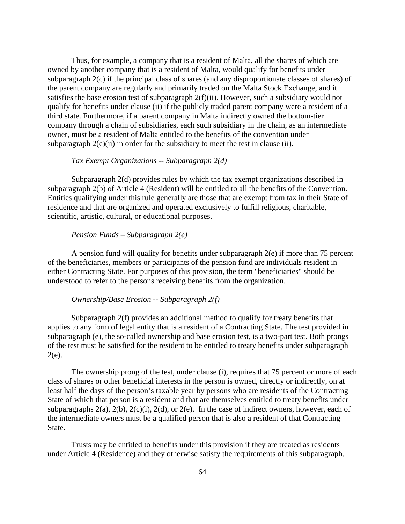Thus, for example, a company that is a resident of Malta, all the shares of which are owned by another company that is a resident of Malta, would qualify for benefits under subparagraph 2(c) if the principal class of shares (and any disproportionate classes of shares) of the parent company are regularly and primarily traded on the Malta Stock Exchange, and it satisfies the base erosion test of subparagraph 2(f)(ii). However, such a subsidiary would not qualify for benefits under clause (ii) if the publicly traded parent company were a resident of a third state. Furthermore, if a parent company in Malta indirectly owned the bottom-tier company through a chain of subsidiaries, each such subsidiary in the chain, as an intermediate owner, must be a resident of Malta entitled to the benefits of the convention under subparagraph  $2(c)(ii)$  in order for the subsidiary to meet the test in clause (ii).

# *Tax Exempt Organizations -- Subparagraph 2(d)*

Subparagraph 2(d) provides rules by which the tax exempt organizations described in subparagraph 2(b) of Article 4 (Resident) will be entitled to all the benefits of the Convention. Entities qualifying under this rule generally are those that are exempt from tax in their State of residence and that are organized and operated exclusively to fulfill religious, charitable, scientific, artistic, cultural, or educational purposes.

#### *Pension Funds – Subparagraph 2(e)*

A pension fund will qualify for benefits under subparagraph  $2(e)$  if more than 75 percent of the beneficiaries, members or participants of the pension fund are individuals resident in either Contracting State. For purposes of this provision, the term "beneficiaries" should be understood to refer to the persons receiving benefits from the organization.

#### *Ownership/Base Erosion -- Subparagraph 2(f)*

Subparagraph 2(f) provides an additional method to qualify for treaty benefits that applies to any form of legal entity that is a resident of a Contracting State. The test provided in subparagraph (e), the so-called ownership and base erosion test, is a two-part test. Both prongs of the test must be satisfied for the resident to be entitled to treaty benefits under subparagraph  $2(e)$ .

The ownership prong of the test, under clause (i), requires that 75 percent or more of each class of shares or other beneficial interests in the person is owned, directly or indirectly, on at least half the days of the person's taxable year by persons who are residents of the Contracting State of which that person is a resident and that are themselves entitled to treaty benefits under subparagraphs  $2(a)$ ,  $2(b)$ ,  $2(c)(i)$ ,  $2(d)$ , or  $2(e)$ . In the case of indirect owners, however, each of the intermediate owners must be a qualified person that is also a resident of that Contracting State.

Trusts may be entitled to benefits under this provision if they are treated as residents under Article 4 (Residence) and they otherwise satisfy the requirements of this subparagraph.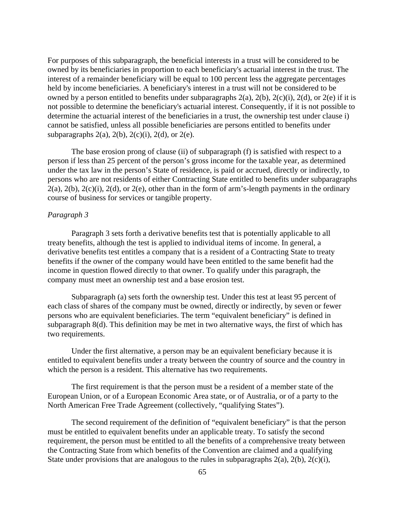For purposes of this subparagraph, the beneficial interests in a trust will be considered to be owned by its beneficiaries in proportion to each beneficiary's actuarial interest in the trust. The interest of a remainder beneficiary will be equal to 100 percent less the aggregate percentages held by income beneficiaries. A beneficiary's interest in a trust will not be considered to be owned by a person entitled to benefits under subparagraphs  $2(a)$ ,  $2(b)$ ,  $2(c)(i)$ ,  $2(d)$ , or  $2(e)$  if it is not possible to determine the beneficiary's actuarial interest. Consequently, if it is not possible to determine the actuarial interest of the beneficiaries in a trust, the ownership test under clause i) cannot be satisfied, unless all possible beneficiaries are persons entitled to benefits under subparagraphs 2(a), 2(b), 2(c)(i), 2(d), or 2(e).

The base erosion prong of clause (ii) of subparagraph (f) is satisfied with respect to a person if less than 25 percent of the person's gross income for the taxable year, as determined under the tax law in the person's State of residence, is paid or accrued, directly or indirectly, to persons who are not residents of either Contracting State entitled to benefits under subparagraphs  $2(a)$ ,  $2(b)$ ,  $2(c)(i)$ ,  $2(d)$ , or  $2(e)$ , other than in the form of arm's-length payments in the ordinary course of business for services or tangible property.

## *Paragraph 3*

Paragraph 3 sets forth a derivative benefits test that is potentially applicable to all treaty benefits, although the test is applied to individual items of income. In general, a derivative benefits test entitles a company that is a resident of a Contracting State to treaty benefits if the owner of the company would have been entitled to the same benefit had the income in question flowed directly to that owner. To qualify under this paragraph, the company must meet an ownership test and a base erosion test.

Subparagraph (a) sets forth the ownership test. Under this test at least 95 percent of each class of shares of the company must be owned, directly or indirectly, by seven or fewer persons who are equivalent beneficiaries. The term "equivalent beneficiary" is defined in subparagraph 8(d). This definition may be met in two alternative ways, the first of which has two requirements.

Under the first alternative, a person may be an equivalent beneficiary because it is entitled to equivalent benefits under a treaty between the country of source and the country in which the person is a resident. This alternative has two requirements.

The first requirement is that the person must be a resident of a member state of the European Union, or of a European Economic Area state, or of Australia, or of a party to the North American Free Trade Agreement (collectively, "qualifying States").

The second requirement of the definition of "equivalent beneficiary" is that the person must be entitled to equivalent benefits under an applicable treaty. To satisfy the second requirement, the person must be entitled to all the benefits of a comprehensive treaty between the Contracting State from which benefits of the Convention are claimed and a qualifying State under provisions that are analogous to the rules in subparagraphs  $2(a)$ ,  $2(b)$ ,  $2(c)(i)$ ,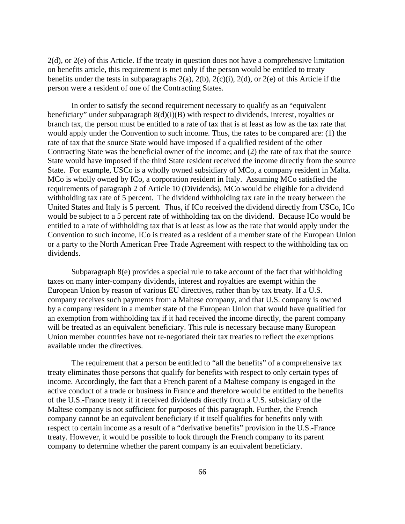2(d), or 2(e) of this Article. If the treaty in question does not have a comprehensive limitation on benefits article, this requirement is met only if the person would be entitled to treaty benefits under the tests in subparagraphs  $2(a)$ ,  $2(b)$ ,  $2(c)(i)$ ,  $2(d)$ , or  $2(e)$  of this Article if the person were a resident of one of the Contracting States.

In order to satisfy the second requirement necessary to qualify as an "equivalent beneficiary" under subparagraph 8(d)(i)(B) with respect to dividends, interest, royalties or branch tax, the person must be entitled to a rate of tax that is at least as low as the tax rate that would apply under the Convention to such income. Thus, the rates to be compared are: (1) the rate of tax that the source State would have imposed if a qualified resident of the other Contracting State was the beneficial owner of the income; and (2) the rate of tax that the source State would have imposed if the third State resident received the income directly from the source State. For example, USCo is a wholly owned subsidiary of MCo, a company resident in Malta. MCo is wholly owned by ICo, a corporation resident in Italy. Assuming MCo satisfied the requirements of paragraph 2 of Article 10 (Dividends), MCo would be eligible for a dividend withholding tax rate of 5 percent. The dividend withholding tax rate in the treaty between the United States and Italy is 5 percent. Thus, if ICo received the dividend directly from USCo, ICo would be subject to a 5 percent rate of withholding tax on the dividend. Because ICo would be entitled to a rate of withholding tax that is at least as low as the rate that would apply under the Convention to such income, ICo is treated as a resident of a member state of the European Union or a party to the North American Free Trade Agreement with respect to the withholding tax on dividends.

Subparagraph 8(e) provides a special rule to take account of the fact that withholding taxes on many inter-company dividends, interest and royalties are exempt within the European Union by reason of various EU directives, rather than by tax treaty. If a U.S. company receives such payments from a Maltese company, and that U.S. company is owned by a company resident in a member state of the European Union that would have qualified for an exemption from withholding tax if it had received the income directly, the parent company will be treated as an equivalent beneficiary. This rule is necessary because many European Union member countries have not re-negotiated their tax treaties to reflect the exemptions available under the directives.

The requirement that a person be entitled to "all the benefits" of a comprehensive tax treaty eliminates those persons that qualify for benefits with respect to only certain types of income. Accordingly, the fact that a French parent of a Maltese company is engaged in the active conduct of a trade or business in France and therefore would be entitled to the benefits of the U.S.-France treaty if it received dividends directly from a U.S. subsidiary of the Maltese company is not sufficient for purposes of this paragraph. Further, the French company cannot be an equivalent beneficiary if it itself qualifies for benefits only with respect to certain income as a result of a "derivative benefits" provision in the U.S.-France treaty. However, it would be possible to look through the French company to its parent company to determine whether the parent company is an equivalent beneficiary.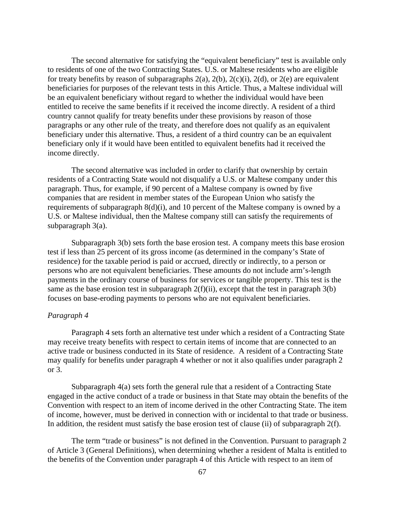The second alternative for satisfying the "equivalent beneficiary" test is available only to residents of one of the two Contracting States. U.S. or Maltese residents who are eligible for treaty benefits by reason of subparagraphs  $2(a)$ ,  $2(b)$ ,  $2(c)(i)$ ,  $2(d)$ , or  $2(e)$  are equivalent beneficiaries for purposes of the relevant tests in this Article. Thus, a Maltese individual will be an equivalent beneficiary without regard to whether the individual would have been entitled to receive the same benefits if it received the income directly. A resident of a third country cannot qualify for treaty benefits under these provisions by reason of those paragraphs or any other rule of the treaty, and therefore does not qualify as an equivalent beneficiary under this alternative. Thus, a resident of a third country can be an equivalent beneficiary only if it would have been entitled to equivalent benefits had it received the income directly.

The second alternative was included in order to clarify that ownership by certain residents of a Contracting State would not disqualify a U.S. or Maltese company under this paragraph. Thus, for example, if 90 percent of a Maltese company is owned by five companies that are resident in member states of the European Union who satisfy the requirements of subparagraph 8(d)(i), and 10 percent of the Maltese company is owned by a U.S. or Maltese individual, then the Maltese company still can satisfy the requirements of subparagraph 3(a).

Subparagraph 3(b) sets forth the base erosion test. A company meets this base erosion test if less than 25 percent of its gross income (as determined in the company's State of residence) for the taxable period is paid or accrued, directly or indirectly, to a person or persons who are not equivalent beneficiaries. These amounts do not include arm's-length payments in the ordinary course of business for services or tangible property. This test is the same as the base erosion test in subparagraph  $2(f)(ii)$ , except that the test in paragraph  $3(b)$ focuses on base-eroding payments to persons who are not equivalent beneficiaries.

#### *Paragraph 4*

Paragraph 4 sets forth an alternative test under which a resident of a Contracting State may receive treaty benefits with respect to certain items of income that are connected to an active trade or business conducted in its State of residence. A resident of a Contracting State may qualify for benefits under paragraph 4 whether or not it also qualifies under paragraph 2 or 3.

Subparagraph 4(a) sets forth the general rule that a resident of a Contracting State engaged in the active conduct of a trade or business in that State may obtain the benefits of the Convention with respect to an item of income derived in the other Contracting State. The item of income, however, must be derived in connection with or incidental to that trade or business. In addition, the resident must satisfy the base erosion test of clause (ii) of subparagraph 2(f).

The term "trade or business" is not defined in the Convention. Pursuant to paragraph 2 of Article 3 (General Definitions), when determining whether a resident of Malta is entitled to the benefits of the Convention under paragraph 4 of this Article with respect to an item of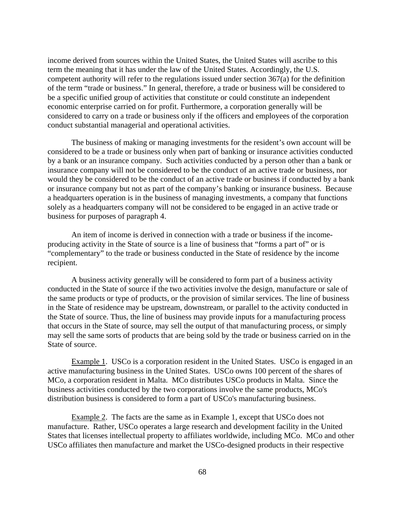income derived from sources within the United States, the United States will ascribe to this term the meaning that it has under the law of the United States. Accordingly, the U.S. competent authority will refer to the regulations issued under section 367(a) for the definition of the term "trade or business." In general, therefore, a trade or business will be considered to be a specific unified group of activities that constitute or could constitute an independent economic enterprise carried on for profit. Furthermore, a corporation generally will be considered to carry on a trade or business only if the officers and employees of the corporation conduct substantial managerial and operational activities.

The business of making or managing investments for the resident's own account will be considered to be a trade or business only when part of banking or insurance activities conducted by a bank or an insurance company. Such activities conducted by a person other than a bank or insurance company will not be considered to be the conduct of an active trade or business, nor would they be considered to be the conduct of an active trade or business if conducted by a bank or insurance company but not as part of the company's banking or insurance business. Because a headquarters operation is in the business of managing investments, a company that functions solely as a headquarters company will not be considered to be engaged in an active trade or business for purposes of paragraph 4.

An item of income is derived in connection with a trade or business if the incomeproducing activity in the State of source is a line of business that "forms a part of" or is "complementary" to the trade or business conducted in the State of residence by the income recipient.

A business activity generally will be considered to form part of a business activity conducted in the State of source if the two activities involve the design, manufacture or sale of the same products or type of products, or the provision of similar services. The line of business in the State of residence may be upstream, downstream, or parallel to the activity conducted in the State of source. Thus, the line of business may provide inputs for a manufacturing process that occurs in the State of source, may sell the output of that manufacturing process, or simply may sell the same sorts of products that are being sold by the trade or business carried on in the State of source.

Example 1. USCo is a corporation resident in the United States. USCo is engaged in an active manufacturing business in the United States. USCo owns 100 percent of the shares of MCo, a corporation resident in Malta. MCo distributes USCo products in Malta. Since the business activities conducted by the two corporations involve the same products, MCo's distribution business is considered to form a part of USCo's manufacturing business.

Example 2. The facts are the same as in Example 1, except that USCo does not manufacture. Rather, USCo operates a large research and development facility in the United States that licenses intellectual property to affiliates worldwide, including MCo. MCo and other USCo affiliates then manufacture and market the USCo-designed products in their respective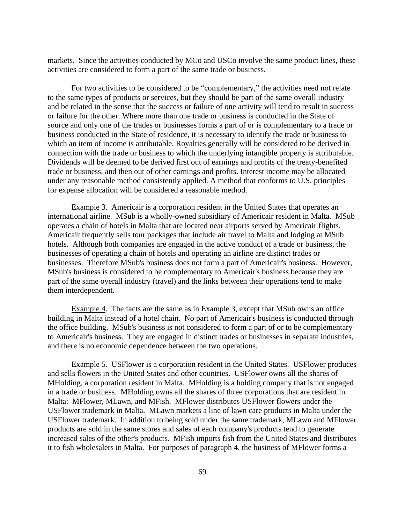markets. Since the activities conducted by MCo and USCo involve the same product lines, these activities are considered to form a part of the same trade or business.

For two activities to be considered to be "complementary," the activities need not relate to the same types of products or services, but they should be part of the same overall industry and be related in the sense that the success or failure of one activity will tend to result in success or failure for the other. Where more than one trade or business is conducted in the State of source and only one of the trades or businesses forms a part of or is complementary to a trade or business conducted in the State of residence, it is necessary to identify the trade or business to which an item of income is attributable. Royalties generally will be considered to be derived in connection with the trade or business to which the underlying intangible property is attributable. Dividends will be deemed to be derived first out of earnings and profits of the treaty-benefited trade or business, and then out of other earnings and profits. Interest income may be allocated under any reasonable method consistently applied. A method that conforms to U.S. principles for expense allocation will be considered a reasonable method.

Example 3. Americair is a corporation resident in the United States that operates an international airline. MSub is a wholly-owned subsidiary of Americair resident in Malta. MSub operates a chain of hotels in Malta that are located near airports served by Americair flights. Americair frequently sells tour packages that include air travel to Malta and lodging at MSub hotels. Although both companies are engaged in the active conduct of a trade or business, the businesses of operating a chain of hotels and operating an airline are distinct trades or businesses. Therefore MSub's business does not form a part of Americair's business. However, MSub's business is considered to be complementary to Americair's business because they are part of the same overall industry (travel) and the links between their operations tend to make them interdependent.

Example 4. The facts are the same as in Example 3, except that MSub owns an office building in Malta instead of a hotel chain. No part of Americair's business is conducted through the office building. MSub's business is not considered to form a part of or to be complementary to Americair's business. They are engaged in distinct trades or businesses in separate industries, and there is no economic dependence between the two operations.

Example 5. USFlower is a corporation resident in the United States. USFlower produces and sells flowers in the United States and other countries. USFlower owns all the shares of MHolding, a corporation resident in Malta. MHolding is a holding company that is not engaged in a trade or business. MHolding owns all the shares of three corporations that are resident in Malta: MFlower, MLawn, and MFish. MFlower distributes USFlower flowers under the USFlower trademark in Malta. MLawn markets a line of lawn care products in Malta under the USFlower trademark. In addition to being sold under the same trademark, MLawn and MFlower products are sold in the same stores and sales of each company's products tend to generate increased sales of the other's products. MFish imports fish from the United States and distributes it to fish wholesalers in Malta. For purposes of paragraph 4, the business of MFlower forms a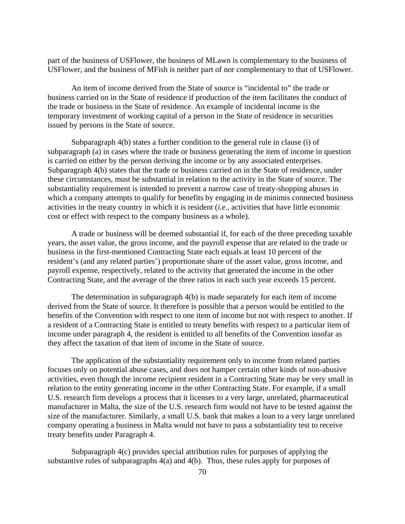part of the business of USFlower, the business of MLawn is complementary to the business of USFlower, and the business of MFish is neither part of nor complementary to that of USFlower.

An item of income derived from the State of source is "incidental to" the trade or business carried on in the State of residence if production of the item facilitates the conduct of the trade or business in the State of residence. An example of incidental income is the temporary investment of working capital of a person in the State of residence in securities issued by persons in the State of source.

Subparagraph 4(b) states a further condition to the general rule in clause (i) of subparagraph (a) in cases where the trade or business generating the item of income in question is carried on either by the person deriving the income or by any associated enterprises. Subparagraph 4(b) states that the trade or business carried on in the State of residence, under these circumstances, must be substantial in relation to the activity in the State of source. The substantiality requirement is intended to prevent a narrow case of treaty-shopping abuses in which a company attempts to qualify for benefits by engaging in de minimis connected business activities in the treaty country in which it is resident (*i.e.*, activities that have little economic cost or effect with respect to the company business as a whole).

A trade or business will be deemed substantial if, for each of the three preceding taxable years, the asset value, the gross income, and the payroll expense that are related to the trade or business in the first-mentioned Contracting State each equals at least 10 percent of the resident's (and any related parties') proportionate share of the asset value, gross income, and payroll expense, respectively, related to the activity that generated the income in the other Contracting State, and the average of the three ratios in each such year exceeds 15 percent.

The determination in subparagraph 4(b) is made separately for each item of income derived from the State of source. It therefore is possible that a person would be entitled to the benefits of the Convention with respect to one item of income but not with respect to another. If a resident of a Contracting State is entitled to treaty benefits with respect to a particular item of income under paragraph 4, the resident is entitled to all benefits of the Convention insofar as they affect the taxation of that item of income in the State of source.

The application of the substantiality requirement only to income from related parties focuses only on potential abuse cases, and does not hamper certain other kinds of non-abusive activities, even though the income recipient resident in a Contracting State may be very small in relation to the entity generating income in the other Contracting State. For example, if a small U.S. research firm develops a process that it licenses to a very large, unrelated, pharmaceutical manufacturer in Malta, the size of the U.S. research firm would not have to be tested against the size of the manufacturer. Similarly, a small U.S. bank that makes a loan to a very large unrelated company operating a business in Malta would not have to pass a substantiality test to receive treaty benefits under Paragraph 4.

Subparagraph 4(c) provides special attribution rules for purposes of applying the substantive rules of subparagraphs 4(a) and 4(b). Thus, these rules apply for purposes of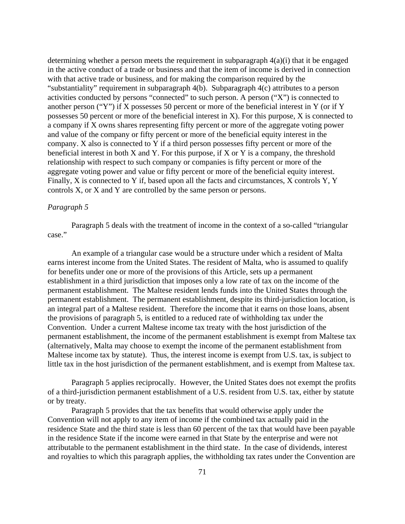determining whether a person meets the requirement in subparagraph  $4(a)(i)$  that it be engaged in the active conduct of a trade or business and that the item of income is derived in connection with that active trade or business, and for making the comparison required by the "substantiality" requirement in subparagraph 4(b). Subparagraph 4(c) attributes to a person activities conducted by persons "connected" to such person. A person ("X") is connected to another person ("Y") if X possesses 50 percent or more of the beneficial interest in Y (or if Y possesses 50 percent or more of the beneficial interest in X). For this purpose, X is connected to a company if X owns shares representing fifty percent or more of the aggregate voting power and value of the company or fifty percent or more of the beneficial equity interest in the company. X also is connected to Y if a third person possesses fifty percent or more of the beneficial interest in both X and Y. For this purpose, if X or Y is a company, the threshold relationship with respect to such company or companies is fifty percent or more of the aggregate voting power and value or fifty percent or more of the beneficial equity interest. Finally, X is connected to Y if, based upon all the facts and circumstances, X controls Y, Y controls X, or X and Y are controlled by the same person or persons.

# *Paragraph 5*

Paragraph 5 deals with the treatment of income in the context of a so-called "triangular case."

An example of a triangular case would be a structure under which a resident of Malta earns interest income from the United States. The resident of Malta, who is assumed to qualify for benefits under one or more of the provisions of this Article, sets up a permanent establishment in a third jurisdiction that imposes only a low rate of tax on the income of the permanent establishment. The Maltese resident lends funds into the United States through the permanent establishment. The permanent establishment, despite its third-jurisdiction location, is an integral part of a Maltese resident. Therefore the income that it earns on those loans, absent the provisions of paragraph 5, is entitled to a reduced rate of withholding tax under the Convention. Under a current Maltese income tax treaty with the host jurisdiction of the permanent establishment, the income of the permanent establishment is exempt from Maltese tax (alternatively, Malta may choose to exempt the income of the permanent establishment from Maltese income tax by statute). Thus, the interest income is exempt from U.S. tax, is subject to little tax in the host jurisdiction of the permanent establishment, and is exempt from Maltese tax.

Paragraph 5 applies reciprocally. However, the United States does not exempt the profits of a third-jurisdiction permanent establishment of a U.S. resident from U.S. tax, either by statute or by treaty.

Paragraph 5 provides that the tax benefits that would otherwise apply under the Convention will not apply to any item of income if the combined tax actually paid in the residence State and the third state is less than 60 percent of the tax that would have been payable in the residence State if the income were earned in that State by the enterprise and were not attributable to the permanent establishment in the third state. In the case of dividends, interest and royalties to which this paragraph applies, the withholding tax rates under the Convention are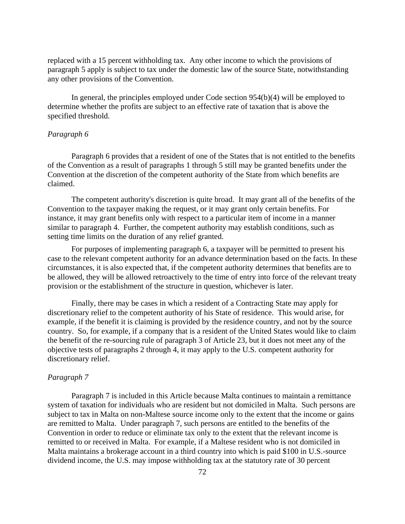replaced with a 15 percent withholding tax. Any other income to which the provisions of paragraph 5 apply is subject to tax under the domestic law of the source State, notwithstanding any other provisions of the Convention.

In general, the principles employed under Code section 954(b)(4) will be employed to determine whether the profits are subject to an effective rate of taxation that is above the specified threshold.

# *Paragraph 6*

Paragraph 6 provides that a resident of one of the States that is not entitled to the benefits of the Convention as a result of paragraphs 1 through 5 still may be granted benefits under the Convention at the discretion of the competent authority of the State from which benefits are claimed.

The competent authority's discretion is quite broad. It may grant all of the benefits of the Convention to the taxpayer making the request, or it may grant only certain benefits. For instance, it may grant benefits only with respect to a particular item of income in a manner similar to paragraph 4. Further, the competent authority may establish conditions, such as setting time limits on the duration of any relief granted.

For purposes of implementing paragraph 6, a taxpayer will be permitted to present his case to the relevant competent authority for an advance determination based on the facts. In these circumstances, it is also expected that, if the competent authority determines that benefits are to be allowed, they will be allowed retroactively to the time of entry into force of the relevant treaty provision or the establishment of the structure in question, whichever is later.

Finally, there may be cases in which a resident of a Contracting State may apply for discretionary relief to the competent authority of his State of residence. This would arise, for example, if the benefit it is claiming is provided by the residence country, and not by the source country. So, for example, if a company that is a resident of the United States would like to claim the benefit of the re-sourcing rule of paragraph 3 of Article 23, but it does not meet any of the objective tests of paragraphs 2 through 4, it may apply to the U.S. competent authority for discretionary relief.

#### *Paragraph 7*

Paragraph 7 is included in this Article because Malta continues to maintain a remittance system of taxation for individuals who are resident but not domiciled in Malta. Such persons are subject to tax in Malta on non-Maltese source income only to the extent that the income or gains are remitted to Malta. Under paragraph 7, such persons are entitled to the benefits of the Convention in order to reduce or eliminate tax only to the extent that the relevant income is remitted to or received in Malta. For example, if a Maltese resident who is not domiciled in Malta maintains a brokerage account in a third country into which is paid \$100 in U.S.-source dividend income, the U.S. may impose withholding tax at the statutory rate of 30 percent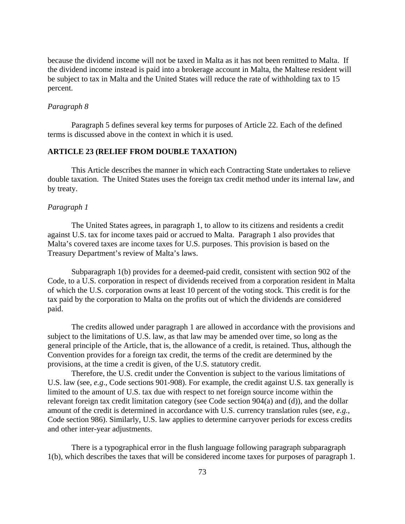because the dividend income will not be taxed in Malta as it has not been remitted to Malta. If the dividend income instead is paid into a brokerage account in Malta, the Maltese resident will be subject to tax in Malta and the United States will reduce the rate of withholding tax to 15 percent.

### *Paragraph 8*

Paragraph 5 defines several key terms for purposes of Article 22. Each of the defined terms is discussed above in the context in which it is used.

## **ARTICLE 23 (RELIEF FROM DOUBLE TAXATION)**

This Article describes the manner in which each Contracting State undertakes to relieve double taxation. The United States uses the foreign tax credit method under its internal law, and by treaty.

## *Paragraph 1*

The United States agrees, in paragraph 1, to allow to its citizens and residents a credit against U.S. tax for income taxes paid or accrued to Malta. Paragraph 1 also provides that Malta's covered taxes are income taxes for U.S. purposes. This provision is based on the Treasury Department's review of Malta's laws.

Subparagraph 1(b) provides for a deemed-paid credit, consistent with section 902 of the Code, to a U.S. corporation in respect of dividends received from a corporation resident in Malta of which the U.S. corporation owns at least 10 percent of the voting stock. This credit is for the tax paid by the corporation to Malta on the profits out of which the dividends are considered paid.

The credits allowed under paragraph 1 are allowed in accordance with the provisions and subject to the limitations of U.S. law, as that law may be amended over time, so long as the general principle of the Article, that is, the allowance of a credit, is retained. Thus, although the Convention provides for a foreign tax credit, the terms of the credit are determined by the provisions, at the time a credit is given, of the U.S. statutory credit.

Therefore, the U.S. credit under the Convention is subject to the various limitations of U.S. law (see, *e.g*., Code sections 901-908). For example, the credit against U.S. tax generally is limited to the amount of U.S. tax due with respect to net foreign source income within the relevant foreign tax credit limitation category (see Code section 904(a) and (d)), and the dollar amount of the credit is determined in accordance with U.S. currency translation rules (see, *e.g.*, Code section 986). Similarly, U.S. law applies to determine carryover periods for excess credits and other inter-year adjustments.

There is a typographical error in the flush language following paragraph subparagraph 1(b), which describes the taxes that will be considered income taxes for purposes of paragraph 1.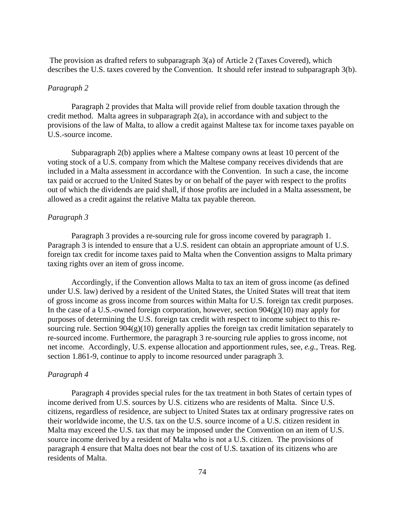The provision as drafted refers to subparagraph 3(a) of Article 2 (Taxes Covered), which describes the U.S. taxes covered by the Convention. It should refer instead to subparagraph 3(b).

### *Paragraph 2*

Paragraph 2 provides that Malta will provide relief from double taxation through the credit method. Malta agrees in subparagraph 2(a), in accordance with and subject to the provisions of the law of Malta, to allow a credit against Maltese tax for income taxes payable on U.S.-source income.

Subparagraph 2(b) applies where a Maltese company owns at least 10 percent of the voting stock of a U.S. company from which the Maltese company receives dividends that are included in a Malta assessment in accordance with the Convention. In such a case, the income tax paid or accrued to the United States by or on behalf of the payer with respect to the profits out of which the dividends are paid shall, if those profits are included in a Malta assessment, be allowed as a credit against the relative Malta tax payable thereon.

## *Paragraph 3*

Paragraph 3 provides a re-sourcing rule for gross income covered by paragraph 1. Paragraph 3 is intended to ensure that a U.S. resident can obtain an appropriate amount of U.S. foreign tax credit for income taxes paid to Malta when the Convention assigns to Malta primary taxing rights over an item of gross income.

Accordingly, if the Convention allows Malta to tax an item of gross income (as defined under U.S. law) derived by a resident of the United States, the United States will treat that item of gross income as gross income from sources within Malta for U.S. foreign tax credit purposes. In the case of a U.S.-owned foreign corporation, however, section  $904(g)(10)$  may apply for purposes of determining the U.S. foreign tax credit with respect to income subject to this resourcing rule. Section  $904(g)(10)$  generally applies the foreign tax credit limitation separately to re-sourced income. Furthermore, the paragraph 3 re-sourcing rule applies to gross income, not net income. Accordingly, U.S. expense allocation and apportionment rules, see, *e.g.*, Treas. Reg. section 1.861-9, continue to apply to income resourced under paragraph 3.

### *Paragraph 4*

Paragraph 4 provides special rules for the tax treatment in both States of certain types of income derived from U.S. sources by U.S. citizens who are residents of Malta. Since U.S. citizens, regardless of residence, are subject to United States tax at ordinary progressive rates on their worldwide income, the U.S. tax on the U.S. source income of a U.S. citizen resident in Malta may exceed the U.S. tax that may be imposed under the Convention on an item of U.S. source income derived by a resident of Malta who is not a U.S. citizen. The provisions of paragraph 4 ensure that Malta does not bear the cost of U.S. taxation of its citizens who are residents of Malta.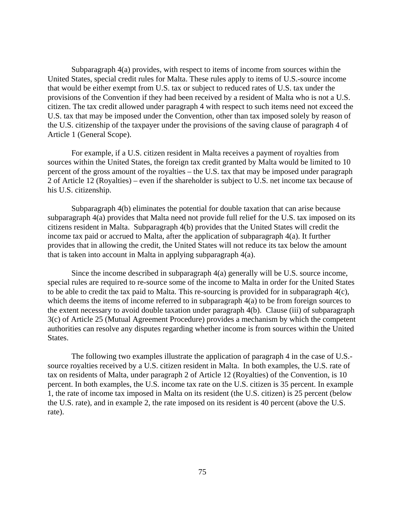Subparagraph 4(a) provides, with respect to items of income from sources within the United States, special credit rules for Malta. These rules apply to items of U.S.-source income that would be either exempt from U.S. tax or subject to reduced rates of U.S. tax under the provisions of the Convention if they had been received by a resident of Malta who is not a U.S. citizen. The tax credit allowed under paragraph 4 with respect to such items need not exceed the U.S. tax that may be imposed under the Convention, other than tax imposed solely by reason of the U.S. citizenship of the taxpayer under the provisions of the saving clause of paragraph 4 of Article 1 (General Scope).

For example, if a U.S. citizen resident in Malta receives a payment of royalties from sources within the United States, the foreign tax credit granted by Malta would be limited to 10 percent of the gross amount of the royalties – the U.S. tax that may be imposed under paragraph 2 of Article 12 (Royalties) – even if the shareholder is subject to U.S. net income tax because of his U.S. citizenship.

Subparagraph 4(b) eliminates the potential for double taxation that can arise because subparagraph 4(a) provides that Malta need not provide full relief for the U.S. tax imposed on its citizens resident in Malta. Subparagraph 4(b) provides that the United States will credit the income tax paid or accrued to Malta, after the application of subparagraph 4(a). It further provides that in allowing the credit, the United States will not reduce its tax below the amount that is taken into account in Malta in applying subparagraph 4(a).

Since the income described in subparagraph 4(a) generally will be U.S. source income, special rules are required to re-source some of the income to Malta in order for the United States to be able to credit the tax paid to Malta. This re-sourcing is provided for in subparagraph 4(c), which deems the items of income referred to in subparagraph  $4(a)$  to be from foreign sources to the extent necessary to avoid double taxation under paragraph 4(b). Clause (iii) of subparagraph 3(c) of Article 25 (Mutual Agreement Procedure) provides a mechanism by which the competent authorities can resolve any disputes regarding whether income is from sources within the United States.

The following two examples illustrate the application of paragraph 4 in the case of U.S. source royalties received by a U.S. citizen resident in Malta. In both examples, the U.S. rate of tax on residents of Malta, under paragraph 2 of Article 12 (Royalties) of the Convention, is 10 percent. In both examples, the U.S. income tax rate on the U.S. citizen is 35 percent. In example 1, the rate of income tax imposed in Malta on its resident (the U.S. citizen) is 25 percent (below the U.S. rate), and in example 2, the rate imposed on its resident is 40 percent (above the U.S. rate).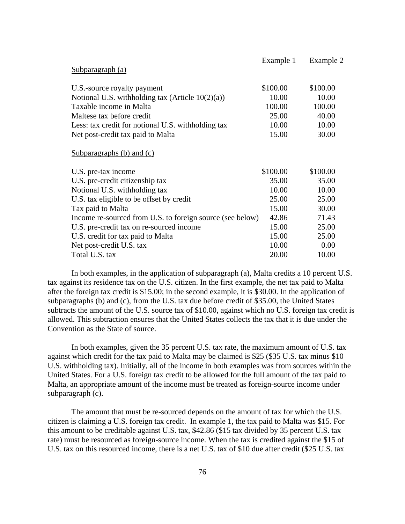|                                                           | Example 1 | <b>Example 2</b> |
|-----------------------------------------------------------|-----------|------------------|
| Subparagraph (a)                                          |           |                  |
| U.S.-source royalty payment                               | \$100.00  | \$100.00         |
| Notional U.S. withholding tax (Article $10(2)(a)$ )       | 10.00     | 10.00            |
| Taxable income in Malta                                   | 100.00    | 100.00           |
| Maltese tax before credit                                 | 25.00     | 40.00            |
| Less: tax credit for notional U.S. with holding tax       | 10.00     | 10.00            |
| Net post-credit tax paid to Malta                         | 15.00     | 30.00            |
|                                                           | \$100.00  | \$100.00         |
| U.S. pre-tax income                                       |           |                  |
| U.S. pre-credit citizenship tax                           | 35.00     | 35.00            |
| Notional U.S. withholding tax                             | 10.00     | 10.00            |
| U.S. tax eligible to be offset by credit                  | 25.00     | 25.00            |
| Tax paid to Malta                                         | 15.00     | 30.00            |
| Income re-sourced from U.S. to foreign source (see below) | 42.86     | 71.43            |
| U.S. pre-credit tax on re-sourced income                  | 15.00     | 25.00            |
| U.S. credit for tax paid to Malta                         | 15.00     | 25.00            |
| Net post-credit U.S. tax                                  | 10.00     | 0.00             |
| Total U.S. tax                                            | 20.00     | 10.00            |

In both examples, in the application of subparagraph (a), Malta credits a 10 percent U.S. tax against its residence tax on the U.S. citizen. In the first example, the net tax paid to Malta after the foreign tax credit is \$15.00; in the second example, it is \$30.00. In the application of subparagraphs (b) and (c), from the U.S. tax due before credit of \$35.00, the United States subtracts the amount of the U.S. source tax of \$10.00, against which no U.S. foreign tax credit is allowed. This subtraction ensures that the United States collects the tax that it is due under the Convention as the State of source.

In both examples, given the 35 percent U.S. tax rate, the maximum amount of U.S. tax against which credit for the tax paid to Malta may be claimed is \$25 (\$35 U.S. tax minus \$10 U.S. withholding tax). Initially, all of the income in both examples was from sources within the United States. For a U.S. foreign tax credit to be allowed for the full amount of the tax paid to Malta, an appropriate amount of the income must be treated as foreign-source income under subparagraph (c).

The amount that must be re-sourced depends on the amount of tax for which the U.S. citizen is claiming a U.S. foreign tax credit. In example 1, the tax paid to Malta was \$15. For this amount to be creditable against U.S. tax, \$42.86 (\$15 tax divided by 35 percent U.S. tax rate) must be resourced as foreign-source income. When the tax is credited against the \$15 of U.S. tax on this resourced income, there is a net U.S. tax of \$10 due after credit (\$25 U.S. tax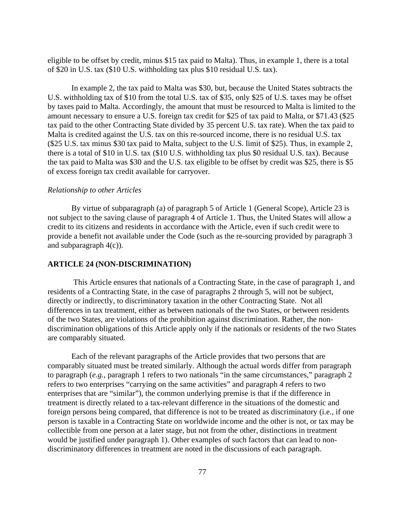eligible to be offset by credit, minus \$15 tax paid to Malta). Thus, in example 1, there is a total of \$20 in U.S. tax (\$10 U.S. withholding tax plus \$10 residual U.S. tax).

In example 2, the tax paid to Malta was \$30, but, because the United States subtracts the U.S. withholding tax of \$10 from the total U.S. tax of \$35, only \$25 of U.S. taxes may be offset by taxes paid to Malta. Accordingly, the amount that must be resourced to Malta is limited to the amount necessary to ensure a U.S. foreign tax credit for \$25 of tax paid to Malta, or \$71.43 (\$25 tax paid to the other Contracting State divided by 35 percent U.S. tax rate). When the tax paid to Malta is credited against the U.S. tax on this re-sourced income, there is no residual U.S. tax (\$25 U.S. tax minus \$30 tax paid to Malta, subject to the U.S. limit of \$25). Thus, in example 2, there is a total of \$10 in U.S. tax (\$10 U.S. withholding tax plus \$0 residual U.S. tax). Because the tax paid to Malta was \$30 and the U.S. tax eligible to be offset by credit was \$25, there is \$5 of excess foreign tax credit available for carryover.

#### *Relationship to other Articles*

By virtue of subparagraph (a) of paragraph 5 of Article 1 (General Scope), Article 23 is not subject to the saving clause of paragraph 4 of Article 1. Thus, the United States will allow a credit to its citizens and residents in accordance with the Article, even if such credit were to provide a benefit not available under the Code (such as the re-sourcing provided by paragraph 3 and subparagraph 4(c)).

#### **ARTICLE 24 (NON-DISCRIMINATION)**

 This Article ensures that nationals of a Contracting State, in the case of paragraph 1, and residents of a Contracting State, in the case of paragraphs 2 through 5, will not be subject, directly or indirectly, to discriminatory taxation in the other Contracting State. Not all differences in tax treatment, either as between nationals of the two States, or between residents of the two States, are violations of the prohibition against discrimination. Rather, the nondiscrimination obligations of this Article apply only if the nationals or residents of the two States are comparably situated.

Each of the relevant paragraphs of the Article provides that two persons that are comparably situated must be treated similarly. Although the actual words differ from paragraph to paragraph (*e.g.*, paragraph 1 refers to two nationals "in the same circumstances," paragraph 2 refers to two enterprises "carrying on the same activities" and paragraph 4 refers to two enterprises that are "similar"), the common underlying premise is that if the difference in treatment is directly related to a tax-relevant difference in the situations of the domestic and foreign persons being compared, that difference is not to be treated as discriminatory (i.e*.*, if one person is taxable in a Contracting State on worldwide income and the other is not, or tax may be collectible from one person at a later stage, but not from the other, distinctions in treatment would be justified under paragraph 1). Other examples of such factors that can lead to nondiscriminatory differences in treatment are noted in the discussions of each paragraph.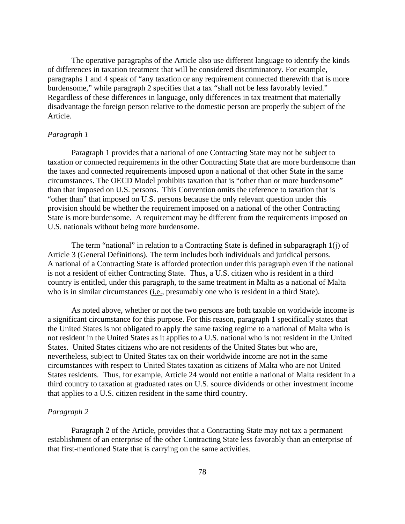The operative paragraphs of the Article also use different language to identify the kinds of differences in taxation treatment that will be considered discriminatory. For example, paragraphs 1 and 4 speak of "any taxation or any requirement connected therewith that is more burdensome," while paragraph 2 specifies that a tax "shall not be less favorably levied." Regardless of these differences in language, only differences in tax treatment that materially disadvantage the foreign person relative to the domestic person are properly the subject of the Article.

### *Paragraph 1*

Paragraph 1 provides that a national of one Contracting State may not be subject to taxation or connected requirements in the other Contracting State that are more burdensome than the taxes and connected requirements imposed upon a national of that other State in the same circumstances. The OECD Model prohibits taxation that is "other than or more burdensome" than that imposed on U.S. persons. This Convention omits the reference to taxation that is "other than" that imposed on U.S. persons because the only relevant question under this provision should be whether the requirement imposed on a national of the other Contracting State is more burdensome. A requirement may be different from the requirements imposed on U.S. nationals without being more burdensome.

The term "national" in relation to a Contracting State is defined in subparagraph  $1(i)$  of Article 3 (General Definitions). The term includes both individuals and juridical persons. A national of a Contracting State is afforded protection under this paragraph even if the national is not a resident of either Contracting State. Thus, a U.S. citizen who is resident in a third country is entitled, under this paragraph, to the same treatment in Malta as a national of Malta who is in similar circumstances (i.e., presumably one who is resident in a third State).

As noted above, whether or not the two persons are both taxable on worldwide income is a significant circumstance for this purpose. For this reason, paragraph 1 specifically states that the United States is not obligated to apply the same taxing regime to a national of Malta who is not resident in the United States as it applies to a U.S. national who is not resident in the United States. United States citizens who are not residents of the United States but who are, nevertheless, subject to United States tax on their worldwide income are not in the same circumstances with respect to United States taxation as citizens of Malta who are not United States residents. Thus, for example, Article 24 would not entitle a national of Malta resident in a third country to taxation at graduated rates on U.S. source dividends or other investment income that applies to a U.S. citizen resident in the same third country.

#### *Paragraph 2*

Paragraph 2 of the Article, provides that a Contracting State may not tax a permanent establishment of an enterprise of the other Contracting State less favorably than an enterprise of that first-mentioned State that is carrying on the same activities.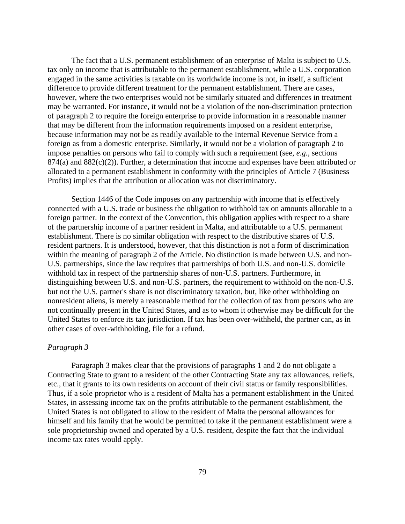The fact that a U.S. permanent establishment of an enterprise of Malta is subject to U.S. tax only on income that is attributable to the permanent establishment, while a U.S. corporation engaged in the same activities is taxable on its worldwide income is not, in itself, a sufficient difference to provide different treatment for the permanent establishment. There are cases, however, where the two enterprises would not be similarly situated and differences in treatment may be warranted. For instance, it would not be a violation of the non-discrimination protection of paragraph 2 to require the foreign enterprise to provide information in a reasonable manner that may be different from the information requirements imposed on a resident enterprise, because information may not be as readily available to the Internal Revenue Service from a foreign as from a domestic enterprise. Similarly, it would not be a violation of paragraph 2 to impose penalties on persons who fail to comply with such a requirement (see, *e.g.*, sections  $874(a)$  and  $882(c)(2)$ ). Further, a determination that income and expenses have been attributed or allocated to a permanent establishment in conformity with the principles of Article 7 (Business Profits) implies that the attribution or allocation was not discriminatory.

Section 1446 of the Code imposes on any partnership with income that is effectively connected with a U.S. trade or business the obligation to withhold tax on amounts allocable to a foreign partner. In the context of the Convention, this obligation applies with respect to a share of the partnership income of a partner resident in Malta, and attributable to a U.S. permanent establishment. There is no similar obligation with respect to the distributive shares of U.S. resident partners. It is understood, however, that this distinction is not a form of discrimination within the meaning of paragraph 2 of the Article. No distinction is made between U.S. and non-U.S. partnerships, since the law requires that partnerships of both U.S. and non-U.S. domicile withhold tax in respect of the partnership shares of non-U.S. partners. Furthermore, in distinguishing between U.S. and non-U.S. partners, the requirement to withhold on the non-U.S. but not the U.S. partner's share is not discriminatory taxation, but, like other withholding on nonresident aliens, is merely a reasonable method for the collection of tax from persons who are not continually present in the United States, and as to whom it otherwise may be difficult for the United States to enforce its tax jurisdiction. If tax has been over-withheld, the partner can, as in other cases of over-withholding, file for a refund.

#### *Paragraph 3*

Paragraph 3 makes clear that the provisions of paragraphs 1 and 2 do not obligate a Contracting State to grant to a resident of the other Contracting State any tax allowances, reliefs, etc., that it grants to its own residents on account of their civil status or family responsibilities. Thus, if a sole proprietor who is a resident of Malta has a permanent establishment in the United States, in assessing income tax on the profits attributable to the permanent establishment, the United States is not obligated to allow to the resident of Malta the personal allowances for himself and his family that he would be permitted to take if the permanent establishment were a sole proprietorship owned and operated by a U.S. resident, despite the fact that the individual income tax rates would apply.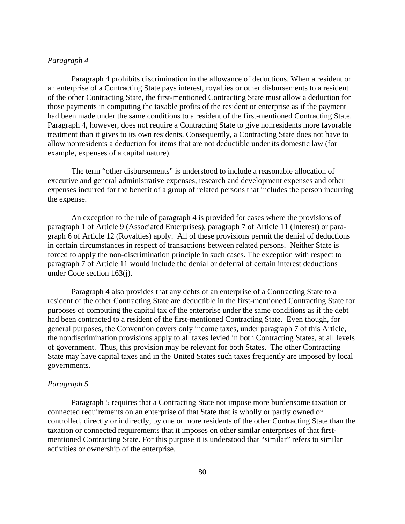### *Paragraph 4*

Paragraph 4 prohibits discrimination in the allowance of deductions. When a resident or an enterprise of a Contracting State pays interest, royalties or other disbursements to a resident of the other Contracting State, the first-mentioned Contracting State must allow a deduction for those payments in computing the taxable profits of the resident or enterprise as if the payment had been made under the same conditions to a resident of the first-mentioned Contracting State. Paragraph 4, however, does not require a Contracting State to give nonresidents more favorable treatment than it gives to its own residents. Consequently, a Contracting State does not have to allow nonresidents a deduction for items that are not deductible under its domestic law (for example, expenses of a capital nature).

The term "other disbursements" is understood to include a reasonable allocation of executive and general administrative expenses, research and development expenses and other expenses incurred for the benefit of a group of related persons that includes the person incurring the expense.

An exception to the rule of paragraph 4 is provided for cases where the provisions of paragraph 1 of Article 9 (Associated Enterprises), paragraph 7 of Article 11 (Interest) or paragraph 6 of Article 12 (Royalties) apply. All of these provisions permit the denial of deductions in certain circumstances in respect of transactions between related persons. Neither State is forced to apply the non-discrimination principle in such cases. The exception with respect to paragraph 7 of Article 11 would include the denial or deferral of certain interest deductions under Code section 163(j).

Paragraph 4 also provides that any debts of an enterprise of a Contracting State to a resident of the other Contracting State are deductible in the first-mentioned Contracting State for purposes of computing the capital tax of the enterprise under the same conditions as if the debt had been contracted to a resident of the first-mentioned Contracting State. Even though, for general purposes, the Convention covers only income taxes, under paragraph 7 of this Article, the nondiscrimination provisions apply to all taxes levied in both Contracting States, at all levels of government. Thus, this provision may be relevant for both States. The other Contracting State may have capital taxes and in the United States such taxes frequently are imposed by local governments.

#### *Paragraph 5*

Paragraph 5 requires that a Contracting State not impose more burdensome taxation or connected requirements on an enterprise of that State that is wholly or partly owned or controlled, directly or indirectly, by one or more residents of the other Contracting State than the taxation or connected requirements that it imposes on other similar enterprises of that firstmentioned Contracting State. For this purpose it is understood that "similar" refers to similar activities or ownership of the enterprise.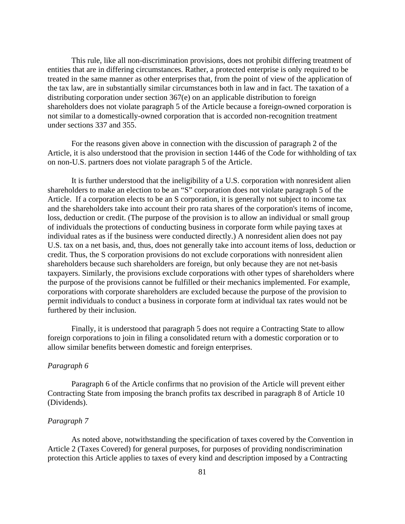This rule, like all non-discrimination provisions, does not prohibit differing treatment of entities that are in differing circumstances. Rather, a protected enterprise is only required to be treated in the same manner as other enterprises that, from the point of view of the application of the tax law, are in substantially similar circumstances both in law and in fact. The taxation of a distributing corporation under section 367(e) on an applicable distribution to foreign shareholders does not violate paragraph 5 of the Article because a foreign-owned corporation is not similar to a domestically-owned corporation that is accorded non-recognition treatment under sections 337 and 355.

For the reasons given above in connection with the discussion of paragraph 2 of the Article, it is also understood that the provision in section 1446 of the Code for withholding of tax on non-U.S. partners does not violate paragraph 5 of the Article.

It is further understood that the ineligibility of a U.S. corporation with nonresident alien shareholders to make an election to be an "S" corporation does not violate paragraph 5 of the Article. If a corporation elects to be an S corporation, it is generally not subject to income tax and the shareholders take into account their pro rata shares of the corporation's items of income, loss, deduction or credit. (The purpose of the provision is to allow an individual or small group of individuals the protections of conducting business in corporate form while paying taxes at individual rates as if the business were conducted directly.) A nonresident alien does not pay U.S. tax on a net basis, and, thus, does not generally take into account items of loss, deduction or credit. Thus, the S corporation provisions do not exclude corporations with nonresident alien shareholders because such shareholders are foreign, but only because they are not net-basis taxpayers. Similarly, the provisions exclude corporations with other types of shareholders where the purpose of the provisions cannot be fulfilled or their mechanics implemented. For example, corporations with corporate shareholders are excluded because the purpose of the provision to permit individuals to conduct a business in corporate form at individual tax rates would not be furthered by their inclusion.

Finally, it is understood that paragraph 5 does not require a Contracting State to allow foreign corporations to join in filing a consolidated return with a domestic corporation or to allow similar benefits between domestic and foreign enterprises.

## *Paragraph 6*

Paragraph 6 of the Article confirms that no provision of the Article will prevent either Contracting State from imposing the branch profits tax described in paragraph 8 of Article 10 (Dividends).

#### *Paragraph 7*

As noted above, notwithstanding the specification of taxes covered by the Convention in Article 2 (Taxes Covered) for general purposes, for purposes of providing nondiscrimination protection this Article applies to taxes of every kind and description imposed by a Contracting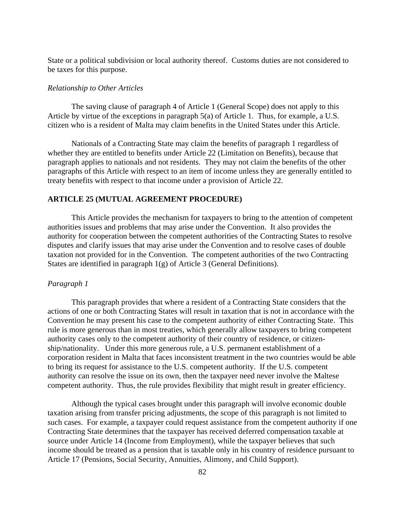State or a political subdivision or local authority thereof. Customs duties are not considered to be taxes for this purpose.

#### *Relationship to Other Articles*

The saving clause of paragraph 4 of Article 1 (General Scope) does not apply to this Article by virtue of the exceptions in paragraph 5(a) of Article 1. Thus, for example, a U.S. citizen who is a resident of Malta may claim benefits in the United States under this Article.

Nationals of a Contracting State may claim the benefits of paragraph 1 regardless of whether they are entitled to benefits under Article 22 (Limitation on Benefits), because that paragraph applies to nationals and not residents. They may not claim the benefits of the other paragraphs of this Article with respect to an item of income unless they are generally entitled to treaty benefits with respect to that income under a provision of Article 22.

#### **ARTICLE 25 (MUTUAL AGREEMENT PROCEDURE)**

This Article provides the mechanism for taxpayers to bring to the attention of competent authorities issues and problems that may arise under the Convention. It also provides the authority for cooperation between the competent authorities of the Contracting States to resolve disputes and clarify issues that may arise under the Convention and to resolve cases of double taxation not provided for in the Convention. The competent authorities of the two Contracting States are identified in paragraph 1(g) of Article 3 (General Definitions).

## *Paragraph 1*

This paragraph provides that where a resident of a Contracting State considers that the actions of one or both Contracting States will result in taxation that is not in accordance with the Convention he may present his case to the competent authority of either Contracting State. This rule is more generous than in most treaties, which generally allow taxpayers to bring competent authority cases only to the competent authority of their country of residence, or citizenship/nationality. Under this more generous rule, a U.S. permanent establishment of a corporation resident in Malta that faces inconsistent treatment in the two countries would be able to bring its request for assistance to the U.S. competent authority. If the U.S. competent authority can resolve the issue on its own, then the taxpayer need never involve the Maltese competent authority. Thus, the rule provides flexibility that might result in greater efficiency.

Although the typical cases brought under this paragraph will involve economic double taxation arising from transfer pricing adjustments, the scope of this paragraph is not limited to such cases. For example, a taxpayer could request assistance from the competent authority if one Contracting State determines that the taxpayer has received deferred compensation taxable at source under Article 14 (Income from Employment), while the taxpayer believes that such income should be treated as a pension that is taxable only in his country of residence pursuant to Article 17 (Pensions, Social Security, Annuities, Alimony, and Child Support).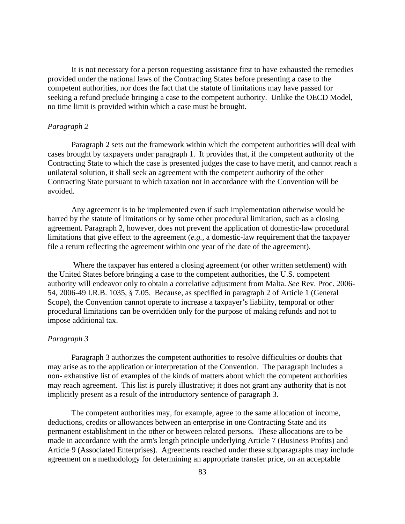It is not necessary for a person requesting assistance first to have exhausted the remedies provided under the national laws of the Contracting States before presenting a case to the competent authorities, nor does the fact that the statute of limitations may have passed for seeking a refund preclude bringing a case to the competent authority. Unlike the OECD Model, no time limit is provided within which a case must be brought.

#### *Paragraph 2*

Paragraph 2 sets out the framework within which the competent authorities will deal with cases brought by taxpayers under paragraph 1. It provides that, if the competent authority of the Contracting State to which the case is presented judges the case to have merit, and cannot reach a unilateral solution, it shall seek an agreement with the competent authority of the other Contracting State pursuant to which taxation not in accordance with the Convention will be avoided.

Any agreement is to be implemented even if such implementation otherwise would be barred by the statute of limitations or by some other procedural limitation, such as a closing agreement. Paragraph 2, however, does not prevent the application of domestic-law procedural limitations that give effect to the agreement (*e.g.*, a domestic-law requirement that the taxpayer file a return reflecting the agreement within one year of the date of the agreement).

 Where the taxpayer has entered a closing agreement (or other written settlement) with the United States before bringing a case to the competent authorities, the U.S. competent authority will endeavor only to obtain a correlative adjustment from Malta. *See* Rev. Proc. 2006- 54, 2006-49 I.R.B. 1035, § 7.05. Because, as specified in paragraph 2 of Article 1 (General Scope), the Convention cannot operate to increase a taxpayer's liability, temporal or other procedural limitations can be overridden only for the purpose of making refunds and not to impose additional tax.

#### *Paragraph 3*

Paragraph 3 authorizes the competent authorities to resolve difficulties or doubts that may arise as to the application or interpretation of the Convention. The paragraph includes a non- exhaustive list of examples of the kinds of matters about which the competent authorities may reach agreement. This list is purely illustrative; it does not grant any authority that is not implicitly present as a result of the introductory sentence of paragraph 3.

The competent authorities may, for example, agree to the same allocation of income, deductions, credits or allowances between an enterprise in one Contracting State and its permanent establishment in the other or between related persons. These allocations are to be made in accordance with the arm's length principle underlying Article 7 (Business Profits) and Article 9 (Associated Enterprises). Agreements reached under these subparagraphs may include agreement on a methodology for determining an appropriate transfer price, on an acceptable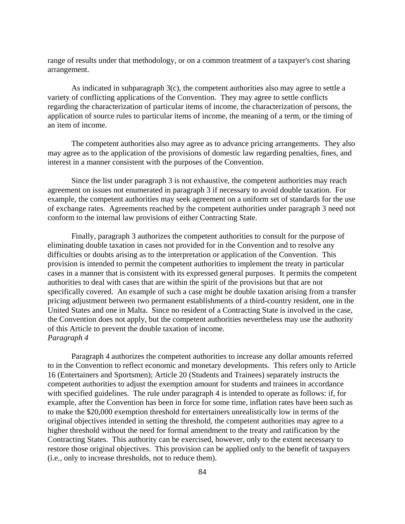range of results under that methodology, or on a common treatment of a taxpayer's cost sharing arrangement.

As indicated in subparagraph 3(c), the competent authorities also may agree to settle a variety of conflicting applications of the Convention. They may agree to settle conflicts regarding the characterization of particular items of income, the characterization of persons, the application of source rules to particular items of income, the meaning of a term, or the timing of an item of income.

The competent authorities also may agree as to advance pricing arrangements. They also may agree as to the application of the provisions of domestic law regarding penalties, fines, and interest in a manner consistent with the purposes of the Convention.

Since the list under paragraph 3 is not exhaustive, the competent authorities may reach agreement on issues not enumerated in paragraph 3 if necessary to avoid double taxation. For example, the competent authorities may seek agreement on a uniform set of standards for the use of exchange rates. Agreements reached by the competent authorities under paragraph 3 need not conform to the internal law provisions of either Contracting State.

Finally, paragraph 3 authorizes the competent authorities to consult for the purpose of eliminating double taxation in cases not provided for in the Convention and to resolve any difficulties or doubts arising as to the interpretation or application of the Convention. This provision is intended to permit the competent authorities to implement the treaty in particular cases in a manner that is consistent with its expressed general purposes. It permits the competent authorities to deal with cases that are within the spirit of the provisions but that are not specifically covered. An example of such a case might be double taxation arising from a transfer pricing adjustment between two permanent establishments of a third-country resident, one in the United States and one in Malta. Since no resident of a Contracting State is involved in the case, the Convention does not apply, but the competent authorities nevertheless may use the authority of this Article to prevent the double taxation of income. *Paragraph 4* 

Paragraph 4 authorizes the competent authorities to increase any dollar amounts referred to in the Convention to reflect economic and monetary developments. This refers only to Article 16 (Entertainers and Sportsmen); Article 20 (Students and Trainees) separately instructs the competent authorities to adjust the exemption amount for students and trainees in accordance with specified guidelines. The rule under paragraph 4 is intended to operate as follows: if, for example, after the Convention has been in force for some time, inflation rates have been such as to make the \$20,000 exemption threshold for entertainers unrealistically low in terms of the original objectives intended in setting the threshold, the competent authorities may agree to a higher threshold without the need for formal amendment to the treaty and ratification by the Contracting States. This authority can be exercised, however, only to the extent necessary to restore those original objectives. This provision can be applied only to the benefit of taxpayers (i.e., only to increase thresholds, not to reduce them).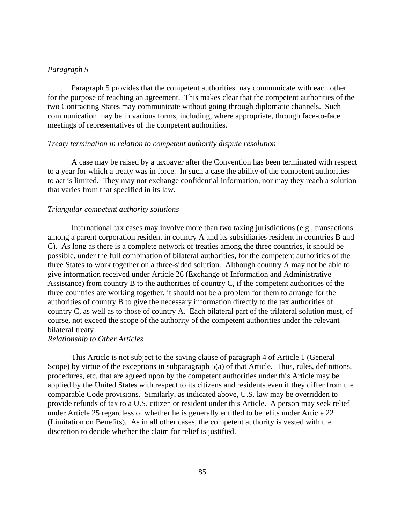## *Paragraph 5*

Paragraph 5 provides that the competent authorities may communicate with each other for the purpose of reaching an agreement. This makes clear that the competent authorities of the two Contracting States may communicate without going through diplomatic channels. Such communication may be in various forms, including, where appropriate, through face-to-face meetings of representatives of the competent authorities.

## *Treaty termination in relation to competent authority dispute resolution*

A case may be raised by a taxpayer after the Convention has been terminated with respect to a year for which a treaty was in force. In such a case the ability of the competent authorities to act is limited. They may not exchange confidential information, nor may they reach a solution that varies from that specified in its law.

#### *Triangular competent authority solutions*

International tax cases may involve more than two taxing jurisdictions (e.g., transactions among a parent corporation resident in country A and its subsidiaries resident in countries B and C). As long as there is a complete network of treaties among the three countries, it should be possible, under the full combination of bilateral authorities, for the competent authorities of the three States to work together on a three-sided solution. Although country A may not be able to give information received under Article 26 (Exchange of Information and Administrative Assistance) from country B to the authorities of country C, if the competent authorities of the three countries are working together, it should not be a problem for them to arrange for the authorities of country B to give the necessary information directly to the tax authorities of country C, as well as to those of country A. Each bilateral part of the trilateral solution must, of course, not exceed the scope of the authority of the competent authorities under the relevant bilateral treaty.

## *Relationship to Other Articles*

This Article is not subject to the saving clause of paragraph 4 of Article 1 (General Scope) by virtue of the exceptions in subparagraph 5(a) of that Article. Thus, rules, definitions, procedures, etc. that are agreed upon by the competent authorities under this Article may be applied by the United States with respect to its citizens and residents even if they differ from the comparable Code provisions. Similarly, as indicated above, U.S. law may be overridden to provide refunds of tax to a U.S. citizen or resident under this Article. A person may seek relief under Article 25 regardless of whether he is generally entitled to benefits under Article 22 (Limitation on Benefits). As in all other cases, the competent authority is vested with the discretion to decide whether the claim for relief is justified.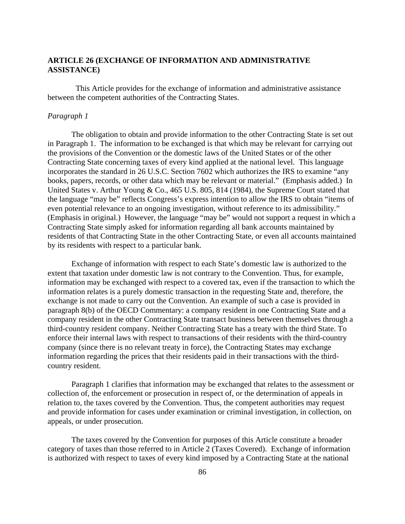# **ARTICLE 26 (EXCHANGE OF INFORMATION AND ADMINISTRATIVE ASSISTANCE)**

This Article provides for the exchange of information and administrative assistance between the competent authorities of the Contracting States.

## *Paragraph 1*

The obligation to obtain and provide information to the other Contracting State is set out in Paragraph 1. The information to be exchanged is that which may be relevant for carrying out the provisions of the Convention or the domestic laws of the United States or of the other Contracting State concerning taxes of every kind applied at the national level. This language incorporates the standard in 26 U.S.C. Section 7602 which authorizes the IRS to examine "any books, papers, records, or other data which may be relevant or material." (Emphasis added.) In United States v. Arthur Young & Co., 465 U.S. 805, 814 (1984), the Supreme Court stated that the language "may be" reflects Congress's express intention to allow the IRS to obtain "items of even potential relevance to an ongoing investigation, without reference to its admissibility." (Emphasis in original.) However, the language "may be" would not support a request in which a Contracting State simply asked for information regarding all bank accounts maintained by residents of that Contracting State in the other Contracting State, or even all accounts maintained by its residents with respect to a particular bank.

Exchange of information with respect to each State's domestic law is authorized to the extent that taxation under domestic law is not contrary to the Convention. Thus, for example, information may be exchanged with respect to a covered tax, even if the transaction to which the information relates is a purely domestic transaction in the requesting State and, therefore, the exchange is not made to carry out the Convention. An example of such a case is provided in paragraph 8(b) of the OECD Commentary: a company resident in one Contracting State and a company resident in the other Contracting State transact business between themselves through a third-country resident company. Neither Contracting State has a treaty with the third State. To enforce their internal laws with respect to transactions of their residents with the third-country company (since there is no relevant treaty in force), the Contracting States may exchange information regarding the prices that their residents paid in their transactions with the thirdcountry resident.

Paragraph 1 clarifies that information may be exchanged that relates to the assessment or collection of, the enforcement or prosecution in respect of, or the determination of appeals in relation to, the taxes covered by the Convention. Thus, the competent authorities may request and provide information for cases under examination or criminal investigation, in collection, on appeals, or under prosecution.

The taxes covered by the Convention for purposes of this Article constitute a broader category of taxes than those referred to in Article 2 (Taxes Covered). Exchange of information is authorized with respect to taxes of every kind imposed by a Contracting State at the national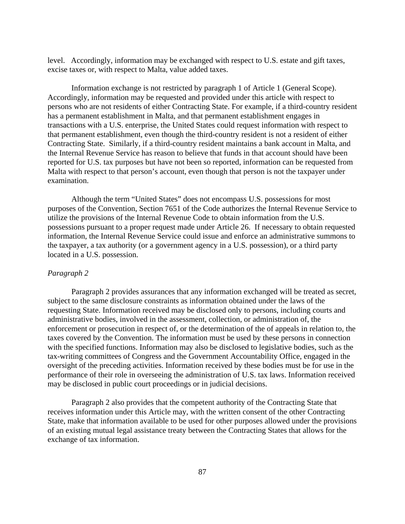level. Accordingly, information may be exchanged with respect to U.S. estate and gift taxes, excise taxes or, with respect to Malta, value added taxes.

Information exchange is not restricted by paragraph 1 of Article 1 (General Scope). Accordingly, information may be requested and provided under this article with respect to persons who are not residents of either Contracting State. For example, if a third-country resident has a permanent establishment in Malta, and that permanent establishment engages in transactions with a U.S. enterprise, the United States could request information with respect to that permanent establishment, even though the third-country resident is not a resident of either Contracting State. Similarly, if a third-country resident maintains a bank account in Malta, and the Internal Revenue Service has reason to believe that funds in that account should have been reported for U.S. tax purposes but have not been so reported, information can be requested from Malta with respect to that person's account, even though that person is not the taxpayer under examination.

Although the term "United States" does not encompass U.S. possessions for most purposes of the Convention, Section 7651 of the Code authorizes the Internal Revenue Service to utilize the provisions of the Internal Revenue Code to obtain information from the U.S. possessions pursuant to a proper request made under Article 26. If necessary to obtain requested information, the Internal Revenue Service could issue and enforce an administrative summons to the taxpayer, a tax authority (or a government agency in a U.S. possession), or a third party located in a U.S. possession.

#### *Paragraph 2*

Paragraph 2 provides assurances that any information exchanged will be treated as secret, subject to the same disclosure constraints as information obtained under the laws of the requesting State. Information received may be disclosed only to persons, including courts and administrative bodies, involved in the assessment, collection, or administration of, the enforcement or prosecution in respect of, or the determination of the of appeals in relation to, the taxes covered by the Convention. The information must be used by these persons in connection with the specified functions. Information may also be disclosed to legislative bodies, such as the tax-writing committees of Congress and the Government Accountability Office, engaged in the oversight of the preceding activities. Information received by these bodies must be for use in the performance of their role in overseeing the administration of U.S. tax laws. Information received may be disclosed in public court proceedings or in judicial decisions.

Paragraph 2 also provides that the competent authority of the Contracting State that receives information under this Article may, with the written consent of the other Contracting State, make that information available to be used for other purposes allowed under the provisions of an existing mutual legal assistance treaty between the Contracting States that allows for the exchange of tax information.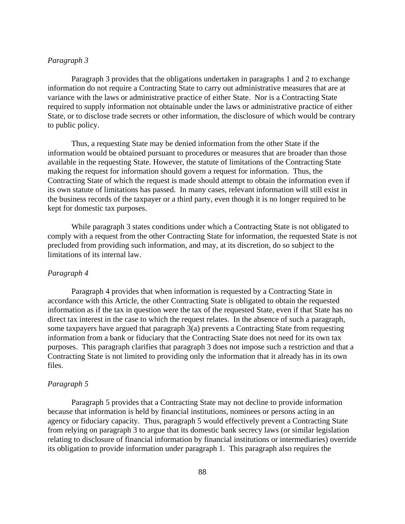## *Paragraph 3*

Paragraph 3 provides that the obligations undertaken in paragraphs 1 and 2 to exchange information do not require a Contracting State to carry out administrative measures that are at variance with the laws or administrative practice of either State. Nor is a Contracting State required to supply information not obtainable under the laws or administrative practice of either State, or to disclose trade secrets or other information, the disclosure of which would be contrary to public policy.

Thus, a requesting State may be denied information from the other State if the information would be obtained pursuant to procedures or measures that are broader than those available in the requesting State. However, the statute of limitations of the Contracting State making the request for information should govern a request for information. Thus, the Contracting State of which the request is made should attempt to obtain the information even if its own statute of limitations has passed. In many cases, relevant information will still exist in the business records of the taxpayer or a third party, even though it is no longer required to be kept for domestic tax purposes.

While paragraph 3 states conditions under which a Contracting State is not obligated to comply with a request from the other Contracting State for information, the requested State is not precluded from providing such information, and may, at its discretion, do so subject to the limitations of its internal law.

#### *Paragraph 4*

Paragraph 4 provides that when information is requested by a Contracting State in accordance with this Article, the other Contracting State is obligated to obtain the requested information as if the tax in question were the tax of the requested State, even if that State has no direct tax interest in the case to which the request relates. In the absence of such a paragraph, some taxpayers have argued that paragraph 3(a) prevents a Contracting State from requesting information from a bank or fiduciary that the Contracting State does not need for its own tax purposes. This paragraph clarifies that paragraph 3 does not impose such a restriction and that a Contracting State is not limited to providing only the information that it already has in its own files.

### *Paragraph 5*

Paragraph 5 provides that a Contracting State may not decline to provide information because that information is held by financial institutions, nominees or persons acting in an agency or fiduciary capacity. Thus, paragraph 5 would effectively prevent a Contracting State from relying on paragraph 3 to argue that its domestic bank secrecy laws (or similar legislation relating to disclosure of financial information by financial institutions or intermediaries) override its obligation to provide information under paragraph 1. This paragraph also requires the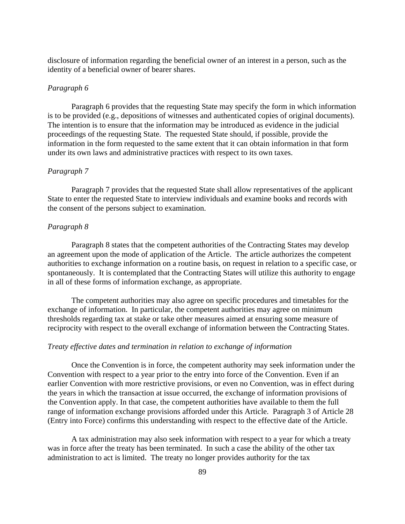disclosure of information regarding the beneficial owner of an interest in a person, such as the identity of a beneficial owner of bearer shares.

### *Paragraph 6*

Paragraph 6 provides that the requesting State may specify the form in which information is to be provided (e.g., depositions of witnesses and authenticated copies of original documents). The intention is to ensure that the information may be introduced as evidence in the judicial proceedings of the requesting State. The requested State should, if possible, provide the information in the form requested to the same extent that it can obtain information in that form under its own laws and administrative practices with respect to its own taxes.

## *Paragraph 7*

Paragraph 7 provides that the requested State shall allow representatives of the applicant State to enter the requested State to interview individuals and examine books and records with the consent of the persons subject to examination.

## *Paragraph 8*

Paragraph 8 states that the competent authorities of the Contracting States may develop an agreement upon the mode of application of the Article. The article authorizes the competent authorities to exchange information on a routine basis, on request in relation to a specific case, or spontaneously. It is contemplated that the Contracting States will utilize this authority to engage in all of these forms of information exchange, as appropriate.

The competent authorities may also agree on specific procedures and timetables for the exchange of information. In particular, the competent authorities may agree on minimum thresholds regarding tax at stake or take other measures aimed at ensuring some measure of reciprocity with respect to the overall exchange of information between the Contracting States.

## *Treaty effective dates and termination in relation to exchange of information*

Once the Convention is in force, the competent authority may seek information under the Convention with respect to a year prior to the entry into force of the Convention. Even if an earlier Convention with more restrictive provisions, or even no Convention, was in effect during the years in which the transaction at issue occurred, the exchange of information provisions of the Convention apply. In that case, the competent authorities have available to them the full range of information exchange provisions afforded under this Article. Paragraph 3 of Article 28 (Entry into Force) confirms this understanding with respect to the effective date of the Article.

A tax administration may also seek information with respect to a year for which a treaty was in force after the treaty has been terminated. In such a case the ability of the other tax administration to act is limited. The treaty no longer provides authority for the tax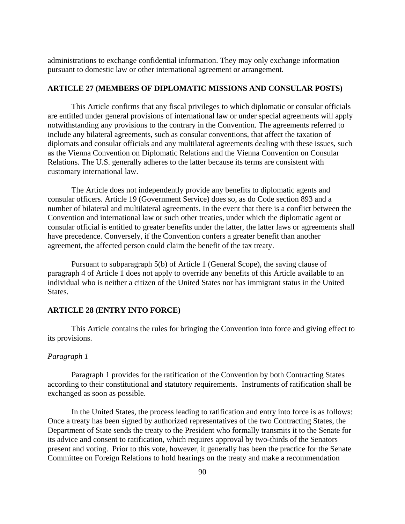administrations to exchange confidential information. They may only exchange information pursuant to domestic law or other international agreement or arrangement.

## **ARTICLE 27 (MEMBERS OF DIPLOMATIC MISSIONS AND CONSULAR POSTS)**

This Article confirms that any fiscal privileges to which diplomatic or consular officials are entitled under general provisions of international law or under special agreements will apply notwithstanding any provisions to the contrary in the Convention. The agreements referred to include any bilateral agreements, such as consular conventions, that affect the taxation of diplomats and consular officials and any multilateral agreements dealing with these issues, such as the Vienna Convention on Diplomatic Relations and the Vienna Convention on Consular Relations. The U.S. generally adheres to the latter because its terms are consistent with customary international law.

The Article does not independently provide any benefits to diplomatic agents and consular officers. Article 19 (Government Service) does so, as do Code section 893 and a number of bilateral and multilateral agreements. In the event that there is a conflict between the Convention and international law or such other treaties, under which the diplomatic agent or consular official is entitled to greater benefits under the latter, the latter laws or agreements shall have precedence. Conversely, if the Convention confers a greater benefit than another agreement, the affected person could claim the benefit of the tax treaty.

Pursuant to subparagraph 5(b) of Article 1 (General Scope), the saving clause of paragraph 4 of Article 1 does not apply to override any benefits of this Article available to an individual who is neither a citizen of the United States nor has immigrant status in the United States.

### **ARTICLE 28 (ENTRY INTO FORCE)**

This Article contains the rules for bringing the Convention into force and giving effect to its provisions.

## *Paragraph 1*

Paragraph 1 provides for the ratification of the Convention by both Contracting States according to their constitutional and statutory requirements. Instruments of ratification shall be exchanged as soon as possible.

In the United States, the process leading to ratification and entry into force is as follows: Once a treaty has been signed by authorized representatives of the two Contracting States, the Department of State sends the treaty to the President who formally transmits it to the Senate for its advice and consent to ratification, which requires approval by two-thirds of the Senators present and voting. Prior to this vote, however, it generally has been the practice for the Senate Committee on Foreign Relations to hold hearings on the treaty and make a recommendation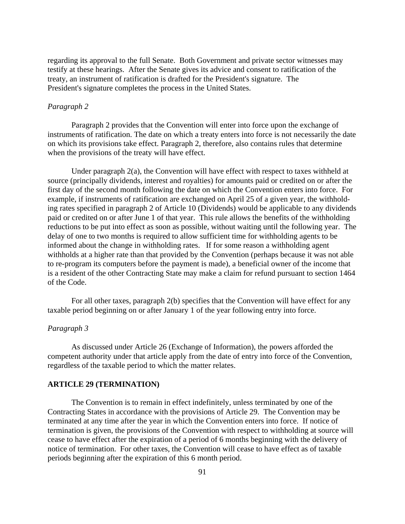regarding its approval to the full Senate. Both Government and private sector witnesses may testify at these hearings. After the Senate gives its advice and consent to ratification of the treaty, an instrument of ratification is drafted for the President's signature. The President's signature completes the process in the United States.

### *Paragraph 2*

Paragraph 2 provides that the Convention will enter into force upon the exchange of instruments of ratification. The date on which a treaty enters into force is not necessarily the date on which its provisions take effect. Paragraph 2, therefore, also contains rules that determine when the provisions of the treaty will have effect.

Under paragraph 2(a), the Convention will have effect with respect to taxes withheld at source (principally dividends, interest and royalties) for amounts paid or credited on or after the first day of the second month following the date on which the Convention enters into force. For example, if instruments of ratification are exchanged on April 25 of a given year, the withholding rates specified in paragraph 2 of Article 10 (Dividends) would be applicable to any dividends paid or credited on or after June 1 of that year. This rule allows the benefits of the withholding reductions to be put into effect as soon as possible, without waiting until the following year. The delay of one to two months is required to allow sufficient time for withholding agents to be informed about the change in withholding rates. If for some reason a withholding agent withholds at a higher rate than that provided by the Convention (perhaps because it was not able to re-program its computers before the payment is made), a beneficial owner of the income that is a resident of the other Contracting State may make a claim for refund pursuant to section 1464 of the Code.

For all other taxes, paragraph 2(b) specifies that the Convention will have effect for any taxable period beginning on or after January 1 of the year following entry into force.

## *Paragraph 3*

As discussed under Article 26 (Exchange of Information), the powers afforded the competent authority under that article apply from the date of entry into force of the Convention, regardless of the taxable period to which the matter relates.

## **ARTICLE 29 (TERMINATION)**

The Convention is to remain in effect indefinitely, unless terminated by one of the Contracting States in accordance with the provisions of Article 29. The Convention may be terminated at any time after the year in which the Convention enters into force. If notice of termination is given, the provisions of the Convention with respect to withholding at source will cease to have effect after the expiration of a period of 6 months beginning with the delivery of notice of termination. For other taxes, the Convention will cease to have effect as of taxable periods beginning after the expiration of this 6 month period.